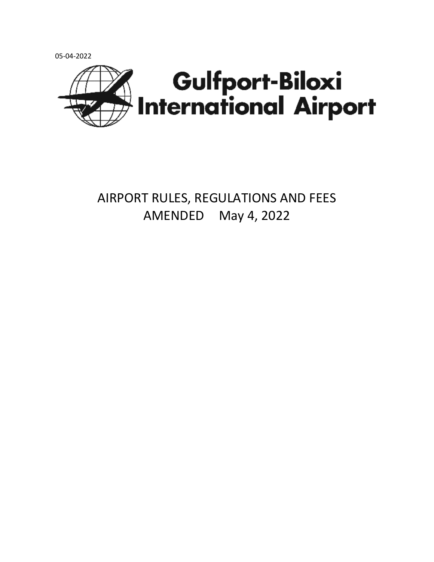05-04-2022



AIRPORT RULES, REGULATIONS AND FEES AMENDED May 4, 2022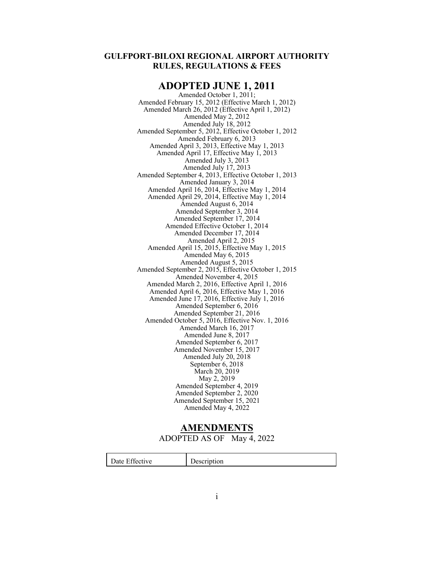#### **GULFPORT-BILOXI REGIONAL AIRPORT AUTHORITY RULES, REGULATIONS & FEES**

#### **ADOPTED JUNE 1, 2011**

Amended October 1, 2011; Amended February 15, 2012 (Effective March 1, 2012) Amended March 26, 2012 (Effective April 1, 2012) Amended May 2, 2012 Amended July 18, 2012 Amended September 5, 2012, Effective October 1, 2012 Amended February 6, 2013 Amended April 3, 2013, Effective May 1, 2013 Amended April 17, Effective May 1, 2013 Amended July 3, 2013 Amended July 17, 2013 Amended September 4, 2013, Effective October 1, 2013 Amended January 3, 2014 Amended April 16, 2014, Effective May 1, 2014 Amended April 29, 2014, Effective May 1, 2014 Amended August 6, 2014 Amended September 3, 2014 Amended September 17, 2014 Amended Effective October 1, 2014 Amended December 17, 2014 Amended April 2, 2015 Amended April 15, 2015, Effective May 1, 2015 Amended May 6, 2015 Amended August 5, 2015 Amended September 2, 2015, Effective October 1, 2015 Amended November 4, 2015 Amended March 2, 2016, Effective April 1, 2016 Amended April 6, 2016, Effective May 1, 2016 Amended June 17, 2016, Effective July 1, 2016 Amended September 6, 2016 Amended September 21, 2016 Amended October 5, 2016, Effective Nov. 1, 2016 Amended March 16, 2017 Amended June 8, 2017 Amended September 6, 2017 Amended November 15, 2017 Amended July 20, 2018 September 6, 2018 March 20, 2019 May 2, 2019 Amended September 4, 2019 Amended September 2, 2020 Amended September 15, 2021 Amended May 4, 2022

## **AMENDMENTS**

ADOPTED AS OF May 4, 2022

Date Effective | Description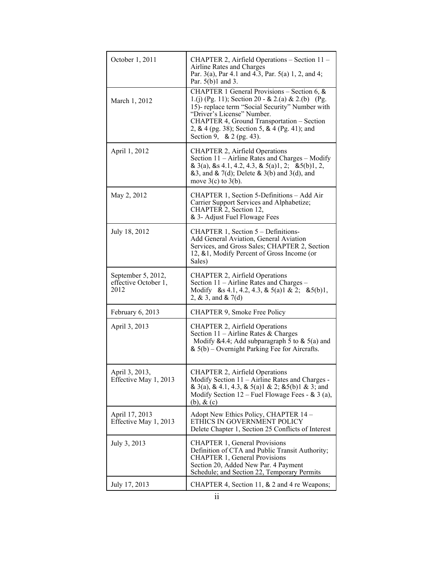| October 1, 2011                                    | CHAPTER 2, Airfield Operations - Section 11 -<br>Airline Rates and Charges<br>Par. 3(a), Par 4.1 and 4.3, Par. 5(a) 1, 2, and 4;<br>Par. $5(b)1$ and 3.                                                                                                                                                      |
|----------------------------------------------------|--------------------------------------------------------------------------------------------------------------------------------------------------------------------------------------------------------------------------------------------------------------------------------------------------------------|
| March 1, 2012                                      | CHAPTER 1 General Provisions - Section 6, &<br>1.(j) (Pg. 11); Section 20 - & 2.(a) & 2.(b) (Pg.<br>15)- replace term "Social Security" Number with<br>"Driver's License" Number.<br>CHAPTER 4, Ground Transportation - Section<br>2, & 4 (pg. 38); Section 5, & 4 (Pg. 41); and<br>Section 9, & 2 (pg. 43). |
| April 1, 2012                                      | CHAPTER 2, Airfield Operations<br>Section 11 – Airline Rates and Charges – Modify<br>& 3(a), &s 4.1, 4.2, 4.3, & 5(a)1, 2; & 5(b)1, 2,<br>&3, and & 7(d); Delete & 3(b) and 3(d), and<br>move $3(c)$ to $3(b)$ .                                                                                             |
| May 2, 2012                                        | CHAPTER 1, Section 5-Definitions – Add Air<br>Carrier Support Services and Alphabetize;<br>CHAPTER 2, Section 12,<br>& 3- Adjust Fuel Flowage Fees                                                                                                                                                           |
| July 18, 2012                                      | CHAPTER 1, Section 5 - Definitions-<br>Add General Aviation, General Aviation<br>Services, and Gross Sales; CHAPTER 2, Section<br>12, & 1, Modify Percent of Gross Income (or<br>Sales)                                                                                                                      |
| September 5, 2012,<br>effective October 1,<br>2012 | <b>CHAPTER 2, Airfield Operations</b><br>Section 11 – Airline Rates and Charges –<br>Modify &s 4.1, 4.2, 4.3, & 5(a)1 & 2; & 5(b)1,<br>2, & 3, and & $7(d)$                                                                                                                                                  |
| February 6, 2013                                   | CHAPTER 9, Smoke Free Policy                                                                                                                                                                                                                                                                                 |
| April 3, 2013                                      | CHAPTER 2, Airfield Operations<br>Section $11 -$ Airline Rates & Charges<br>Modify &4.4; Add subparagraph 5 to & $5(a)$ and<br>& $5(b)$ – Overnight Parking Fee for Aircrafts.                                                                                                                               |
| April 3, 2013,<br>Effective May 1, 2013            | CHAPTER 2, Airfield Operations<br>Modify Section 11 – Airline Rates and Charges -<br>& 3(a), & 4.1, 4.3, & 5(a)1 & 2; & 5(b)1 & 3; and<br>Modify Section $12$ – Fuel Flowage Fees - & 3 (a),<br>$(b)$ , $\& (c)$                                                                                             |
| April 17, 2013<br>Effective May 1, 2013            | Adopt New Ethics Policy, CHAPTER 14 -<br>ETHICS IN GOVERNMENT POLICY<br>Delete Chapter 1, Section 25 Conflicts of Interest                                                                                                                                                                                   |
| July 3, 2013                                       | CHAPTER 1, General Provisions<br>Definition of CTA and Public Transit Authority;<br>CHAPTER 1, General Provisions<br>Section 20, Added New Par. 4 Payment<br>Schedule; and Section 22, Temporary Permits                                                                                                     |
| July 17, 2013                                      | CHAPTER 4, Section 11, & 2 and 4 re Weapons;                                                                                                                                                                                                                                                                 |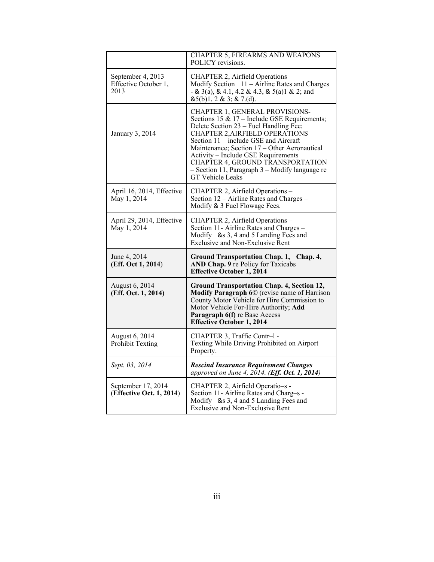|                                                   | <b>CHAPTER 5, FIREARMS AND WEAPONS</b><br>POLICY revisions.                                                                                                                                                                                                                                                                                                                                                   |
|---------------------------------------------------|---------------------------------------------------------------------------------------------------------------------------------------------------------------------------------------------------------------------------------------------------------------------------------------------------------------------------------------------------------------------------------------------------------------|
| September 4, 2013<br>Effective October 1,<br>2013 | <b>CHAPTER 2, Airfield Operations</b><br>Modify Section $11 - A$ irline Rates and Charges<br>- & 3(a), & 4.1, 4.2 & 4.3, & 5(a)1 & 2; and<br>&5(b)1, 2 & 3; 87(d).                                                                                                                                                                                                                                            |
| January 3, 2014                                   | CHAPTER 1, GENERAL PROVISIONS-<br>Sections 15 & 17 - Include GSE Requirements;<br>Delete Section 23 – Fuel Handling Fee;<br>CHAPTER 2, AIRFIELD OPERATIONS -<br>Section 11 - include GSE and Aircraft<br>Maintenance; Section 17 - Other Aeronautical<br>Activity - Include GSE Requirements<br>CHAPTER 4, GROUND TRANSPORTATION<br>- Section 11, Paragraph 3 - Modify language re<br><b>GT</b> Vehicle Leaks |
| April 16, 2014, Effective<br>May 1, 2014          | CHAPTER 2, Airfield Operations -<br>Section 12 - Airline Rates and Charges -<br>Modify & 3 Fuel Flowage Fees.                                                                                                                                                                                                                                                                                                 |
| April 29, 2014, Effective<br>May 1, 2014          | CHAPTER 2, Airfield Operations -<br>Section 11- Airline Rates and Charges -<br>Modify &s 3, 4 and 5 Landing Fees and<br>Exclusive and Non-Exclusive Rent                                                                                                                                                                                                                                                      |
| June 4, 2014<br>(Eff. Oct 1, 2014)                | Ground Transportation Chap. 1, Chap. 4,<br>AND Chap. 9 re Policy for Taxicabs<br><b>Effective October 1, 2014</b>                                                                                                                                                                                                                                                                                             |
| August 6, 2014<br>(Eff. Oct. 1, 2014)             | <b>Ground Transportation Chap. 4, Section 12,</b><br>Modify Paragraph 6© (revise name of Harrison<br>County Motor Vehicle for Hire Commission to<br>Motor Vehicle For-Hire Authority; Add<br>Paragraph 6(f) re Base Access<br><b>Effective October 1, 2014</b>                                                                                                                                                |
| August 6, 2014<br>Prohibit Texting                | CHAPTER 3, Traffic Contr-l -<br>Texting While Driving Prohibited on Airport<br>Property.                                                                                                                                                                                                                                                                                                                      |
| Sept. 03, 2014                                    | <b>Rescind Insurance Requirement Changes</b><br>approved on June 4, 2014. (Eff. Oct. 1, 2014)                                                                                                                                                                                                                                                                                                                 |
| September 17, 2014<br>(Effective Oct. 1, 2014)    | CHAPTER 2, Airfield Operatio-s -<br>Section 11- Airline Rates and Charg-s -<br>&s 3, 4 and 5 Landing Fees and<br>Modify<br>Exclusive and Non-Exclusive Rent                                                                                                                                                                                                                                                   |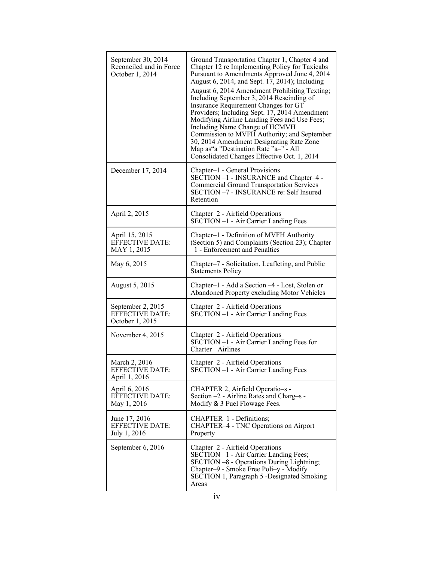| September 30, 2014<br>Reconciled and in Force<br>October 1, 2014 | Ground Transportation Chapter 1, Chapter 4 and<br>Chapter 12 re Implementing Policy for Taxicabs<br>Pursuant to Amendments Approved June 4, 2014<br>August 6, 2014, and Sept. 17, 2014); Including<br>August 6, 2014 Amendment Prohibiting Texting;<br>Including September 3, 2014 Rescinding of<br>Insurance Requirement Changes for GT<br>Providers; Including Sept. 17, 2014 Amendment<br>Modifying Airline Landing Fees and Use Fees;<br>Including Name Change of HCMVH<br>Commission to MVFH Authority; and September<br>30, 2014 Amendment Designating Rate Zone<br>Map as"a "Destination Rate "a-" - All<br>Consolidated Changes Effective Oct. 1, 2014 |
|------------------------------------------------------------------|----------------------------------------------------------------------------------------------------------------------------------------------------------------------------------------------------------------------------------------------------------------------------------------------------------------------------------------------------------------------------------------------------------------------------------------------------------------------------------------------------------------------------------------------------------------------------------------------------------------------------------------------------------------|
| December 17, 2014                                                | Chapter-1 - General Provisions<br>SECTION -1 - INSURANCE and Chapter-4 -<br><b>Commercial Ground Transportation Services</b><br>SECTION -7 - INSURANCE re: Self Insured<br>Retention                                                                                                                                                                                                                                                                                                                                                                                                                                                                           |
| April 2, 2015                                                    | Chapter-2 - Airfield Operations<br>SECTION -1 - Air Carrier Landing Fees                                                                                                                                                                                                                                                                                                                                                                                                                                                                                                                                                                                       |
| April 15, 2015<br><b>EFFECTIVE DATE:</b><br>MAY 1, 2015          | Chapter-1 - Definition of MVFH Authority<br>(Section 5) and Complaints (Section 23); Chapter<br>$-1$ - Enforcement and Penalties                                                                                                                                                                                                                                                                                                                                                                                                                                                                                                                               |
| May 6, 2015                                                      | Chapter-7 - Solicitation, Leafleting, and Public<br><b>Statements Policy</b>                                                                                                                                                                                                                                                                                                                                                                                                                                                                                                                                                                                   |
| August 5, 2015                                                   | Chapter-1 - Add a Section -4 - Lost, Stolen or<br>Abandoned Property excluding Motor Vehicles                                                                                                                                                                                                                                                                                                                                                                                                                                                                                                                                                                  |
| September 2, 2015<br><b>EFFECTIVE DATE:</b><br>October 1, 2015   | Chapter-2 - Airfield Operations<br>SECTION -1 - Air Carrier Landing Fees                                                                                                                                                                                                                                                                                                                                                                                                                                                                                                                                                                                       |
| November 4, 2015                                                 | Chapter-2 - Airfield Operations<br>SECTION -1 - Air Carrier Landing Fees for<br>Charter<br>Airlines                                                                                                                                                                                                                                                                                                                                                                                                                                                                                                                                                            |
| March 2, 2016<br><b>EFFECTIVE DATE:</b><br>April 1, 2016         | Chapter-2 - Airfield Operations<br>SECTION -1 - Air Carrier Landing Fees                                                                                                                                                                                                                                                                                                                                                                                                                                                                                                                                                                                       |
| April 6, 2016<br><b>EFFECTIVE DATE:</b><br>May 1, 2016           | CHAPTER 2, Airfield Operatio-s -<br>Section $-2$ - Airline Rates and Charg-s -<br>Modify & 3 Fuel Flowage Fees.                                                                                                                                                                                                                                                                                                                                                                                                                                                                                                                                                |
| June 17, 2016<br><b>EFFECTIVE DATE:</b><br>July 1, 2016          | CHAPTER-1 - Definitions;<br>CHAPTER-4 - TNC Operations on Airport<br>Property                                                                                                                                                                                                                                                                                                                                                                                                                                                                                                                                                                                  |
| September 6, 2016                                                | Chapter-2 - Airfield Operations<br>SECTION -1 - Air Carrier Landing Fees;<br>SECTION -8 - Operations During Lightning;<br>Chapter-9 - Smoke Free Poli-y - Modify<br>SECTION 1, Paragraph 5 -Designated Smoking<br>Areas                                                                                                                                                                                                                                                                                                                                                                                                                                        |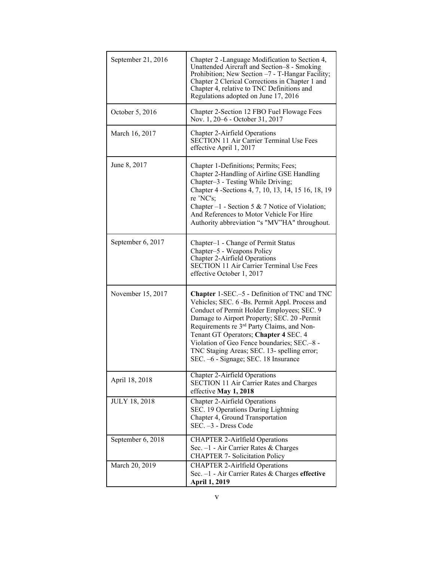| September 21, 2016   | Chapter 2 - Language Modification to Section 4,<br>Unattended Aircraft and Section-8 - Smoking<br>Prohibition; New Section -7 - T-Hangar Facility;<br>Chapter 2 Clerical Corrections in Chapter 1 and<br>Chapter 4, relative to TNC Definitions and<br>Regulations adopted on June 17, 2016                                                                                                                              |
|----------------------|--------------------------------------------------------------------------------------------------------------------------------------------------------------------------------------------------------------------------------------------------------------------------------------------------------------------------------------------------------------------------------------------------------------------------|
| October 5, 2016      | Chapter 2-Section 12 FBO Fuel Flowage Fees<br>Nov. 1, 20–6 - October 31, 2017                                                                                                                                                                                                                                                                                                                                            |
| March 16, 2017       | Chapter 2-Airfield Operations<br>SECTION 11 Air Carrier Terminal Use Fees<br>effective April 1, 2017                                                                                                                                                                                                                                                                                                                     |
| June 8, 2017         | Chapter 1-Definitions; Permits; Fees;<br>Chapter 2-Handling of Airline GSE Handling<br>Chapter-3 - Testing While Driving;<br>Chapter 4 - Sections 4, 7, 10, 13, 14, 15 16, 18, 19<br>re 'NC's;<br>Chapter $-1$ - Section 5 & 7 Notice of Violation;<br>And References to Motor Vehicle For Hire<br>Authority abbreviation "s "MV"HA" throughout.                                                                         |
| September 6, 2017    | Chapter-1 - Change of Permit Status<br>Chapter-5 - Weapons Policy<br>Chapter 2-Airfield Operations<br>SECTION 11 Air Carrier Terminal Use Fees<br>effective October 1, 2017                                                                                                                                                                                                                                              |
| November 15, 2017    | Chapter 1-SEC.-5 - Definition of TNC and TNC<br>Vehicles; SEC. 6 -Bs. Permit Appl. Process and<br>Conduct of Permit Holder Employees; SEC. 9<br>Damage to Airport Property; SEC. 20 -Permit<br>Requirements re 3rd Party Claims, and Non-<br>Tenant GT Operators; Chapter 4 SEC. 4<br>Violation of Geo Fence boundaries; SEC.-8 -<br>TNC Staging Areas; SEC. 13- spelling error;<br>SEC. -6 - Signage; SEC. 18 Insurance |
| April 18, 2018       | <b>Chapter 2-Airfield Operations</b><br><b>SECTION 11 Air Carrier Rates and Charges</b><br>effective May 1, 2018                                                                                                                                                                                                                                                                                                         |
| <b>JULY 18, 2018</b> | Chapter 2-Airfield Operations<br>SEC. 19 Operations During Lightning<br>Chapter 4, Ground Transportation<br>SEC. -3 - Dress Code                                                                                                                                                                                                                                                                                         |
| September 6, 2018    | <b>CHAPTER 2-Airlfield Operations</b><br>Sec. -1 - Air Carrier Rates & Charges<br><b>CHAPTER 7- Solicitation Policy</b>                                                                                                                                                                                                                                                                                                  |
| March 20, 2019       | <b>CHAPTER 2-Airlfield Operations</b><br>Sec. -1 - Air Carrier Rates & Charges effective<br><b>April 1, 2019</b>                                                                                                                                                                                                                                                                                                         |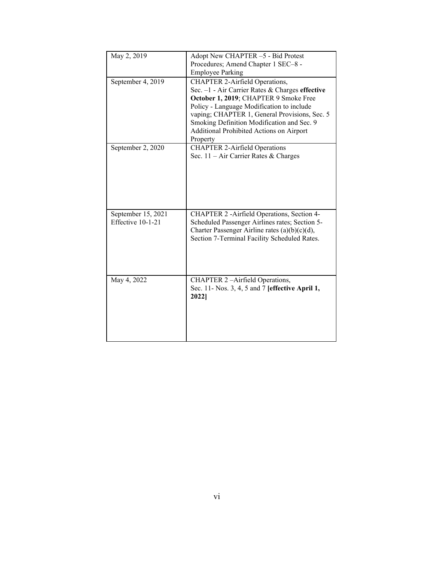| May 2, 2019                             | Adopt New CHAPTER -5 - Bid Protest                                                                                                                                                                                                                                                                                             |
|-----------------------------------------|--------------------------------------------------------------------------------------------------------------------------------------------------------------------------------------------------------------------------------------------------------------------------------------------------------------------------------|
|                                         | Procedures; Amend Chapter 1 SEC-8 -<br><b>Employee Parking</b>                                                                                                                                                                                                                                                                 |
| September 4, 2019                       | CHAPTER 2-Airfield Operations,<br>Sec. -1 - Air Carrier Rates & Charges effective<br>October 1, 2019; CHAPTER 9 Smoke Free<br>Policy - Language Modification to include<br>vaping; CHAPTER 1, General Provisions, Sec. 5<br>Smoking Definition Modification and Sec. 9<br>Additional Prohibited Actions on Airport<br>Property |
| September 2, 2020                       | <b>CHAPTER 2-Airfield Operations</b><br>Sec. $11 - Air Carrier Rates & Changes$                                                                                                                                                                                                                                                |
| September 15, 2021<br>Effective 10-1-21 | CHAPTER 2 - Airfield Operations, Section 4-<br>Scheduled Passenger Airlines rates; Section 5-<br>Charter Passenger Airline rates (a)(b)(c)(d),<br>Section 7-Terminal Facility Scheduled Rates.                                                                                                                                 |
| May 4, 2022                             | CHAPTER 2-Airfield Operations,<br>Sec. 11- Nos. 3, 4, 5 and 7 [effective April 1,<br>2022]                                                                                                                                                                                                                                     |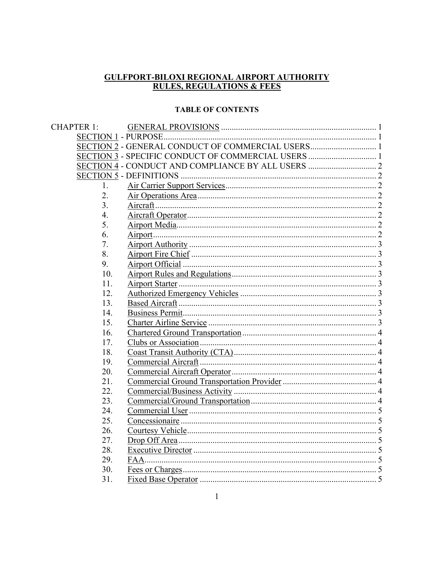# **GULFPORT-BILOXI REGIONAL AIRPORT AUTHORITY<br>RULES, REGULATIONS & FEES**

## **TABLE OF CONTENTS**

| <b>CHAPTER 1:</b> |  |
|-------------------|--|
|                   |  |
|                   |  |
|                   |  |
|                   |  |
|                   |  |
| 1.                |  |
| 2.                |  |
| $\overline{3}$ .  |  |
| $\overline{4}$ .  |  |
| 5.                |  |
| 6.                |  |
| 7.                |  |
| 8.                |  |
| 9.                |  |
| 10.               |  |
| 11.               |  |
| 12.               |  |
| 13.               |  |
| 14.               |  |
| 15.               |  |
| 16.               |  |
| 17.               |  |
| 18.               |  |
| 19.               |  |
| 20.               |  |
| 21.               |  |
| 22.               |  |
| 23.               |  |
| 24.               |  |
| 25.               |  |
| 26.               |  |
| 27.               |  |
| 28.               |  |
| 29.               |  |
| 30.               |  |
| 31.               |  |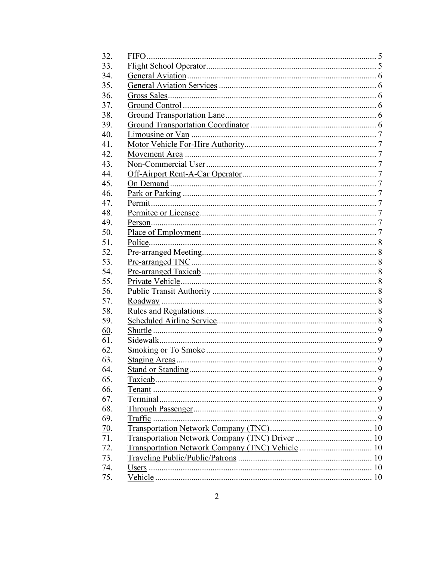| 32.                |                                                  |  |
|--------------------|--------------------------------------------------|--|
| 33.                |                                                  |  |
| 34.                |                                                  |  |
| 35.                |                                                  |  |
| 36.                |                                                  |  |
| 37.                |                                                  |  |
| 38.                |                                                  |  |
| 39.                |                                                  |  |
| 40.                |                                                  |  |
| 41.                |                                                  |  |
| 42.                |                                                  |  |
| 43.                |                                                  |  |
| 44.                |                                                  |  |
| 45.                |                                                  |  |
| 46.                |                                                  |  |
| 47.                |                                                  |  |
| 48.                |                                                  |  |
| 49.                |                                                  |  |
| 50.                |                                                  |  |
| 51.                |                                                  |  |
| 52.                |                                                  |  |
| 53.                |                                                  |  |
| 54.                |                                                  |  |
| 55.                |                                                  |  |
| 56.                |                                                  |  |
| 57.                |                                                  |  |
| 58.                |                                                  |  |
| 59.                |                                                  |  |
| 60.                |                                                  |  |
| 61.                |                                                  |  |
| 62.                |                                                  |  |
| 63.                |                                                  |  |
| 64.                |                                                  |  |
| 65.                |                                                  |  |
| 66.                |                                                  |  |
| 67.                |                                                  |  |
| 68.                |                                                  |  |
| 69.                |                                                  |  |
| $\underline{70}$ . |                                                  |  |
| 71.                |                                                  |  |
| 72.                | Transportation Network Company (TNC) Vehicle  10 |  |
| 73.                |                                                  |  |
| 74.                |                                                  |  |
| 75.                |                                                  |  |
|                    |                                                  |  |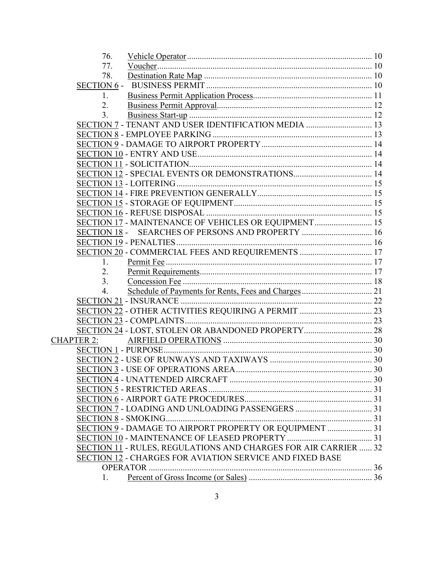| 76.               |                                                                 |  |
|-------------------|-----------------------------------------------------------------|--|
| 77.               |                                                                 |  |
| 78.               |                                                                 |  |
|                   |                                                                 |  |
| 1.                |                                                                 |  |
| 2.                |                                                                 |  |
| 3.                |                                                                 |  |
|                   | SECTION 7 - TENANT AND USER IDENTIFICATION MEDIA  13            |  |
|                   |                                                                 |  |
|                   |                                                                 |  |
|                   |                                                                 |  |
|                   |                                                                 |  |
|                   |                                                                 |  |
|                   |                                                                 |  |
|                   |                                                                 |  |
|                   |                                                                 |  |
|                   |                                                                 |  |
|                   | SECTION 17 - MAINTENANCE OF VEHICLES OR EQUIPMENT  15           |  |
|                   | SECTION 18 - SEARCHES OF PERSONS AND PROPERTY  16               |  |
|                   |                                                                 |  |
|                   | SECTION 20 - COMMERCIAL FEES AND REQUIREMENTS  17               |  |
| 1.                |                                                                 |  |
| 2.                |                                                                 |  |
| 3.                |                                                                 |  |
| 4.                |                                                                 |  |
|                   |                                                                 |  |
|                   |                                                                 |  |
|                   |                                                                 |  |
|                   |                                                                 |  |
| <b>CHAPTER 2:</b> |                                                                 |  |
|                   |                                                                 |  |
|                   |                                                                 |  |
|                   |                                                                 |  |
|                   |                                                                 |  |
|                   |                                                                 |  |
|                   |                                                                 |  |
|                   |                                                                 |  |
|                   |                                                                 |  |
|                   | SECTION 9 - DAMAGE TO AIRPORT PROPERTY OR EQUIPMENT  31         |  |
|                   |                                                                 |  |
|                   | SECTION 11 - RULES, REGULATIONS AND CHARGES FOR AIR CARRIER  32 |  |
|                   | SECTION 12 - CHARGES FOR AVIATION SERVICE AND FIXED BASE        |  |
|                   | OPERATOR                                                        |  |
| 1.                |                                                                 |  |
|                   |                                                                 |  |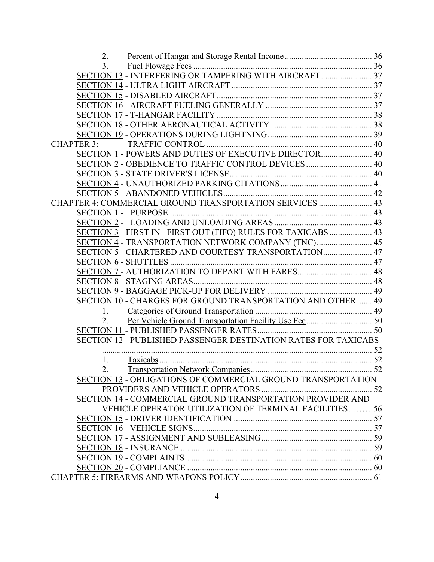| 2.                                                              |  |
|-----------------------------------------------------------------|--|
| 3.                                                              |  |
| SECTION 13 - INTERFERING OR TAMPERING WITH AIRCRAFT  37         |  |
|                                                                 |  |
|                                                                 |  |
|                                                                 |  |
|                                                                 |  |
|                                                                 |  |
|                                                                 |  |
|                                                                 |  |
| SECTION 1 - POWERS AND DUTIES OF EXECUTIVE DIRECTOR 40          |  |
| SECTION 2 - OBEDIENCE TO TRAFFIC CONTROL DEVICES  40            |  |
|                                                                 |  |
|                                                                 |  |
|                                                                 |  |
| CHAPTER 4: COMMERCIAL GROUND TRANSPORTATION SERVICES  43        |  |
|                                                                 |  |
|                                                                 |  |
| SECTION 3 - FIRST IN FIRST OUT (FIFO) RULES FOR TAXICABS  43    |  |
| SECTION 4 - TRANSPORTATION NETWORK COMPANY (TNC) 45             |  |
| SECTION 5 - CHARTERED AND COURTESY TRANSPORTATION 47            |  |
|                                                                 |  |
| SECTION 7 - AUTHORIZATION TO DEPART WITH FARES 48               |  |
|                                                                 |  |
|                                                                 |  |
| SECTION 10 - CHARGES FOR GROUND TRANSPORTATION AND OTHER  49    |  |
| 1.                                                              |  |
| 2.                                                              |  |
|                                                                 |  |
| SECTION 12 - PUBLISHED PASSENGER DESTINATION RATES FOR TAXICABS |  |
|                                                                 |  |
| 1.                                                              |  |
| $\overline{2}$                                                  |  |
| SECTION 13 - OBLIGATIONS OF COMMERCIAL GROUND TRANSPORTATION    |  |
|                                                                 |  |
| SECTION 14 - COMMERCIAL GROUND TRANSPORTATION PROVIDER AND      |  |
| VEHICLE OPERATOR UTILIZATION OF TERMINAL FACILITIES56           |  |
|                                                                 |  |
|                                                                 |  |
|                                                                 |  |
|                                                                 |  |
|                                                                 |  |
|                                                                 |  |
|                                                                 |  |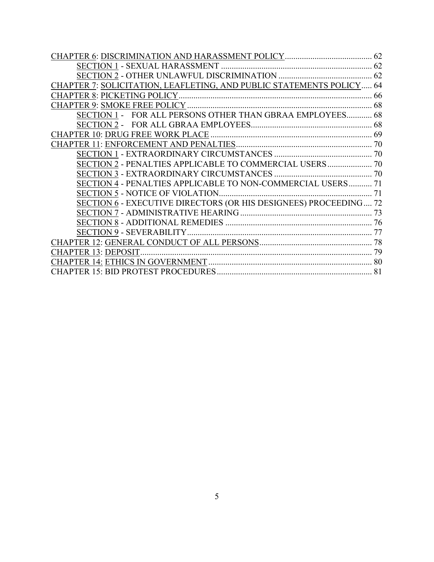| CHAPTER 7: SOLICITATION, LEAFLETING, AND PUBLIC STATEMENTS POLICY 64 |  |
|----------------------------------------------------------------------|--|
|                                                                      |  |
|                                                                      |  |
| SECTION 1 - FOR ALL PERSONS OTHER THAN GBRAA EMPLOYEES 68            |  |
|                                                                      |  |
|                                                                      |  |
|                                                                      |  |
|                                                                      |  |
| SECTION 2 - PENALTIES APPLICABLE TO COMMERCIAL USERS 70              |  |
|                                                                      |  |
| SECTION 4 - PENALTIES APPLICABLE TO NON-COMMERCIAL USERS 71          |  |
|                                                                      |  |
| SECTION 6 - EXECUTIVE DIRECTORS (OR HIS DESIGNEES) PROCEEDING 72     |  |
|                                                                      |  |
|                                                                      |  |
|                                                                      |  |
|                                                                      |  |
|                                                                      |  |
|                                                                      |  |
|                                                                      |  |
|                                                                      |  |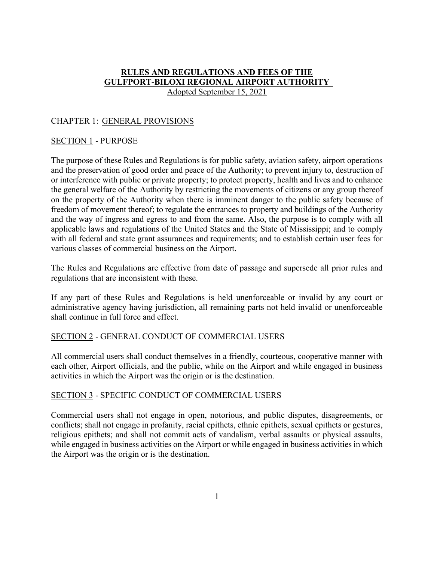## **RULES AND REGULATIONS AND FEES OF THE GULFPORT-BILOXI REGIONAL AIRPORT AUTHORITY**  Adopted September 15, 2021

#### CHAPTER 1: GENERAL PROVISIONS

#### SECTION 1 - PURPOSE

The purpose of these Rules and Regulations is for public safety, aviation safety, airport operations and the preservation of good order and peace of the Authority; to prevent injury to, destruction of or interference with public or private property; to protect property, health and lives and to enhance the general welfare of the Authority by restricting the movements of citizens or any group thereof on the property of the Authority when there is imminent danger to the public safety because of freedom of movement thereof; to regulate the entrances to property and buildings of the Authority and the way of ingress and egress to and from the same. Also, the purpose is to comply with all applicable laws and regulations of the United States and the State of Mississippi; and to comply with all federal and state grant assurances and requirements; and to establish certain user fees for various classes of commercial business on the Airport.

The Rules and Regulations are effective from date of passage and supersede all prior rules and regulations that are inconsistent with these.

If any part of these Rules and Regulations is held unenforceable or invalid by any court or administrative agency having jurisdiction, all remaining parts not held invalid or unenforceable shall continue in full force and effect.

#### SECTION 2 - GENERAL CONDUCT OF COMMERCIAL USERS

All commercial users shall conduct themselves in a friendly, courteous, cooperative manner with each other, Airport officials, and the public, while on the Airport and while engaged in business activities in which the Airport was the origin or is the destination.

#### SECTION 3 - SPECIFIC CONDUCT OF COMMERCIAL USERS

Commercial users shall not engage in open, notorious, and public disputes, disagreements, or conflicts; shall not engage in profanity, racial epithets, ethnic epithets, sexual epithets or gestures, religious epithets; and shall not commit acts of vandalism, verbal assaults or physical assaults, while engaged in business activities on the Airport or while engaged in business activities in which the Airport was the origin or is the destination.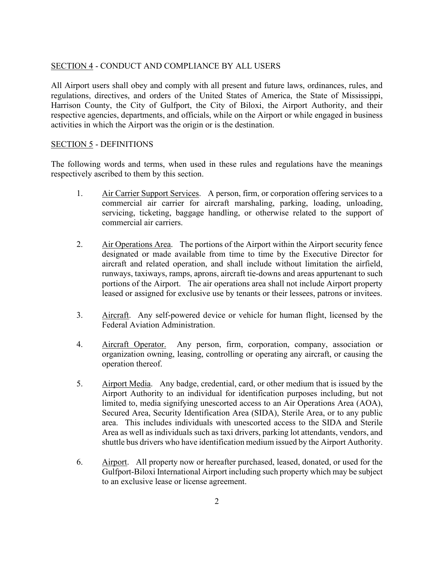## SECTION 4 - CONDUCT AND COMPLIANCE BY ALL USERS

All Airport users shall obey and comply with all present and future laws, ordinances, rules, and regulations, directives, and orders of the United States of America, the State of Mississippi, Harrison County, the City of Gulfport, the City of Biloxi, the Airport Authority, and their respective agencies, departments, and officials, while on the Airport or while engaged in business activities in which the Airport was the origin or is the destination.

#### SECTION 5 - DEFINITIONS

The following words and terms, when used in these rules and regulations have the meanings respectively ascribed to them by this section.

- 1. Air Carrier Support Services. A person, firm, or corporation offering services to a commercial air carrier for aircraft marshaling, parking, loading, unloading, servicing, ticketing, baggage handling, or otherwise related to the support of commercial air carriers.
- 2. Air Operations Area. The portions of the Airport within the Airport security fence designated or made available from time to time by the Executive Director for aircraft and related operation, and shall include without limitation the airfield, runways, taxiways, ramps, aprons, aircraft tie-downs and areas appurtenant to such portions of the Airport. The air operations area shall not include Airport property leased or assigned for exclusive use by tenants or their lessees, patrons or invitees.
- 3. Aircraft. Any self-powered device or vehicle for human flight, licensed by the Federal Aviation Administration.
- 4. Aircraft Operator. Any person, firm, corporation, company, association or organization owning, leasing, controlling or operating any aircraft, or causing the operation thereof.
- 5. Airport Media. Any badge, credential, card, or other medium that is issued by the Airport Authority to an individual for identification purposes including, but not limited to, media signifying unescorted access to an Air Operations Area (AOA), Secured Area, Security Identification Area (SIDA), Sterile Area, or to any public area. This includes individuals with unescorted access to the SIDA and Sterile Area as well as individuals such as taxi drivers, parking lot attendants, vendors, and shuttle bus drivers who have identification medium issued by the Airport Authority.
- 6. Airport. All property now or hereafter purchased, leased, donated, or used for the Gulfport-Biloxi International Airport including such property which may be subject to an exclusive lease or license agreement.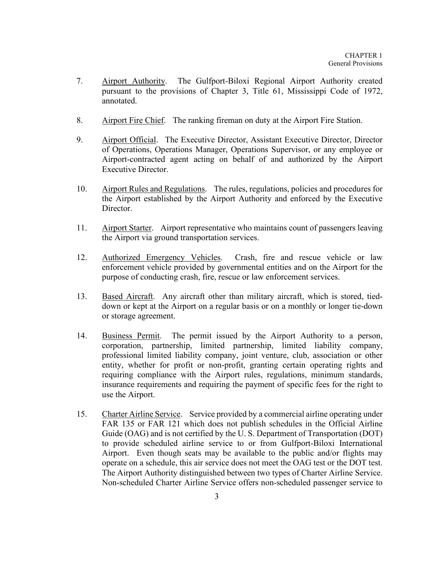- 7. Airport Authority. The Gulfport-Biloxi Regional Airport Authority created pursuant to the provisions of Chapter 3, Title 61, Mississippi Code of 1972, annotated.
- 8. Airport Fire Chief. The ranking fireman on duty at the Airport Fire Station.
- 9. Airport Official. The Executive Director, Assistant Executive Director, Director of Operations, Operations Manager, Operations Supervisor, or any employee or Airport-contracted agent acting on behalf of and authorized by the Airport Executive Director.
- 10. Airport Rules and Regulations. The rules, regulations, policies and procedures for the Airport established by the Airport Authority and enforced by the Executive Director.
- 11. Airport Starter. Airport representative who maintains count of passengers leaving the Airport via ground transportation services.
- 12. Authorized Emergency Vehicles. Crash, fire and rescue vehicle or law enforcement vehicle provided by governmental entities and on the Airport for the purpose of conducting crash, fire, rescue or law enforcement services.
- 13. Based Aircraft. Any aircraft other than military aircraft, which is stored, tieddown or kept at the Airport on a regular basis or on a monthly or longer tie-down or storage agreement.
- 14. Business Permit. The permit issued by the Airport Authority to a person, corporation, partnership, limited partnership, limited liability company, professional limited liability company, joint venture, club, association or other entity, whether for profit or non-profit, granting certain operating rights and requiring compliance with the Airport rules, regulations, minimum standards, insurance requirements and requiring the payment of specific fees for the right to use the Airport.
- 15. Charter Airline Service. Service provided by a commercial airline operating under FAR 135 or FAR 121 which does not publish schedules in the Official Airline Guide (OAG) and is not certified by the U. S. Department of Transportation (DOT) to provide scheduled airline service to or from Gulfport-Biloxi International Airport. Even though seats may be available to the public and/or flights may operate on a schedule, this air service does not meet the OAG test or the DOT test. The Airport Authority distinguished between two types of Charter Airline Service. Non-scheduled Charter Airline Service offers non-scheduled passenger service to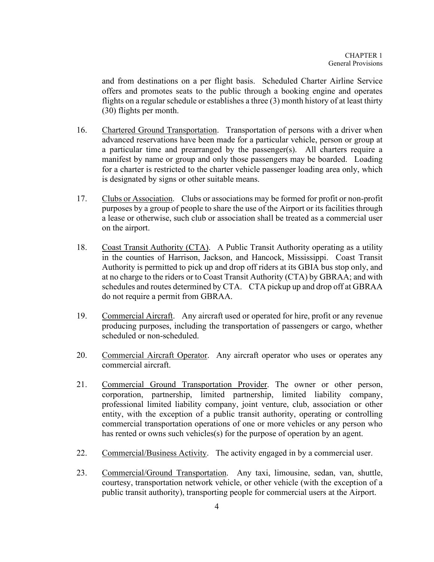and from destinations on a per flight basis. Scheduled Charter Airline Service offers and promotes seats to the public through a booking engine and operates flights on a regular schedule or establishes a three (3) month history of at least thirty (30) flights per month.

- 16. Chartered Ground Transportation. Transportation of persons with a driver when advanced reservations have been made for a particular vehicle, person or group at a particular time and prearranged by the passenger(s). All charters require a manifest by name or group and only those passengers may be boarded. Loading for a charter is restricted to the charter vehicle passenger loading area only, which is designated by signs or other suitable means.
- 17. Clubs or Association. Clubs or associations may be formed for profit or non-profit purposes by a group of people to share the use of the Airport or its facilities through a lease or otherwise, such club or association shall be treated as a commercial user on the airport.
- 18. Coast Transit Authority (CTA). A Public Transit Authority operating as a utility in the counties of Harrison, Jackson, and Hancock, Mississippi. Coast Transit Authority is permitted to pick up and drop off riders at its GBIA bus stop only, and at no charge to the riders or to Coast Transit Authority (CTA) by GBRAA; and with schedules and routes determined by CTA. CTA pickup up and drop off at GBRAA do not require a permit from GBRAA.
- 19. Commercial Aircraft. Any aircraft used or operated for hire, profit or any revenue producing purposes, including the transportation of passengers or cargo, whether scheduled or non-scheduled.
- 20. Commercial Aircraft Operator. Any aircraft operator who uses or operates any commercial aircraft.
- 21. Commercial Ground Transportation Provider. The owner or other person, corporation, partnership, limited partnership, limited liability company, professional limited liability company, joint venture, club, association or other entity, with the exception of a public transit authority, operating or controlling commercial transportation operations of one or more vehicles or any person who has rented or owns such vehicles(s) for the purpose of operation by an agent.
- 22. Commercial/Business Activity. The activity engaged in by a commercial user.
- 23. Commercial/Ground Transportation. Any taxi, limousine, sedan, van, shuttle, courtesy, transportation network vehicle, or other vehicle (with the exception of a public transit authority), transporting people for commercial users at the Airport.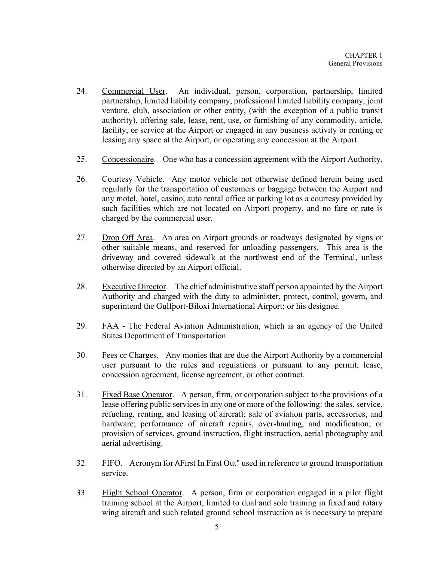- 24. Commercial User. An individual, person, corporation, partnership, limited partnership, limited liability company, professional limited liability company, joint venture, club, association or other entity, (with the exception of a public transit authority), offering sale, lease, rent, use, or furnishing of any commodity, article, facility, or service at the Airport or engaged in any business activity or renting or leasing any space at the Airport, or operating any concession at the Airport.
- 25. Concessionaire. One who has a concession agreement with the Airport Authority.
- 26. Courtesy Vehicle. Any motor vehicle not otherwise defined herein being used regularly for the transportation of customers or baggage between the Airport and any motel, hotel, casino, auto rental office or parking lot as a courtesy provided by such facilities which are not located on Airport property, and no fare or rate is charged by the commercial user.
- 27. Drop Off Area. An area on Airport grounds or roadways designated by signs or other suitable means, and reserved for unloading passengers. This area is the driveway and covered sidewalk at the northwest end of the Terminal, unless otherwise directed by an Airport official.
- 28. Executive Director. The chief administrative staff person appointed by the Airport Authority and charged with the duty to administer, protect, control, govern, and superintend the Gulfport-Biloxi International Airport; or his designee.
- 29. EAA The Federal Aviation Administration, which is an agency of the United States Department of Transportation.
- 30. Fees or Charges. Any monies that are due the Airport Authority by a commercial user pursuant to the rules and regulations or pursuant to any permit, lease, concession agreement, license agreement, or other contract.
- 31. Fixed Base Operator. A person, firm, or corporation subject to the provisions of a lease offering public services in any one or more of the following: the sales, service, refueling, renting, and leasing of aircraft; sale of aviation parts, accessories, and hardware; performance of aircraft repairs, over-hauling, and modification; or provision of services, ground instruction, flight instruction, aerial photography and aerial advertising.
- 32. FIFO. Acronym for AFirst In First Out" used in reference to ground transportation service.
- 33. Flight School Operator. A person, firm or corporation engaged in a pilot flight training school at the Airport, limited to dual and solo training in fixed and rotary wing aircraft and such related ground school instruction as is necessary to prepare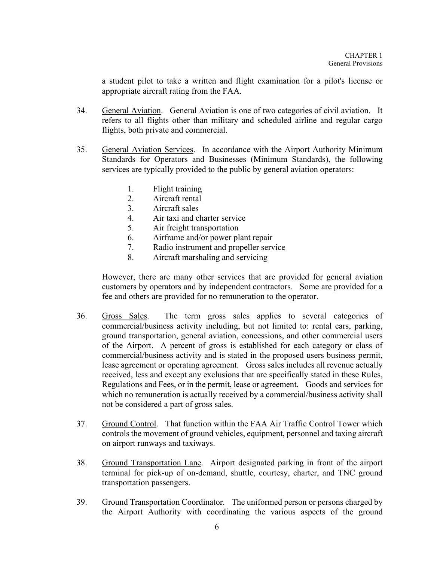a student pilot to take a written and flight examination for a pilot's license or appropriate aircraft rating from the FAA.

- 34. General Aviation. General Aviation is one of two categories of civil aviation. It refers to all flights other than military and scheduled airline and regular cargo flights, both private and commercial.
- 35. General Aviation Services. In accordance with the Airport Authority Minimum Standards for Operators and Businesses (Minimum Standards), the following services are typically provided to the public by general aviation operators:
	- 1. Flight training
	- 2. Aircraft rental
	- 3. Aircraft sales
	- 4. Air taxi and charter service
	- 5. Air freight transportation
	- 6. Airframe and/or power plant repair
	- 7. Radio instrument and propeller service
	- 8. Aircraft marshaling and servicing

However, there are many other services that are provided for general aviation customers by operators and by independent contractors. Some are provided for a fee and others are provided for no remuneration to the operator.

- 36. Gross Sales. The term gross sales applies to several categories of commercial/business activity including, but not limited to: rental cars, parking, ground transportation, general aviation, concessions, and other commercial users of the Airport. A percent of gross is established for each category or class of commercial/business activity and is stated in the proposed users business permit, lease agreement or operating agreement. Gross sales includes all revenue actually received, less and except any exclusions that are specifically stated in these Rules, Regulations and Fees, or in the permit, lease or agreement. Goods and services for which no remuneration is actually received by a commercial/business activity shall not be considered a part of gross sales.
- 37. Ground Control. That function within the FAA Air Traffic Control Tower which controls the movement of ground vehicles, equipment, personnel and taxing aircraft on airport runways and taxiways.
- 38. Ground Transportation Lane. Airport designated parking in front of the airport terminal for pick-up of on-demand, shuttle, courtesy, charter, and TNC ground transportation passengers.
- 39. Ground Transportation Coordinator. The uniformed person or persons charged by the Airport Authority with coordinating the various aspects of the ground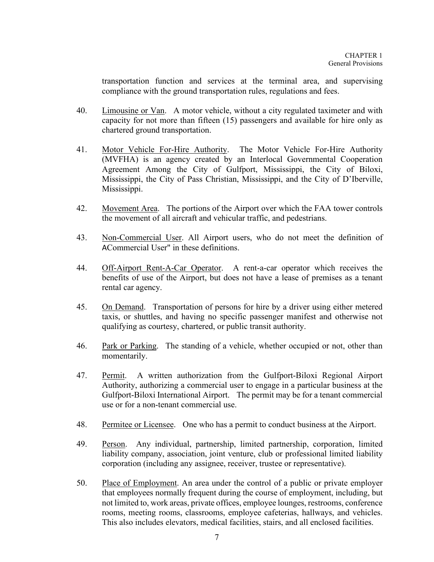transportation function and services at the terminal area, and supervising compliance with the ground transportation rules, regulations and fees.

- 40. Limousine or Van. A motor vehicle, without a city regulated taximeter and with capacity for not more than fifteen (15) passengers and available for hire only as chartered ground transportation.
- 41. Motor Vehicle For-Hire Authority. The Motor Vehicle For-Hire Authority (MVFHA) is an agency created by an Interlocal Governmental Cooperation Agreement Among the City of Gulfport, Mississippi, the City of Biloxi, Mississippi, the City of Pass Christian, Mississippi, and the City of D'Iberville, Mississippi.
- 42. Movement Area. The portions of the Airport over which the FAA tower controls the movement of all aircraft and vehicular traffic, and pedestrians.
- 43. Non-Commercial User. All Airport users, who do not meet the definition of ACommercial User" in these definitions.
- 44. Off-Airport Rent-A-Car Operator. A rent-a-car operator which receives the benefits of use of the Airport, but does not have a lease of premises as a tenant rental car agency.
- 45. On Demand. Transportation of persons for hire by a driver using either metered taxis, or shuttles, and having no specific passenger manifest and otherwise not qualifying as courtesy, chartered, or public transit authority.
- 46. Park or Parking. The standing of a vehicle, whether occupied or not, other than momentarily.
- 47. Permit. A written authorization from the Gulfport-Biloxi Regional Airport Authority, authorizing a commercial user to engage in a particular business at the Gulfport-Biloxi International Airport. The permit may be for a tenant commercial use or for a non-tenant commercial use.
- 48. Permitee or Licensee. One who has a permit to conduct business at the Airport.
- 49. Person. Any individual, partnership, limited partnership, corporation, limited liability company, association, joint venture, club or professional limited liability corporation (including any assignee, receiver, trustee or representative).
- 50. Place of Employment. An area under the control of a public or private employer that employees normally frequent during the course of employment, including, but not limited to, work areas, private offices, employee lounges, restrooms, conference rooms, meeting rooms, classrooms, employee cafeterias, hallways, and vehicles. This also includes elevators, medical facilities, stairs, and all enclosed facilities.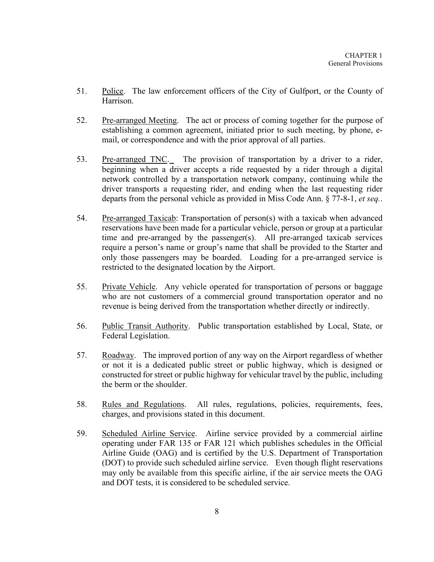- 51. Police. The law enforcement officers of the City of Gulfport, or the County of Harrison.
- 52. Pre-arranged Meeting. The act or process of coming together for the purpose of establishing a common agreement, initiated prior to such meeting, by phone, email, or correspondence and with the prior approval of all parties.
- 53. Pre-arranged TNC. The provision of transportation by a driver to a rider, beginning when a driver accepts a ride requested by a rider through a digital network controlled by a transportation network company, continuing while the driver transports a requesting rider, and ending when the last requesting rider departs from the personal vehicle as provided in Miss Code Ann. § 77-8-1, *et seq.*.
- 54. Pre-arranged Taxicab: Transportation of person(s) with a taxicab when advanced reservations have been made for a particular vehicle, person or group at a particular time and pre-arranged by the passenger(s). All pre-arranged taxicab services require a person's name or group's name that shall be provided to the Starter and only those passengers may be boarded. Loading for a pre-arranged service is restricted to the designated location by the Airport.
- 55. Private Vehicle. Any vehicle operated for transportation of persons or baggage who are not customers of a commercial ground transportation operator and no revenue is being derived from the transportation whether directly or indirectly.
- 56. Public Transit Authority. Public transportation established by Local, State, or Federal Legislation.
- 57. Roadway. The improved portion of any way on the Airport regardless of whether or not it is a dedicated public street or public highway, which is designed or constructed for street or public highway for vehicular travel by the public, including the berm or the shoulder.
- 58. Rules and Regulations. All rules, regulations, policies, requirements, fees, charges, and provisions stated in this document.
- 59. Scheduled Airline Service. Airline service provided by a commercial airline operating under FAR 135 or FAR 121 which publishes schedules in the Official Airline Guide (OAG) and is certified by the U.S. Department of Transportation (DOT) to provide such scheduled airline service. Even though flight reservations may only be available from this specific airline, if the air service meets the OAG and DOT tests, it is considered to be scheduled service.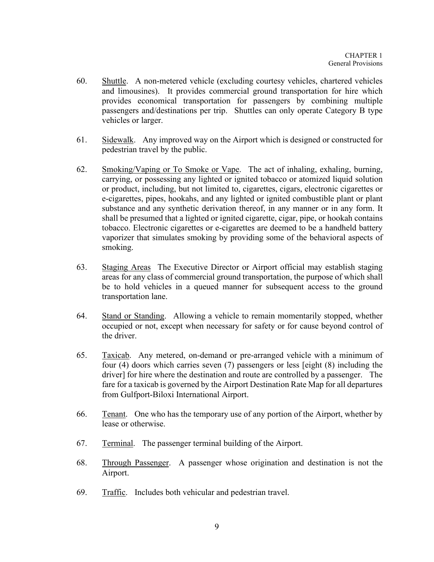- 60. Shuttle. A non-metered vehicle (excluding courtesy vehicles, chartered vehicles and limousines). It provides commercial ground transportation for hire which provides economical transportation for passengers by combining multiple passengers and/destinations per trip. Shuttles can only operate Category B type vehicles or larger.
- 61. Sidewalk. Any improved way on the Airport which is designed or constructed for pedestrian travel by the public.
- 62. Smoking/Vaping or To Smoke or Vape. The act of inhaling, exhaling, burning, carrying, or possessing any lighted or ignited tobacco or atomized liquid solution or product, including, but not limited to, cigarettes, cigars, electronic cigarettes or e-cigarettes, pipes, hookahs, and any lighted or ignited combustible plant or plant substance and any synthetic derivation thereof, in any manner or in any form. It shall be presumed that a lighted or ignited cigarette, cigar, pipe, or hookah contains tobacco. Electronic cigarettes or e-cigarettes are deemed to be a handheld battery vaporizer that simulates smoking by providing some of the behavioral aspects of smoking.
- 63. Staging Areas The Executive Director or Airport official may establish staging areas for any class of commercial ground transportation, the purpose of which shall be to hold vehicles in a queued manner for subsequent access to the ground transportation lane.
- 64. Stand or Standing. Allowing a vehicle to remain momentarily stopped, whether occupied or not, except when necessary for safety or for cause beyond control of the driver.
- 65. Taxicab. Any metered, on-demand or pre-arranged vehicle with a minimum of four (4) doors which carries seven (7) passengers or less [eight (8) including the driver] for hire where the destination and route are controlled by a passenger. The fare for a taxicab is governed by the Airport Destination Rate Map for all departures from Gulfport-Biloxi International Airport.
- 66. Tenant. One who has the temporary use of any portion of the Airport, whether by lease or otherwise.
- 67. Terminal. The passenger terminal building of the Airport.
- 68. Through Passenger. A passenger whose origination and destination is not the Airport.
- 69. Traffic. Includes both vehicular and pedestrian travel.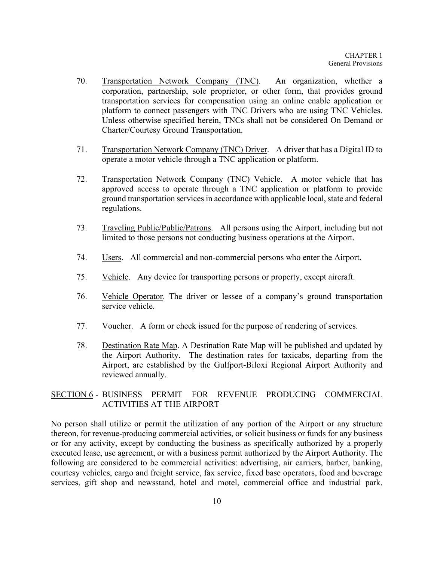- 70. Transportation Network Company (TNC). An organization, whether a corporation, partnership, sole proprietor, or other form, that provides ground transportation services for compensation using an online enable application or platform to connect passengers with TNC Drivers who are using TNC Vehicles. Unless otherwise specified herein, TNCs shall not be considered On Demand or Charter/Courtesy Ground Transportation.
- 71. Transportation Network Company (TNC) Driver. A driver that has a Digital ID to operate a motor vehicle through a TNC application or platform.
- 72. Transportation Network Company (TNC) Vehicle. A motor vehicle that has approved access to operate through a TNC application or platform to provide ground transportation services in accordance with applicable local, state and federal regulations.
- 73. Traveling Public/Public/Patrons. All persons using the Airport, including but not limited to those persons not conducting business operations at the Airport.
- 74. Users. All commercial and non-commercial persons who enter the Airport.
- 75. Vehicle. Any device for transporting persons or property, except aircraft.
- 76. Vehicle Operator. The driver or lessee of a company's ground transportation service vehicle.
- 77. Voucher. A form or check issued for the purpose of rendering of services.
- 78. Destination Rate Map. A Destination Rate Map will be published and updated by the Airport Authority. The destination rates for taxicabs, departing from the Airport, are established by the Gulfport-Biloxi Regional Airport Authority and reviewed annually.

## SECTION 6 - BUSINESS PERMIT FOR REVENUE PRODUCING COMMERCIAL ACTIVITIES AT THE AIRPORT

No person shall utilize or permit the utilization of any portion of the Airport or any structure thereon, for revenue-producing commercial activities, or solicit business or funds for any business or for any activity, except by conducting the business as specifically authorized by a properly executed lease, use agreement, or with a business permit authorized by the Airport Authority. The following are considered to be commercial activities: advertising, air carriers, barber, banking, courtesy vehicles, cargo and freight service, fax service, fixed base operators, food and beverage services, gift shop and newsstand, hotel and motel, commercial office and industrial park,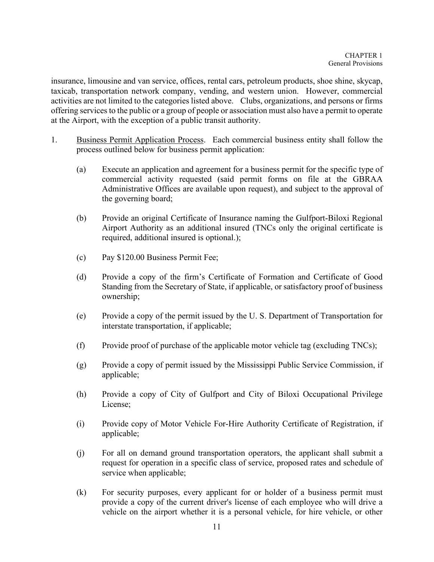insurance, limousine and van service, offices, rental cars, petroleum products, shoe shine, skycap, taxicab, transportation network company, vending, and western union. However, commercial activities are not limited to the categories listed above. Clubs, organizations, and persons or firms offering services to the public or a group of people or association must also have a permit to operate at the Airport, with the exception of a public transit authority.

- 1. Business Permit Application Process. Each commercial business entity shall follow the process outlined below for business permit application:
	- (a) Execute an application and agreement for a business permit for the specific type of commercial activity requested (said permit forms on file at the GBRAA Administrative Offices are available upon request), and subject to the approval of the governing board;
	- (b) Provide an original Certificate of Insurance naming the Gulfport-Biloxi Regional Airport Authority as an additional insured (TNCs only the original certificate is required, additional insured is optional.);
	- (c) Pay \$120.00 Business Permit Fee;
	- (d) Provide a copy of the firm's Certificate of Formation and Certificate of Good Standing from the Secretary of State, if applicable, or satisfactory proof of business ownership;
	- (e) Provide a copy of the permit issued by the U. S. Department of Transportation for interstate transportation, if applicable;
	- (f) Provide proof of purchase of the applicable motor vehicle tag (excluding TNCs);
	- (g) Provide a copy of permit issued by the Mississippi Public Service Commission, if applicable;
	- (h) Provide a copy of City of Gulfport and City of Biloxi Occupational Privilege License;
	- (i) Provide copy of Motor Vehicle For-Hire Authority Certificate of Registration, if applicable;
	- (j) For all on demand ground transportation operators, the applicant shall submit a request for operation in a specific class of service, proposed rates and schedule of service when applicable;
	- (k) For security purposes, every applicant for or holder of a business permit must provide a copy of the current driver's license of each employee who will drive a vehicle on the airport whether it is a personal vehicle, for hire vehicle, or other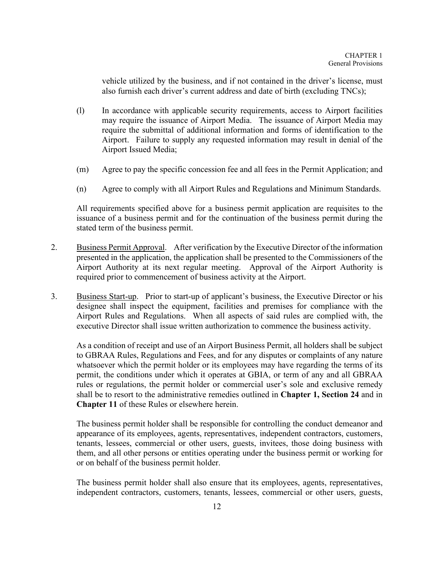vehicle utilized by the business, and if not contained in the driver's license, must also furnish each driver's current address and date of birth (excluding TNCs);

- (l) In accordance with applicable security requirements, access to Airport facilities may require the issuance of Airport Media. The issuance of Airport Media may require the submittal of additional information and forms of identification to the Airport. Failure to supply any requested information may result in denial of the Airport Issued Media;
- (m) Agree to pay the specific concession fee and all fees in the Permit Application; and
- (n) Agree to comply with all Airport Rules and Regulations and Minimum Standards.

All requirements specified above for a business permit application are requisites to the issuance of a business permit and for the continuation of the business permit during the stated term of the business permit.

- 2. Business Permit Approval. After verification by the Executive Director of the information presented in the application, the application shall be presented to the Commissioners of the Airport Authority at its next regular meeting. Approval of the Airport Authority is required prior to commencement of business activity at the Airport.
- 3. Business Start-up. Prior to start-up of applicant's business, the Executive Director or his designee shall inspect the equipment, facilities and premises for compliance with the Airport Rules and Regulations. When all aspects of said rules are complied with, the executive Director shall issue written authorization to commence the business activity.

As a condition of receipt and use of an Airport Business Permit, all holders shall be subject to GBRAA Rules, Regulations and Fees, and for any disputes or complaints of any nature whatsoever which the permit holder or its employees may have regarding the terms of its permit, the conditions under which it operates at GBIA, or term of any and all GBRAA rules or regulations, the permit holder or commercial user's sole and exclusive remedy shall be to resort to the administrative remedies outlined in **Chapter 1, Section 24** and in **Chapter 11** of these Rules or elsewhere herein.

The business permit holder shall be responsible for controlling the conduct demeanor and appearance of its employees, agents, representatives, independent contractors, customers, tenants, lessees, commercial or other users, guests, invitees, those doing business with them, and all other persons or entities operating under the business permit or working for or on behalf of the business permit holder.

The business permit holder shall also ensure that its employees, agents, representatives, independent contractors, customers, tenants, lessees, commercial or other users, guests,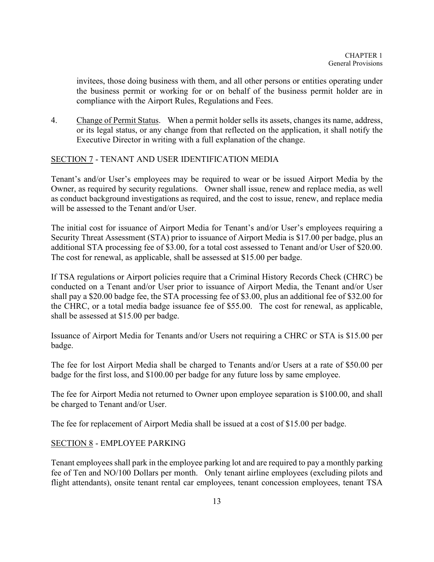invitees, those doing business with them, and all other persons or entities operating under the business permit or working for or on behalf of the business permit holder are in compliance with the Airport Rules, Regulations and Fees.

4. Change of Permit Status. When a permit holder sells its assets, changes its name, address, or its legal status, or any change from that reflected on the application, it shall notify the Executive Director in writing with a full explanation of the change.

## SECTION 7 - TENANT AND USER IDENTIFICATION MEDIA

Tenant's and/or User's employees may be required to wear or be issued Airport Media by the Owner, as required by security regulations. Owner shall issue, renew and replace media, as well as conduct background investigations as required, and the cost to issue, renew, and replace media will be assessed to the Tenant and/or User.

The initial cost for issuance of Airport Media for Tenant's and/or User's employees requiring a Security Threat Assessment (STA) prior to issuance of Airport Media is \$17.00 per badge, plus an additional STA processing fee of \$3.00, for a total cost assessed to Tenant and/or User of \$20.00. The cost for renewal, as applicable, shall be assessed at \$15.00 per badge.

If TSA regulations or Airport policies require that a Criminal History Records Check (CHRC) be conducted on a Tenant and/or User prior to issuance of Airport Media, the Tenant and/or User shall pay a \$20.00 badge fee, the STA processing fee of \$3.00, plus an additional fee of \$32.00 for the CHRC, or a total media badge issuance fee of \$55.00. The cost for renewal, as applicable, shall be assessed at \$15.00 per badge.

Issuance of Airport Media for Tenants and/or Users not requiring a CHRC or STA is \$15.00 per badge.

The fee for lost Airport Media shall be charged to Tenants and/or Users at a rate of \$50.00 per badge for the first loss, and \$100.00 per badge for any future loss by same employee.

The fee for Airport Media not returned to Owner upon employee separation is \$100.00, and shall be charged to Tenant and/or User.

The fee for replacement of Airport Media shall be issued at a cost of \$15.00 per badge.

## SECTION 8 - EMPLOYEE PARKING

Tenant employees shall park in the employee parking lot and are required to pay a monthly parking fee of Ten and NO/100 Dollars per month. Only tenant airline employees (excluding pilots and flight attendants), onsite tenant rental car employees, tenant concession employees, tenant TSA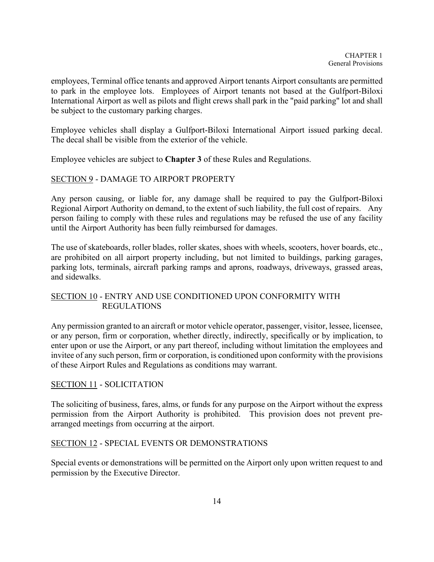employees, Terminal office tenants and approved Airport tenants Airport consultants are permitted to park in the employee lots. Employees of Airport tenants not based at the Gulfport-Biloxi International Airport as well as pilots and flight crews shall park in the "paid parking" lot and shall be subject to the customary parking charges.

Employee vehicles shall display a Gulfport-Biloxi International Airport issued parking decal. The decal shall be visible from the exterior of the vehicle.

Employee vehicles are subject to **Chapter 3** of these Rules and Regulations.

## SECTION 9 - DAMAGE TO AIRPORT PROPERTY

Any person causing, or liable for, any damage shall be required to pay the Gulfport-Biloxi Regional Airport Authority on demand, to the extent of such liability, the full cost of repairs. Any person failing to comply with these rules and regulations may be refused the use of any facility until the Airport Authority has been fully reimbursed for damages.

The use of skateboards, roller blades, roller skates, shoes with wheels, scooters, hover boards, etc., are prohibited on all airport property including, but not limited to buildings, parking garages, parking lots, terminals, aircraft parking ramps and aprons, roadways, driveways, grassed areas, and sidewalks.

# SECTION 10 - ENTRY AND USE CONDITIONED UPON CONFORMITY WITH REGULATIONS

Any permission granted to an aircraft or motor vehicle operator, passenger, visitor, lessee, licensee, or any person, firm or corporation, whether directly, indirectly, specifically or by implication, to enter upon or use the Airport, or any part thereof, including without limitation the employees and invitee of any such person, firm or corporation, is conditioned upon conformity with the provisions of these Airport Rules and Regulations as conditions may warrant.

## SECTION 11 - SOLICITATION

The soliciting of business, fares, alms, or funds for any purpose on the Airport without the express permission from the Airport Authority is prohibited. This provision does not prevent prearranged meetings from occurring at the airport.

## SECTION 12 - SPECIAL EVENTS OR DEMONSTRATIONS

Special events or demonstrations will be permitted on the Airport only upon written request to and permission by the Executive Director.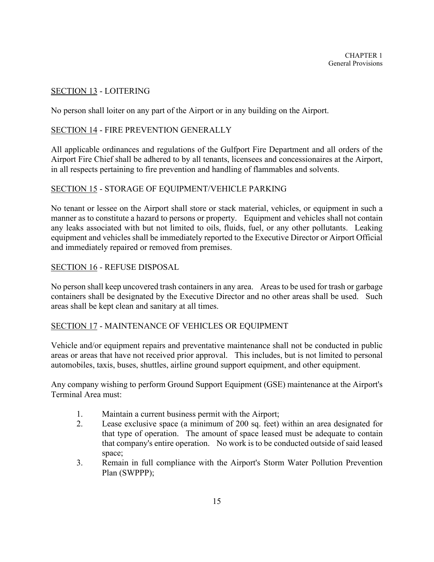## SECTION 13 - LOITERING

No person shall loiter on any part of the Airport or in any building on the Airport.

## SECTION 14 - FIRE PREVENTION GENERALLY

All applicable ordinances and regulations of the Gulfport Fire Department and all orders of the Airport Fire Chief shall be adhered to by all tenants, licensees and concessionaires at the Airport, in all respects pertaining to fire prevention and handling of flammables and solvents.

# SECTION 15 - STORAGE OF EQUIPMENT/VEHICLE PARKING

No tenant or lessee on the Airport shall store or stack material, vehicles, or equipment in such a manner as to constitute a hazard to persons or property. Equipment and vehicles shall not contain any leaks associated with but not limited to oils, fluids, fuel, or any other pollutants. Leaking equipment and vehicles shall be immediately reported to the Executive Director or Airport Official and immediately repaired or removed from premises.

# SECTION 16 - REFUSE DISPOSAL

No person shall keep uncovered trash containers in any area. Areas to be used for trash or garbage containers shall be designated by the Executive Director and no other areas shall be used. Such areas shall be kept clean and sanitary at all times.

## SECTION 17 - MAINTENANCE OF VEHICLES OR EQUIPMENT

Vehicle and/or equipment repairs and preventative maintenance shall not be conducted in public areas or areas that have not received prior approval. This includes, but is not limited to personal automobiles, taxis, buses, shuttles, airline ground support equipment, and other equipment.

Any company wishing to perform Ground Support Equipment (GSE) maintenance at the Airport's Terminal Area must:

- 1. Maintain a current business permit with the Airport;
- 2. Lease exclusive space (a minimum of 200 sq. feet) within an area designated for that type of operation. The amount of space leased must be adequate to contain that company's entire operation. No work is to be conducted outside of said leased space;
- 3. Remain in full compliance with the Airport's Storm Water Pollution Prevention Plan (SWPPP);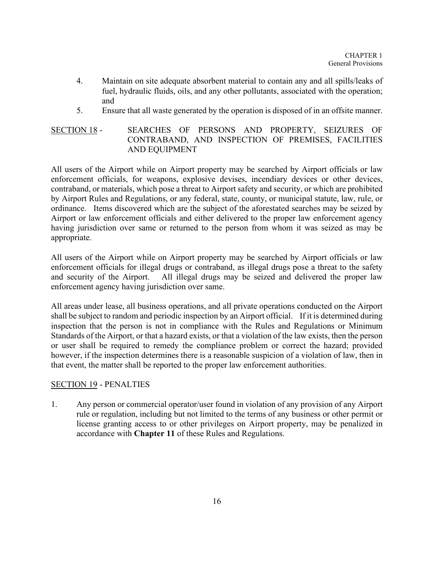- 4. Maintain on site adequate absorbent material to contain any and all spills/leaks of fuel, hydraulic fluids, oils, and any other pollutants, associated with the operation; and
- 5. Ensure that all waste generated by the operation is disposed of in an offsite manner.

## SECTION 18 - SEARCHES OF PERSONS AND PROPERTY, SEIZURES OF CONTRABAND, AND INSPECTION OF PREMISES, FACILITIES AND EQUIPMENT

All users of the Airport while on Airport property may be searched by Airport officials or law enforcement officials, for weapons, explosive devises, incendiary devices or other devices, contraband, or materials, which pose a threat to Airport safety and security, or which are prohibited by Airport Rules and Regulations, or any federal, state, county, or municipal statute, law, rule, or ordinance. Items discovered which are the subject of the aforestated searches may be seized by Airport or law enforcement officials and either delivered to the proper law enforcement agency having jurisdiction over same or returned to the person from whom it was seized as may be appropriate.

All users of the Airport while on Airport property may be searched by Airport officials or law enforcement officials for illegal drugs or contraband, as illegal drugs pose a threat to the safety and security of the Airport. All illegal drugs may be seized and delivered the proper law enforcement agency having jurisdiction over same.

All areas under lease, all business operations, and all private operations conducted on the Airport shall be subject to random and periodic inspection by an Airport official. If it is determined during inspection that the person is not in compliance with the Rules and Regulations or Minimum Standards of the Airport, or that a hazard exists, or that a violation of the law exists, then the person or user shall be required to remedy the compliance problem or correct the hazard; provided however, if the inspection determines there is a reasonable suspicion of a violation of law, then in that event, the matter shall be reported to the proper law enforcement authorities.

## SECTION 19 - PENALTIES

1. Any person or commercial operator/user found in violation of any provision of any Airport rule or regulation, including but not limited to the terms of any business or other permit or license granting access to or other privileges on Airport property, may be penalized in accordance with **Chapter 11** of these Rules and Regulations.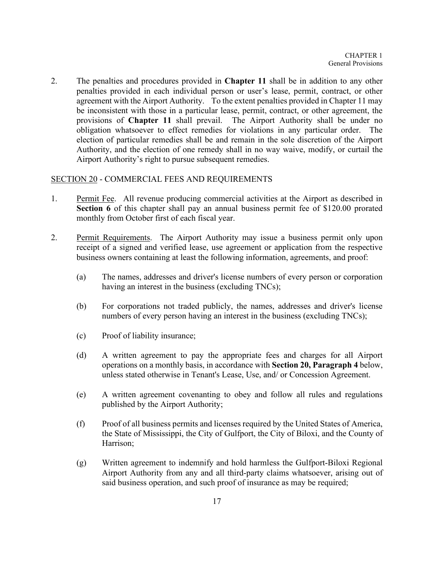2. The penalties and procedures provided in **Chapter 11** shall be in addition to any other penalties provided in each individual person or user's lease, permit, contract, or other agreement with the Airport Authority. To the extent penalties provided in Chapter 11 may be inconsistent with those in a particular lease, permit, contract, or other agreement, the provisions of **Chapter 11** shall prevail. The Airport Authority shall be under no obligation whatsoever to effect remedies for violations in any particular order. The election of particular remedies shall be and remain in the sole discretion of the Airport Authority, and the election of one remedy shall in no way waive, modify, or curtail the Airport Authority's right to pursue subsequent remedies.

## SECTION 20 - COMMERCIAL FEES AND REQUIREMENTS

- 1. Permit Fee. All revenue producing commercial activities at the Airport as described in **Section 6** of this chapter shall pay an annual business permit fee of \$120.00 prorated monthly from October first of each fiscal year.
- 2. Permit Requirements. The Airport Authority may issue a business permit only upon receipt of a signed and verified lease, use agreement or application from the respective business owners containing at least the following information, agreements, and proof:
	- (a) The names, addresses and driver's license numbers of every person or corporation having an interest in the business (excluding TNCs);
	- (b) For corporations not traded publicly, the names, addresses and driver's license numbers of every person having an interest in the business (excluding TNCs);
	- (c) Proof of liability insurance;
	- (d) A written agreement to pay the appropriate fees and charges for all Airport operations on a monthly basis, in accordance with **Section 20, Paragraph 4** below, unless stated otherwise in Tenant's Lease, Use, and/ or Concession Agreement.
	- (e) A written agreement covenanting to obey and follow all rules and regulations published by the Airport Authority;
	- (f) Proof of all business permits and licenses required by the United States of America, the State of Mississippi, the City of Gulfport, the City of Biloxi, and the County of Harrison;
	- (g) Written agreement to indemnify and hold harmless the Gulfport-Biloxi Regional Airport Authority from any and all third-party claims whatsoever, arising out of said business operation, and such proof of insurance as may be required;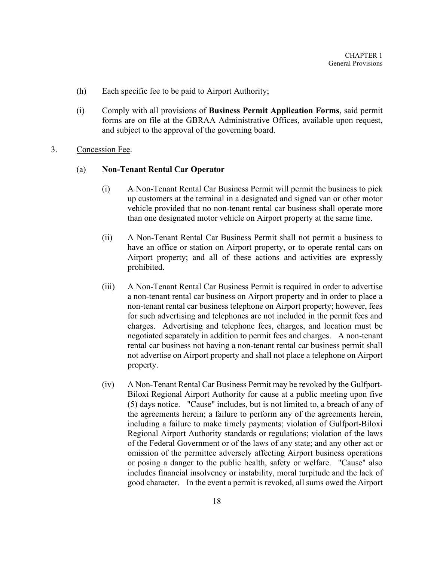- (h) Each specific fee to be paid to Airport Authority;
- (i) Comply with all provisions of **Business Permit Application Forms**, said permit forms are on file at the GBRAA Administrative Offices, available upon request, and subject to the approval of the governing board.
- 3. Concession Fee.

#### (a) **Non-Tenant Rental Car Operator**

- (i) A Non-Tenant Rental Car Business Permit will permit the business to pick up customers at the terminal in a designated and signed van or other motor vehicle provided that no non-tenant rental car business shall operate more than one designated motor vehicle on Airport property at the same time.
- (ii) A Non-Tenant Rental Car Business Permit shall not permit a business to have an office or station on Airport property, or to operate rental cars on Airport property; and all of these actions and activities are expressly prohibited.
- (iii) A Non-Tenant Rental Car Business Permit is required in order to advertise a non-tenant rental car business on Airport property and in order to place a non-tenant rental car business telephone on Airport property; however, fees for such advertising and telephones are not included in the permit fees and charges. Advertising and telephone fees, charges, and location must be negotiated separately in addition to permit fees and charges. A non-tenant rental car business not having a non-tenant rental car business permit shall not advertise on Airport property and shall not place a telephone on Airport property.
- (iv) A Non-Tenant Rental Car Business Permit may be revoked by the Gulfport-Biloxi Regional Airport Authority for cause at a public meeting upon five (5) days notice. "Cause" includes, but is not limited to, a breach of any of the agreements herein; a failure to perform any of the agreements herein, including a failure to make timely payments; violation of Gulfport-Biloxi Regional Airport Authority standards or regulations; violation of the laws of the Federal Government or of the laws of any state; and any other act or omission of the permittee adversely affecting Airport business operations or posing a danger to the public health, safety or welfare. "Cause" also includes financial insolvency or instability, moral turpitude and the lack of good character. In the event a permit is revoked, all sums owed the Airport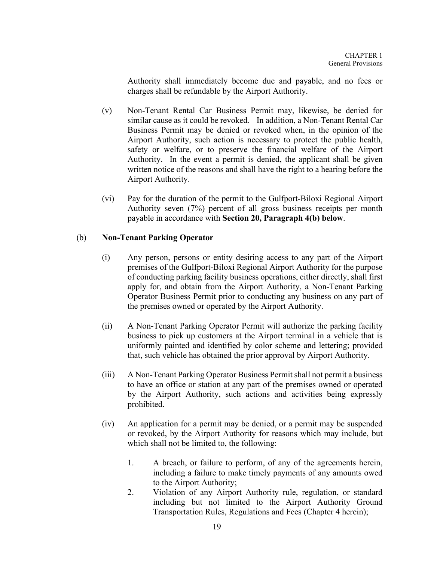Authority shall immediately become due and payable, and no fees or charges shall be refundable by the Airport Authority.

- (v) Non-Tenant Rental Car Business Permit may, likewise, be denied for similar cause as it could be revoked. In addition, a Non-Tenant Rental Car Business Permit may be denied or revoked when, in the opinion of the Airport Authority, such action is necessary to protect the public health, safety or welfare, or to preserve the financial welfare of the Airport Authority. In the event a permit is denied, the applicant shall be given written notice of the reasons and shall have the right to a hearing before the Airport Authority.
- (vi) Pay for the duration of the permit to the Gulfport-Biloxi Regional Airport Authority seven (7%) percent of all gross business receipts per month payable in accordance with **Section 20, Paragraph 4(b) below**.

## (b) **Non-Tenant Parking Operator**

- (i) Any person, persons or entity desiring access to any part of the Airport premises of the Gulfport-Biloxi Regional Airport Authority for the purpose of conducting parking facility business operations, either directly, shall first apply for, and obtain from the Airport Authority, a Non-Tenant Parking Operator Business Permit prior to conducting any business on any part of the premises owned or operated by the Airport Authority.
- (ii) A Non-Tenant Parking Operator Permit will authorize the parking facility business to pick up customers at the Airport terminal in a vehicle that is uniformly painted and identified by color scheme and lettering; provided that, such vehicle has obtained the prior approval by Airport Authority.
- (iii) A Non-Tenant Parking Operator Business Permit shall not permit a business to have an office or station at any part of the premises owned or operated by the Airport Authority, such actions and activities being expressly prohibited.
- (iv) An application for a permit may be denied, or a permit may be suspended or revoked, by the Airport Authority for reasons which may include, but which shall not be limited to, the following:
	- 1. A breach, or failure to perform, of any of the agreements herein, including a failure to make timely payments of any amounts owed to the Airport Authority;
	- 2. Violation of any Airport Authority rule, regulation, or standard including but not limited to the Airport Authority Ground Transportation Rules, Regulations and Fees (Chapter 4 herein);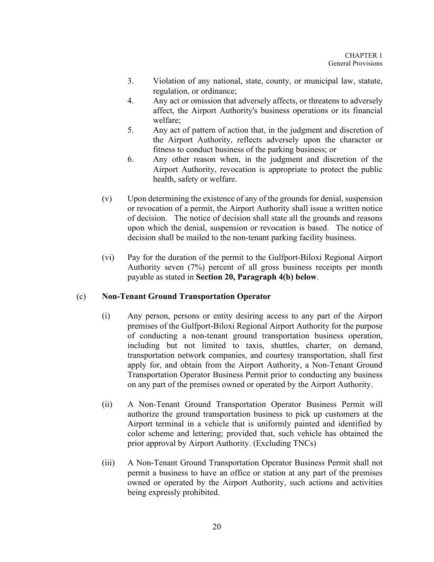- 3. Violation of any national, state, county, or municipal law, statute, regulation, or ordinance;
- 4. Any act or omission that adversely affects, or threatens to adversely affect, the Airport Authority's business operations or its financial welfare;
- 5. Any act of pattern of action that, in the judgment and discretion of the Airport Authority, reflects adversely upon the character or fitness to conduct business of the parking business; or
- 6. Any other reason when, in the judgment and discretion of the Airport Authority, revocation is appropriate to protect the public health, safety or welfare.
- (v) Upon determining the existence of any of the grounds for denial, suspension or revocation of a permit, the Airport Authority shall issue a written notice of decision. The notice of decision shall state all the grounds and reasons upon which the denial, suspension or revocation is based. The notice of decision shall be mailed to the non-tenant parking facility business.
- (vi) Pay for the duration of the permit to the Gulfport-Biloxi Regional Airport Authority seven (7%) percent of all gross business receipts per month payable as stated in **Section 20, Paragraph 4(b) below**.

# (c) **Non-Tenant Ground Transportation Operator**

- (i) Any person, persons or entity desiring access to any part of the Airport premises of the Gulfport-Biloxi Regional Airport Authority for the purpose of conducting a non-tenant ground transportation business operation, including but not limited to taxis, shuttles, charter, on demand, transportation network companies, and courtesy transportation, shall first apply for, and obtain from the Airport Authority, a Non-Tenant Ground Transportation Operator Business Permit prior to conducting any business on any part of the premises owned or operated by the Airport Authority.
- (ii) A Non-Tenant Ground Transportation Operator Business Permit will authorize the ground transportation business to pick up customers at the Airport terminal in a vehicle that is uniformly painted and identified by color scheme and lettering; provided that, such vehicle has obtained the prior approval by Airport Authority. (Excluding TNCs)
- (iii) A Non-Tenant Ground Transportation Operator Business Permit shall not permit a business to have an office or station at any part of the premises owned or operated by the Airport Authority, such actions and activities being expressly prohibited.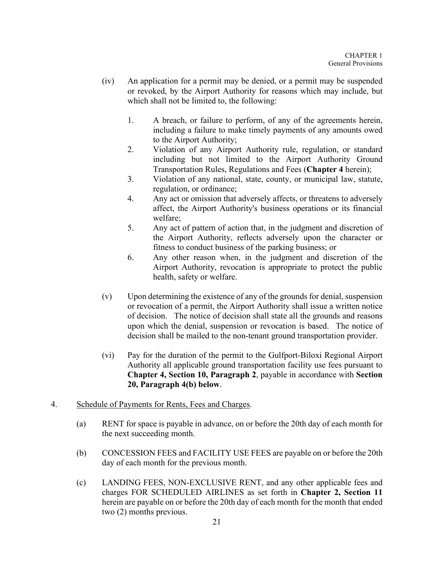- (iv) An application for a permit may be denied, or a permit may be suspended or revoked, by the Airport Authority for reasons which may include, but which shall not be limited to, the following:
	- 1. A breach, or failure to perform, of any of the agreements herein, including a failure to make timely payments of any amounts owed to the Airport Authority;
	- 2. Violation of any Airport Authority rule, regulation, or standard including but not limited to the Airport Authority Ground Transportation Rules, Regulations and Fees (**Chapter 4** herein);
	- 3. Violation of any national, state, county, or municipal law, statute, regulation, or ordinance;
	- 4. Any act or omission that adversely affects, or threatens to adversely affect, the Airport Authority's business operations or its financial welfare;
	- 5. Any act of pattern of action that, in the judgment and discretion of the Airport Authority, reflects adversely upon the character or fitness to conduct business of the parking business; or
	- 6. Any other reason when, in the judgment and discretion of the Airport Authority, revocation is appropriate to protect the public health, safety or welfare.
- (v) Upon determining the existence of any of the grounds for denial, suspension or revocation of a permit, the Airport Authority shall issue a written notice of decision. The notice of decision shall state all the grounds and reasons upon which the denial, suspension or revocation is based. The notice of decision shall be mailed to the non-tenant ground transportation provider.
- (vi) Pay for the duration of the permit to the Gulfport-Biloxi Regional Airport Authority all applicable ground transportation facility use fees pursuant to **Chapter 4, Section 10, Paragraph 2**, payable in accordance with **Section 20, Paragraph 4(b) below**.

## 4. Schedule of Payments for Rents, Fees and Charges.

- (a) RENT for space is payable in advance, on or before the 20th day of each month for the next succeeding month.
- (b) CONCESSION FEES and FACILITY USE FEES are payable on or before the 20th day of each month for the previous month.
- (c) LANDING FEES, NON-EXCLUSIVE RENT, and any other applicable fees and charges FOR SCHEDULED AIRLINES as set forth in **Chapter 2, Section 11** herein are payable on or before the 20th day of each month for the month that ended two (2) months previous.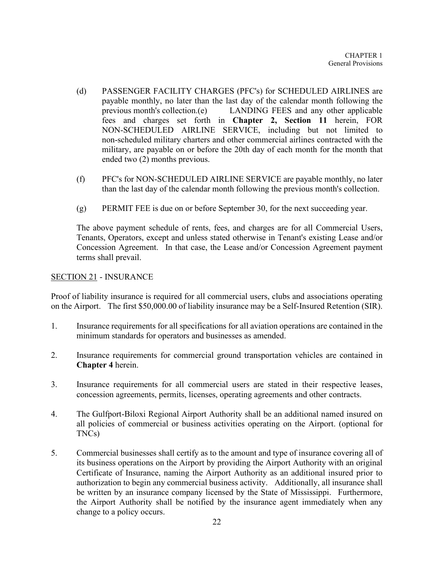- (d) PASSENGER FACILITY CHARGES (PFC's) for SCHEDULED AIRLINES are payable monthly, no later than the last day of the calendar month following the previous month's collection.(e) LANDING FEES and any other applicable fees and charges set forth in **Chapter 2, Section 11** herein, FOR NON-SCHEDULED AIRLINE SERVICE, including but not limited to non-scheduled military charters and other commercial airlines contracted with the military, are payable on or before the 20th day of each month for the month that ended two (2) months previous.
- (f) PFC's for NON-SCHEDULED AIRLINE SERVICE are payable monthly, no later than the last day of the calendar month following the previous month's collection.
- (g) PERMIT FEE is due on or before September 30, for the next succeeding year.

The above payment schedule of rents, fees, and charges are for all Commercial Users, Tenants, Operators, except and unless stated otherwise in Tenant's existing Lease and/or Concession Agreement. In that case, the Lease and/or Concession Agreement payment terms shall prevail.

## SECTION 21 - INSURANCE

Proof of liability insurance is required for all commercial users, clubs and associations operating on the Airport. The first \$50,000.00 of liability insurance may be a Self-Insured Retention (SIR).

- 1. Insurance requirements for all specifications for all aviation operations are contained in the minimum standards for operators and businesses as amended.
- 2. Insurance requirements for commercial ground transportation vehicles are contained in **Chapter 4** herein.
- 3. Insurance requirements for all commercial users are stated in their respective leases, concession agreements, permits, licenses, operating agreements and other contracts.
- 4. The Gulfport-Biloxi Regional Airport Authority shall be an additional named insured on all policies of commercial or business activities operating on the Airport. (optional for TNCs)
- 5. Commercial businesses shall certify as to the amount and type of insurance covering all of its business operations on the Airport by providing the Airport Authority with an original Certificate of Insurance, naming the Airport Authority as an additional insured prior to authorization to begin any commercial business activity. Additionally, all insurance shall be written by an insurance company licensed by the State of Mississippi. Furthermore, the Airport Authority shall be notified by the insurance agent immediately when any change to a policy occurs.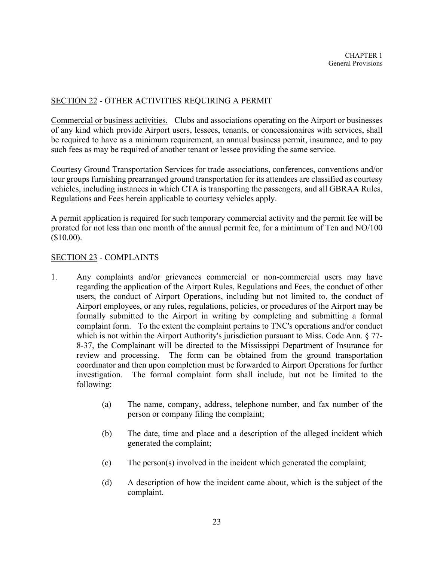### SECTION 22 - OTHER ACTIVITIES REQUIRING A PERMIT

Commercial or business activities. Clubs and associations operating on the Airport or businesses of any kind which provide Airport users, lessees, tenants, or concessionaires with services, shall be required to have as a minimum requirement, an annual business permit, insurance, and to pay such fees as may be required of another tenant or lessee providing the same service.

Courtesy Ground Transportation Services for trade associations, conferences, conventions and/or tour groups furnishing prearranged ground transportation for its attendees are classified as courtesy vehicles, including instances in which CTA is transporting the passengers, and all GBRAA Rules, Regulations and Fees herein applicable to courtesy vehicles apply.

A permit application is required for such temporary commercial activity and the permit fee will be prorated for not less than one month of the annual permit fee, for a minimum of Ten and NO/100 (\$10.00).

#### SECTION 23 - COMPLAINTS

- 1. Any complaints and/or grievances commercial or non-commercial users may have regarding the application of the Airport Rules, Regulations and Fees, the conduct of other users, the conduct of Airport Operations, including but not limited to, the conduct of Airport employees, or any rules, regulations, policies, or procedures of the Airport may be formally submitted to the Airport in writing by completing and submitting a formal complaint form. To the extent the complaint pertains to TNC's operations and/or conduct which is not within the Airport Authority's jurisdiction pursuant to Miss. Code Ann. § 77- 8-37, the Complainant will be directed to the Mississippi Department of Insurance for review and processing. The form can be obtained from the ground transportation coordinator and then upon completion must be forwarded to Airport Operations for further investigation. The formal complaint form shall include, but not be limited to the following:
	- (a) The name, company, address, telephone number, and fax number of the person or company filing the complaint;
	- (b) The date, time and place and a description of the alleged incident which generated the complaint;
	- (c) The person(s) involved in the incident which generated the complaint;
	- (d) A description of how the incident came about, which is the subject of the complaint.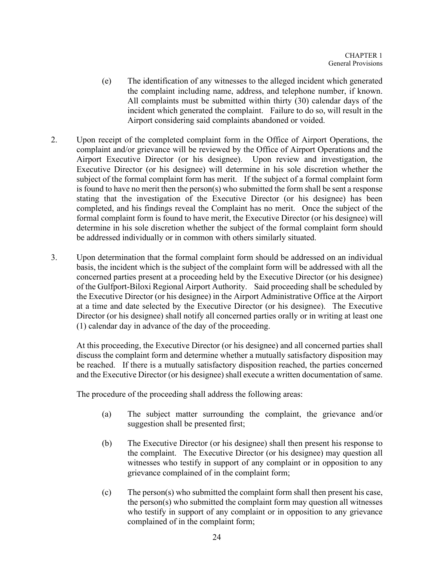- (e) The identification of any witnesses to the alleged incident which generated the complaint including name, address, and telephone number, if known. All complaints must be submitted within thirty (30) calendar days of the incident which generated the complaint. Failure to do so, will result in the Airport considering said complaints abandoned or voided.
- 2. Upon receipt of the completed complaint form in the Office of Airport Operations, the complaint and/or grievance will be reviewed by the Office of Airport Operations and the Airport Executive Director (or his designee). Upon review and investigation, the Executive Director (or his designee) will determine in his sole discretion whether the subject of the formal complaint form has merit. If the subject of a formal complaint form is found to have no merit then the person(s) who submitted the form shall be sent a response stating that the investigation of the Executive Director (or his designee) has been completed, and his findings reveal the Complaint has no merit. Once the subject of the formal complaint form is found to have merit, the Executive Director (or his designee) will determine in his sole discretion whether the subject of the formal complaint form should be addressed individually or in common with others similarly situated.
- 3. Upon determination that the formal complaint form should be addressed on an individual basis, the incident which is the subject of the complaint form will be addressed with all the concerned parties present at a proceeding held by the Executive Director (or his designee) of the Gulfport-Biloxi Regional Airport Authority. Said proceeding shall be scheduled by the Executive Director (or his designee) in the Airport Administrative Office at the Airport at a time and date selected by the Executive Director (or his designee). The Executive Director (or his designee) shall notify all concerned parties orally or in writing at least one (1) calendar day in advance of the day of the proceeding.

At this proceeding, the Executive Director (or his designee) and all concerned parties shall discuss the complaint form and determine whether a mutually satisfactory disposition may be reached. If there is a mutually satisfactory disposition reached, the parties concerned and the Executive Director (or his designee) shall execute a written documentation of same.

The procedure of the proceeding shall address the following areas:

- (a) The subject matter surrounding the complaint, the grievance and/or suggestion shall be presented first;
- (b) The Executive Director (or his designee) shall then present his response to the complaint. The Executive Director (or his designee) may question all witnesses who testify in support of any complaint or in opposition to any grievance complained of in the complaint form;
- (c) The person(s) who submitted the complaint form shall then present his case, the person(s) who submitted the complaint form may question all witnesses who testify in support of any complaint or in opposition to any grievance complained of in the complaint form;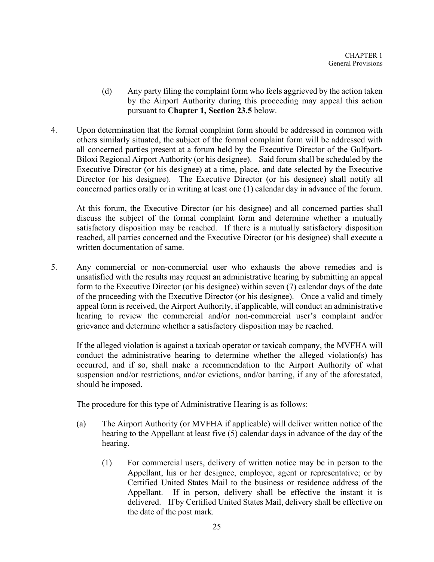- (d) Any party filing the complaint form who feels aggrieved by the action taken by the Airport Authority during this proceeding may appeal this action pursuant to **Chapter 1, Section 23.5** below.
- 4. Upon determination that the formal complaint form should be addressed in common with others similarly situated, the subject of the formal complaint form will be addressed with all concerned parties present at a forum held by the Executive Director of the Gulfport-Biloxi Regional Airport Authority (or his designee). Said forum shall be scheduled by the Executive Director (or his designee) at a time, place, and date selected by the Executive Director (or his designee). The Executive Director (or his designee) shall notify all concerned parties orally or in writing at least one (1) calendar day in advance of the forum.

At this forum, the Executive Director (or his designee) and all concerned parties shall discuss the subject of the formal complaint form and determine whether a mutually satisfactory disposition may be reached. If there is a mutually satisfactory disposition reached, all parties concerned and the Executive Director (or his designee) shall execute a written documentation of same.

5. Any commercial or non-commercial user who exhausts the above remedies and is unsatisfied with the results may request an administrative hearing by submitting an appeal form to the Executive Director (or his designee) within seven (7) calendar days of the date of the proceeding with the Executive Director (or his designee). Once a valid and timely appeal form is received, the Airport Authority, if applicable, will conduct an administrative hearing to review the commercial and/or non-commercial user's complaint and/or grievance and determine whether a satisfactory disposition may be reached.

If the alleged violation is against a taxicab operator or taxicab company, the MVFHA will conduct the administrative hearing to determine whether the alleged violation(s) has occurred, and if so, shall make a recommendation to the Airport Authority of what suspension and/or restrictions, and/or evictions, and/or barring, if any of the aforestated, should be imposed.

The procedure for this type of Administrative Hearing is as follows:

- (a) The Airport Authority (or MVFHA if applicable) will deliver written notice of the hearing to the Appellant at least five (5) calendar days in advance of the day of the hearing.
	- (1) For commercial users, delivery of written notice may be in person to the Appellant, his or her designee, employee, agent or representative; or by Certified United States Mail to the business or residence address of the Appellant. If in person, delivery shall be effective the instant it is delivered. If by Certified United States Mail, delivery shall be effective on the date of the post mark.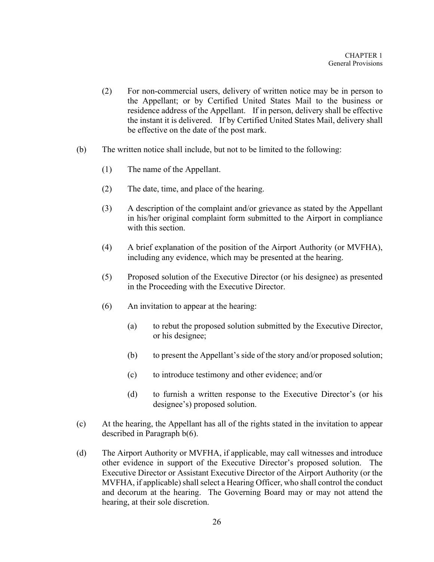- (2) For non-commercial users, delivery of written notice may be in person to the Appellant; or by Certified United States Mail to the business or residence address of the Appellant. If in person, delivery shall be effective the instant it is delivered. If by Certified United States Mail, delivery shall be effective on the date of the post mark.
- (b) The written notice shall include, but not to be limited to the following:
	- (1) The name of the Appellant.
	- (2) The date, time, and place of the hearing.
	- (3) A description of the complaint and/or grievance as stated by the Appellant in his/her original complaint form submitted to the Airport in compliance with this section.
	- (4) A brief explanation of the position of the Airport Authority (or MVFHA), including any evidence, which may be presented at the hearing.
	- (5) Proposed solution of the Executive Director (or his designee) as presented in the Proceeding with the Executive Director.
	- (6) An invitation to appear at the hearing:
		- (a) to rebut the proposed solution submitted by the Executive Director, or his designee;
		- (b) to present the Appellant's side of the story and/or proposed solution;
		- (c) to introduce testimony and other evidence; and/or
		- (d) to furnish a written response to the Executive Director's (or his designee's) proposed solution.
- (c) At the hearing, the Appellant has all of the rights stated in the invitation to appear described in Paragraph b(6).
- (d) The Airport Authority or MVFHA, if applicable, may call witnesses and introduce other evidence in support of the Executive Director's proposed solution. The Executive Director or Assistant Executive Director of the Airport Authority (or the MVFHA, if applicable) shall select a Hearing Officer, who shall control the conduct and decorum at the hearing. The Governing Board may or may not attend the hearing, at their sole discretion.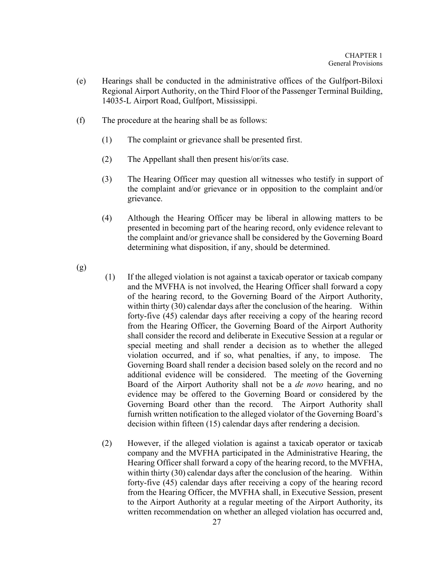- (e) Hearings shall be conducted in the administrative offices of the Gulfport-Biloxi Regional Airport Authority, on the Third Floor of the Passenger Terminal Building, 14035-L Airport Road, Gulfport, Mississippi.
- (f) The procedure at the hearing shall be as follows:
	- (1) The complaint or grievance shall be presented first.
	- (2) The Appellant shall then present his/or/its case.
	- (3) The Hearing Officer may question all witnesses who testify in support of the complaint and/or grievance or in opposition to the complaint and/or grievance.
	- (4) Although the Hearing Officer may be liberal in allowing matters to be presented in becoming part of the hearing record, only evidence relevant to the complaint and/or grievance shall be considered by the Governing Board determining what disposition, if any, should be determined.
- (g)
- (1) If the alleged violation is not against a taxicab operator or taxicab company and the MVFHA is not involved, the Hearing Officer shall forward a copy of the hearing record, to the Governing Board of the Airport Authority, within thirty (30) calendar days after the conclusion of the hearing. Within forty-five (45) calendar days after receiving a copy of the hearing record from the Hearing Officer, the Governing Board of the Airport Authority shall consider the record and deliberate in Executive Session at a regular or special meeting and shall render a decision as to whether the alleged violation occurred, and if so, what penalties, if any, to impose. The Governing Board shall render a decision based solely on the record and no additional evidence will be considered. The meeting of the Governing Board of the Airport Authority shall not be a *de novo* hearing, and no evidence may be offered to the Governing Board or considered by the Governing Board other than the record. The Airport Authority shall furnish written notification to the alleged violator of the Governing Board's decision within fifteen (15) calendar days after rendering a decision.
- (2) However, if the alleged violation is against a taxicab operator or taxicab company and the MVFHA participated in the Administrative Hearing, the Hearing Officer shall forward a copy of the hearing record, to the MVFHA, within thirty (30) calendar days after the conclusion of the hearing. Within forty-five (45) calendar days after receiving a copy of the hearing record from the Hearing Officer, the MVFHA shall, in Executive Session, present to the Airport Authority at a regular meeting of the Airport Authority, its written recommendation on whether an alleged violation has occurred and,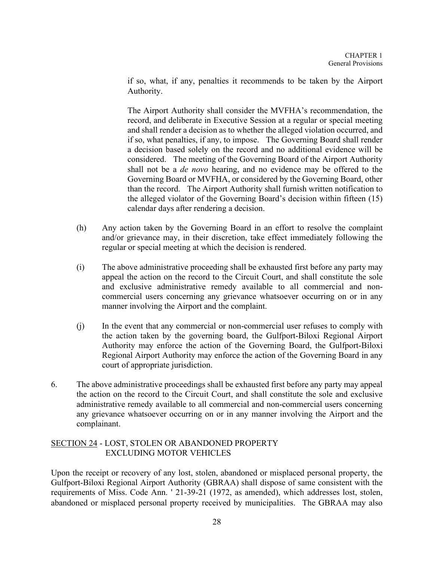if so, what, if any, penalties it recommends to be taken by the Airport Authority.

The Airport Authority shall consider the MVFHA's recommendation, the record, and deliberate in Executive Session at a regular or special meeting and shall render a decision as to whether the alleged violation occurred, and if so, what penalties, if any, to impose. The Governing Board shall render a decision based solely on the record and no additional evidence will be considered. The meeting of the Governing Board of the Airport Authority shall not be a *de novo* hearing, and no evidence may be offered to the Governing Board or MVFHA, or considered by the Governing Board, other than the record. The Airport Authority shall furnish written notification to the alleged violator of the Governing Board's decision within fifteen (15) calendar days after rendering a decision.

- (h) Any action taken by the Governing Board in an effort to resolve the complaint and/or grievance may, in their discretion, take effect immediately following the regular or special meeting at which the decision is rendered.
- (i) The above administrative proceeding shall be exhausted first before any party may appeal the action on the record to the Circuit Court, and shall constitute the sole and exclusive administrative remedy available to all commercial and noncommercial users concerning any grievance whatsoever occurring on or in any manner involving the Airport and the complaint.
- (j) In the event that any commercial or non-commercial user refuses to comply with the action taken by the governing board, the Gulfport-Biloxi Regional Airport Authority may enforce the action of the Governing Board, the Gulfport-Biloxi Regional Airport Authority may enforce the action of the Governing Board in any court of appropriate jurisdiction.
- 6. The above administrative proceedings shall be exhausted first before any party may appeal the action on the record to the Circuit Court, and shall constitute the sole and exclusive administrative remedy available to all commercial and non-commercial users concerning any grievance whatsoever occurring on or in any manner involving the Airport and the complainant.

# SECTION 24 - LOST, STOLEN OR ABANDONED PROPERTY EXCLUDING MOTOR VEHICLES

Upon the receipt or recovery of any lost, stolen, abandoned or misplaced personal property, the Gulfport-Biloxi Regional Airport Authority (GBRAA) shall dispose of same consistent with the requirements of Miss. Code Ann. ' 21-39-21 (1972, as amended), which addresses lost, stolen, abandoned or misplaced personal property received by municipalities. The GBRAA may also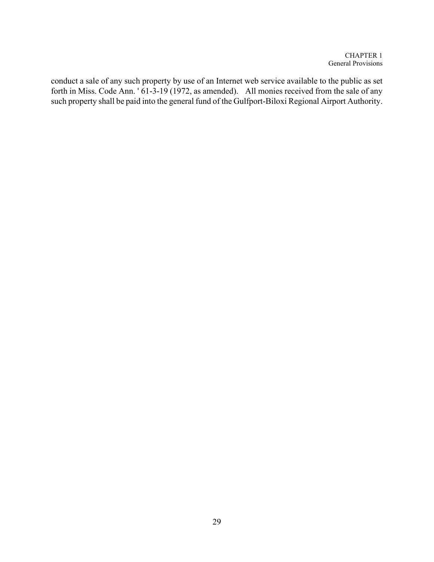conduct a sale of any such property by use of an Internet web service available to the public as set forth in Miss. Code Ann. ' 61-3-19 (1972, as amended). All monies received from the sale of any such property shall be paid into the general fund of the Gulfport-Biloxi Regional Airport Authority.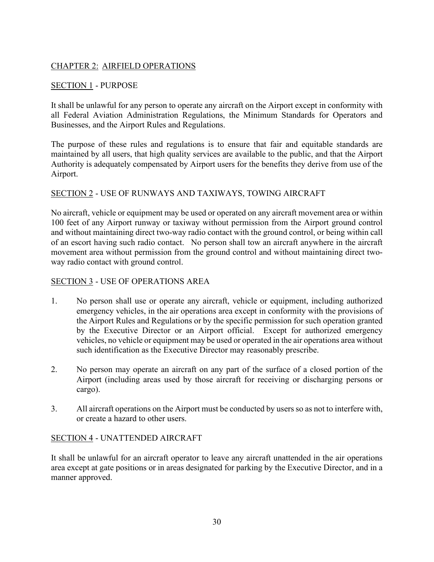# CHAPTER 2: AIRFIELD OPERATIONS

## SECTION 1 - PURPOSE

It shall be unlawful for any person to operate any aircraft on the Airport except in conformity with all Federal Aviation Administration Regulations, the Minimum Standards for Operators and Businesses, and the Airport Rules and Regulations.

The purpose of these rules and regulations is to ensure that fair and equitable standards are maintained by all users, that high quality services are available to the public, and that the Airport Authority is adequately compensated by Airport users for the benefits they derive from use of the Airport.

# SECTION 2 - USE OF RUNWAYS AND TAXIWAYS, TOWING AIRCRAFT

No aircraft, vehicle or equipment may be used or operated on any aircraft movement area or within 100 feet of any Airport runway or taxiway without permission from the Airport ground control and without maintaining direct two-way radio contact with the ground control, or being within call of an escort having such radio contact. No person shall tow an aircraft anywhere in the aircraft movement area without permission from the ground control and without maintaining direct twoway radio contact with ground control.

### SECTION 3 - USE OF OPERATIONS AREA

- 1. No person shall use or operate any aircraft, vehicle or equipment, including authorized emergency vehicles, in the air operations area except in conformity with the provisions of the Airport Rules and Regulations or by the specific permission for such operation granted by the Executive Director or an Airport official. Except for authorized emergency vehicles, no vehicle or equipment may be used or operated in the air operations area without such identification as the Executive Director may reasonably prescribe.
- 2. No person may operate an aircraft on any part of the surface of a closed portion of the Airport (including areas used by those aircraft for receiving or discharging persons or cargo).
- 3. All aircraft operations on the Airport must be conducted by users so as not to interfere with, or create a hazard to other users.

### SECTION 4 - UNATTENDED AIRCRAFT

It shall be unlawful for an aircraft operator to leave any aircraft unattended in the air operations area except at gate positions or in areas designated for parking by the Executive Director, and in a manner approved.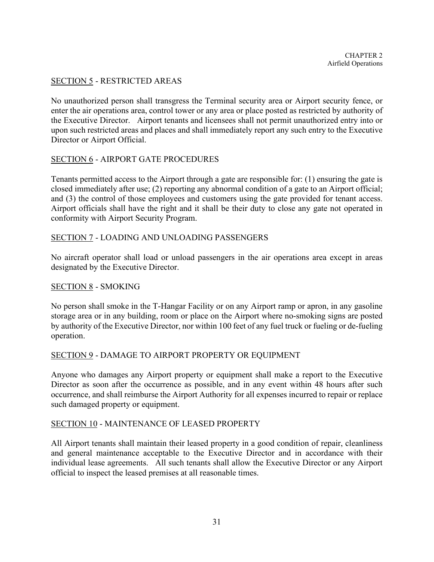#### SECTION 5 - RESTRICTED AREAS

No unauthorized person shall transgress the Terminal security area or Airport security fence, or enter the air operations area, control tower or any area or place posted as restricted by authority of the Executive Director. Airport tenants and licensees shall not permit unauthorized entry into or upon such restricted areas and places and shall immediately report any such entry to the Executive Director or Airport Official.

### SECTION 6 - AIRPORT GATE PROCEDURES

Tenants permitted access to the Airport through a gate are responsible for: (1) ensuring the gate is closed immediately after use; (2) reporting any abnormal condition of a gate to an Airport official; and (3) the control of those employees and customers using the gate provided for tenant access. Airport officials shall have the right and it shall be their duty to close any gate not operated in conformity with Airport Security Program.

#### SECTION 7 - LOADING AND UNLOADING PASSENGERS

No aircraft operator shall load or unload passengers in the air operations area except in areas designated by the Executive Director.

### SECTION 8 - SMOKING

No person shall smoke in the T-Hangar Facility or on any Airport ramp or apron, in any gasoline storage area or in any building, room or place on the Airport where no-smoking signs are posted by authority of the Executive Director, nor within 100 feet of any fuel truck or fueling or de-fueling operation.

### SECTION 9 - DAMAGE TO AIRPORT PROPERTY OR EQUIPMENT

Anyone who damages any Airport property or equipment shall make a report to the Executive Director as soon after the occurrence as possible, and in any event within 48 hours after such occurrence, and shall reimburse the Airport Authority for all expenses incurred to repair or replace such damaged property or equipment.

#### SECTION 10 - MAINTENANCE OF LEASED PROPERTY

All Airport tenants shall maintain their leased property in a good condition of repair, cleanliness and general maintenance acceptable to the Executive Director and in accordance with their individual lease agreements. All such tenants shall allow the Executive Director or any Airport official to inspect the leased premises at all reasonable times.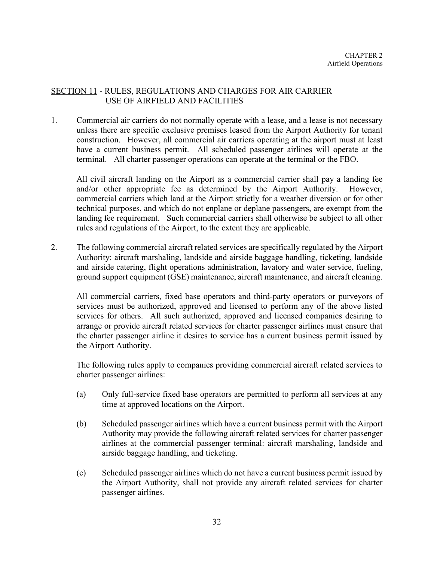### SECTION 11 - RULES, REGULATIONS AND CHARGES FOR AIR CARRIER USE OF AIRFIELD AND FACILITIES

1. Commercial air carriers do not normally operate with a lease, and a lease is not necessary unless there are specific exclusive premises leased from the Airport Authority for tenant construction. However, all commercial air carriers operating at the airport must at least have a current business permit. All scheduled passenger airlines will operate at the terminal. All charter passenger operations can operate at the terminal or the FBO.

All civil aircraft landing on the Airport as a commercial carrier shall pay a landing fee and/or other appropriate fee as determined by the Airport Authority. However, commercial carriers which land at the Airport strictly for a weather diversion or for other technical purposes, and which do not enplane or deplane passengers, are exempt from the landing fee requirement. Such commercial carriers shall otherwise be subject to all other rules and regulations of the Airport, to the extent they are applicable.

2. The following commercial aircraft related services are specifically regulated by the Airport Authority: aircraft marshaling, landside and airside baggage handling, ticketing, landside and airside catering, flight operations administration, lavatory and water service, fueling, ground support equipment (GSE) maintenance, aircraft maintenance, and aircraft cleaning.

All commercial carriers, fixed base operators and third-party operators or purveyors of services must be authorized, approved and licensed to perform any of the above listed services for others. All such authorized, approved and licensed companies desiring to arrange or provide aircraft related services for charter passenger airlines must ensure that the charter passenger airline it desires to service has a current business permit issued by the Airport Authority.

The following rules apply to companies providing commercial aircraft related services to charter passenger airlines:

- (a) Only full-service fixed base operators are permitted to perform all services at any time at approved locations on the Airport.
- (b) Scheduled passenger airlines which have a current business permit with the Airport Authority may provide the following aircraft related services for charter passenger airlines at the commercial passenger terminal: aircraft marshaling, landside and airside baggage handling, and ticketing.
- (c) Scheduled passenger airlines which do not have a current business permit issued by the Airport Authority, shall not provide any aircraft related services for charter passenger airlines.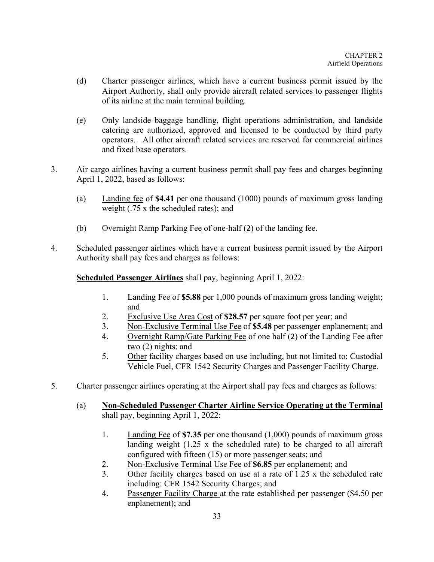- (d) Charter passenger airlines, which have a current business permit issued by the Airport Authority, shall only provide aircraft related services to passenger flights of its airline at the main terminal building.
- (e) Only landside baggage handling, flight operations administration, and landside catering are authorized, approved and licensed to be conducted by third party operators. All other aircraft related services are reserved for commercial airlines and fixed base operators.
- 3. Air cargo airlines having a current business permit shall pay fees and charges beginning April 1, 2022, based as follows:
	- (a) Landing fee of **\$4.41** per one thousand (1000) pounds of maximum gross landing weight (.75 x the scheduled rates); and
	- (b) Overnight Ramp Parking Fee of one-half (2) of the landing fee.
- 4. Scheduled passenger airlines which have a current business permit issued by the Airport Authority shall pay fees and charges as follows:

**Scheduled Passenger Airlines** shall pay, beginning April 1, 2022:

- 1. Landing Fee of **\$5.88** per 1,000 pounds of maximum gross landing weight; and
- 2. Exclusive Use Area Cost of **\$28.57** per square foot per year; and
- 3. Non-Exclusive Terminal Use Fee of **\$5.48** per passenger enplanement; and
- 4. Overnight Ramp/Gate Parking Fee of one half (2) of the Landing Fee after two (2) nights; and
- 5. Other facility charges based on use including, but not limited to: Custodial Vehicle Fuel, CFR 1542 Security Charges and Passenger Facility Charge.
- 5. Charter passenger airlines operating at the Airport shall pay fees and charges as follows:
	- (a) **Non-Scheduled Passenger Charter Airline Service Operating at the Terminal** shall pay, beginning April 1, 2022:
		- 1. Landing Fee of **\$7.35** per one thousand (1,000) pounds of maximum gross landing weight (1.25 x the scheduled rate) to be charged to all aircraft configured with fifteen (15) or more passenger seats; and
		- 2. Non-Exclusive Terminal Use Fee of **\$6.85** per enplanement; and
		- 3. Other facility charges based on use at a rate of 1.25 x the scheduled rate including: CFR 1542 Security Charges; and
		- 4. Passenger Facility Charge at the rate established per passenger (\$4.50 per enplanement); and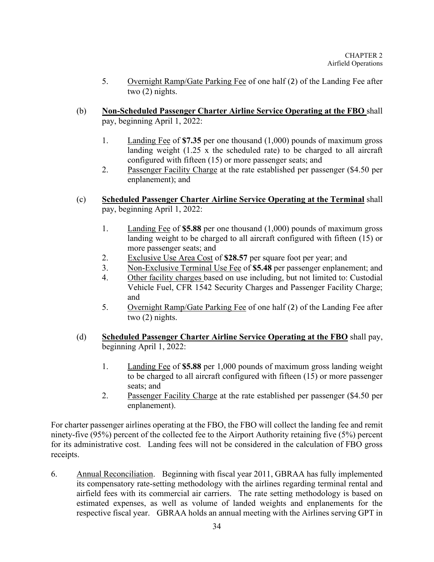- 5. Overnight Ramp/Gate Parking Fee of one half (2) of the Landing Fee after two (2) nights.
- (b) **Non-Scheduled Passenger Charter Airline Service Operating at the FBO** shall pay, beginning April 1, 2022:
	- 1. Landing Fee of **\$7.35** per one thousand (1,000) pounds of maximum gross landing weight (1.25 x the scheduled rate) to be charged to all aircraft configured with fifteen (15) or more passenger seats; and
	- 2. Passenger Facility Charge at the rate established per passenger (\$4.50 per enplanement); and
- (c) **Scheduled Passenger Charter Airline Service Operating at the Terminal** shall pay, beginning April 1, 2022:
	- 1. Landing Fee of **\$5.88** per one thousand (1,000) pounds of maximum gross landing weight to be charged to all aircraft configured with fifteen (15) or more passenger seats; and
	- 2. Exclusive Use Area Cost of **\$28.57** per square foot per year; and
	- 3. Non-Exclusive Terminal Use Fee of **\$5.48** per passenger enplanement; and
	- 4. Other facility charges based on use including, but not limited to: Custodial Vehicle Fuel, CFR 1542 Security Charges and Passenger Facility Charge; and
	- 5. Overnight Ramp/Gate Parking Fee of one half (2) of the Landing Fee after two (2) nights.
- (d) **Scheduled Passenger Charter Airline Service Operating at the FBO** shall pay, beginning April 1, 2022:
	- 1. Landing Fee of **\$5.88** per 1,000 pounds of maximum gross landing weight to be charged to all aircraft configured with fifteen (15) or more passenger seats; and
	- 2. Passenger Facility Charge at the rate established per passenger (\$4.50 per enplanement).

For charter passenger airlines operating at the FBO, the FBO will collect the landing fee and remit ninety-five (95%) percent of the collected fee to the Airport Authority retaining five (5%) percent for its administrative cost. Landing fees will not be considered in the calculation of FBO gross receipts.

6. Annual Reconciliation. Beginning with fiscal year 2011, GBRAA has fully implemented its compensatory rate-setting methodology with the airlines regarding terminal rental and airfield fees with its commercial air carriers. The rate setting methodology is based on estimated expenses, as well as volume of landed weights and enplanements for the respective fiscal year. GBRAA holds an annual meeting with the Airlines serving GPT in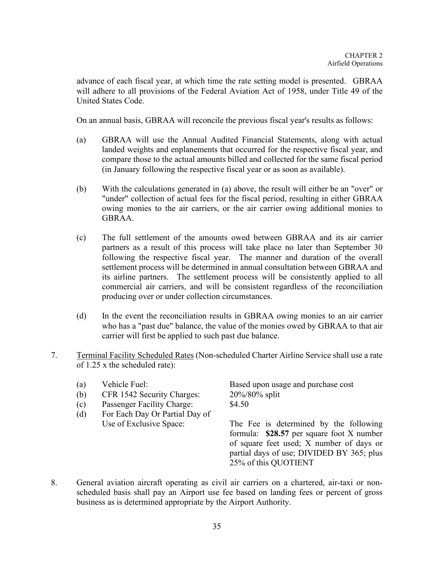advance of each fiscal year, at which time the rate setting model is presented. GBRAA will adhere to all provisions of the Federal Aviation Act of 1958, under Title 49 of the United States Code.

On an annual basis, GBRAA will reconcile the previous fiscal year's results as follows:

- (a) GBRAA will use the Annual Audited Financial Statements, along with actual landed weights and enplanements that occurred for the respective fiscal year, and compare those to the actual amounts billed and collected for the same fiscal period (in January following the respective fiscal year or as soon as available).
- (b) With the calculations generated in (a) above, the result will either be an "over" or "under" collection of actual fees for the fiscal period, resulting in either GBRAA owing monies to the air carriers, or the air carrier owing additional monies to GBRAA.
- (c) The full settlement of the amounts owed between GBRAA and its air carrier partners as a result of this process will take place no later than September 30 following the respective fiscal year. The manner and duration of the overall settlement process will be determined in annual consultation between GBRAA and its airline partners. The settlement process will be consistently applied to all commercial air carriers, and will be consistent regardless of the reconciliation producing over or under collection circumstances.
- (d) In the event the reconciliation results in GBRAA owing monies to an air carrier who has a "past due" balance, the value of the monies owed by GBRAA to that air carrier will first be applied to such past due balance.
- 7. Terminal Facility Scheduled Rates (Non-scheduled Charter Airline Service shall use a rate of 1.25 x the scheduled rate):
	- (a) Vehicle Fuel: Based upon usage and purchase cost (b) CFR 1542 Security Charges: 20%/80% split (c) Passenger Facility Charge: \$4.50 (d) For Each Day Or Partial Day of Use of Exclusive Space: The Fee is determined by the following formula: **\$28.57** per square foot X number of square feet used; X number of days or partial days of use; DIVIDED BY 365; plus 25% of this QUOTIENT
- 8. General aviation aircraft operating as civil air carriers on a chartered, air-taxi or nonscheduled basis shall pay an Airport use fee based on landing fees or percent of gross business as is determined appropriate by the Airport Authority.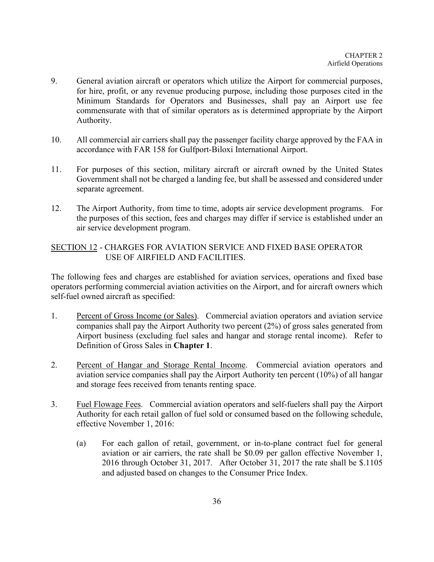- 9. General aviation aircraft or operators which utilize the Airport for commercial purposes, for hire, profit, or any revenue producing purpose, including those purposes cited in the Minimum Standards for Operators and Businesses, shall pay an Airport use fee commensurate with that of similar operators as is determined appropriate by the Airport Authority.
- 10. All commercial air carriers shall pay the passenger facility charge approved by the FAA in accordance with FAR 158 for Gulfport-Biloxi International Airport.
- 11. For purposes of this section, military aircraft or aircraft owned by the United States Government shall not be charged a landing fee, but shall be assessed and considered under separate agreement.
- 12. The Airport Authority, from time to time, adopts air service development programs. For the purposes of this section, fees and charges may differ if service is established under an air service development program.

## SECTION 12 - CHARGES FOR AVIATION SERVICE AND FIXED BASE OPERATOR USE OF AIRFIELD AND FACILITIES.

The following fees and charges are established for aviation services, operations and fixed base operators performing commercial aviation activities on the Airport, and for aircraft owners which self-fuel owned aircraft as specified:

- 1. Percent of Gross Income (or Sales). Commercial aviation operators and aviation service companies shall pay the Airport Authority two percent (2%) of gross sales generated from Airport business (excluding fuel sales and hangar and storage rental income). Refer to Definition of Gross Sales in **Chapter 1**.
- 2. Percent of Hangar and Storage Rental Income. Commercial aviation operators and aviation service companies shall pay the Airport Authority ten percent (10%) of all hangar and storage fees received from tenants renting space.
- 3. Fuel Flowage Fees. Commercial aviation operators and self-fuelers shall pay the Airport Authority for each retail gallon of fuel sold or consumed based on the following schedule, effective November 1, 2016:
	- (a) For each gallon of retail, government, or in-to-plane contract fuel for general aviation or air carriers, the rate shall be \$0.09 per gallon effective November 1, 2016 through October 31, 2017. After October 31, 2017 the rate shall be \$.1105 and adjusted based on changes to the Consumer Price Index.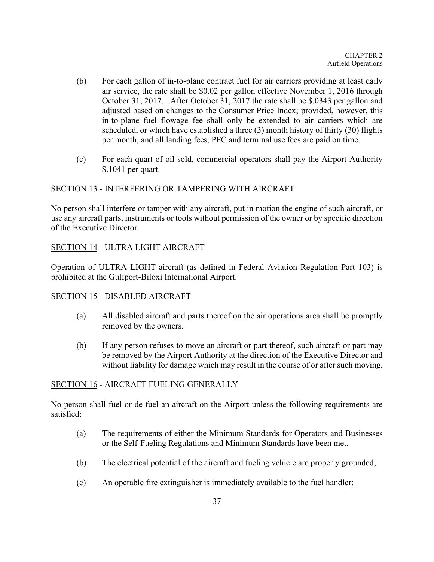- (b) For each gallon of in-to-plane contract fuel for air carriers providing at least daily air service, the rate shall be \$0.02 per gallon effective November 1, 2016 through October 31, 2017. After October 31, 2017 the rate shall be \$.0343 per gallon and adjusted based on changes to the Consumer Price Index; provided, however, this in-to-plane fuel flowage fee shall only be extended to air carriers which are scheduled, or which have established a three (3) month history of thirty (30) flights per month, and all landing fees, PFC and terminal use fees are paid on time.
- (c) For each quart of oil sold, commercial operators shall pay the Airport Authority \$.1041 per quart.

### SECTION 13 - INTERFERING OR TAMPERING WITH AIRCRAFT

No person shall interfere or tamper with any aircraft, put in motion the engine of such aircraft, or use any aircraft parts, instruments or tools without permission of the owner or by specific direction of the Executive Director.

### SECTION 14 - ULTRA LIGHT AIRCRAFT

Operation of ULTRA LIGHT aircraft (as defined in Federal Aviation Regulation Part 103) is prohibited at the Gulfport-Biloxi International Airport.

### SECTION 15 - DISABLED AIRCRAFT

- (a) All disabled aircraft and parts thereof on the air operations area shall be promptly removed by the owners.
- (b) If any person refuses to move an aircraft or part thereof, such aircraft or part may be removed by the Airport Authority at the direction of the Executive Director and without liability for damage which may result in the course of or after such moving.

### SECTION 16 - AIRCRAFT FUELING GENERALLY

No person shall fuel or de-fuel an aircraft on the Airport unless the following requirements are satisfied:

- (a) The requirements of either the Minimum Standards for Operators and Businesses or the Self-Fueling Regulations and Minimum Standards have been met.
- (b) The electrical potential of the aircraft and fueling vehicle are properly grounded;
- (c) An operable fire extinguisher is immediately available to the fuel handler;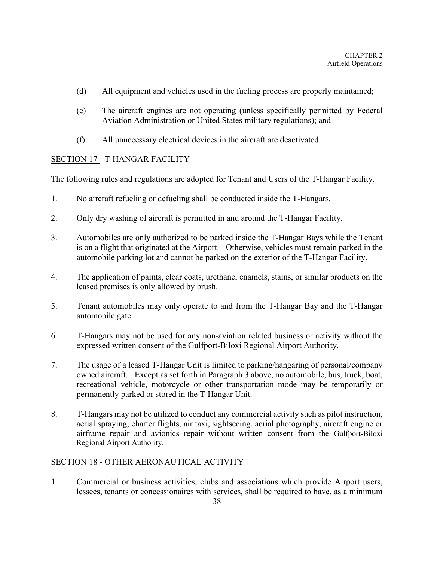- (d) All equipment and vehicles used in the fueling process are properly maintained;
- (e) The aircraft engines are not operating (unless specifically permitted by Federal Aviation Administration or United States military regulations); and
- (f) All unnecessary electrical devices in the aircraft are deactivated.

### SECTION 17 - T-HANGAR FACILITY

The following rules and regulations are adopted for Tenant and Users of the T-Hangar Facility.

- 1. No aircraft refueling or defueling shall be conducted inside the T-Hangars.
- 2. Only dry washing of aircraft is permitted in and around the T-Hangar Facility.
- 3. Automobiles are only authorized to be parked inside the T-Hangar Bays while the Tenant is on a flight that originated at the Airport. Otherwise, vehicles must remain parked in the automobile parking lot and cannot be parked on the exterior of the T-Hangar Facility.
- 4. The application of paints, clear coats, urethane, enamels, stains, or similar products on the leased premises is only allowed by brush.
- 5. Tenant automobiles may only operate to and from the T-Hangar Bay and the T-Hangar automobile gate.
- 6. T-Hangars may not be used for any non-aviation related business or activity without the expressed written consent of the Gulfport-Biloxi Regional Airport Authority.
- 7. The usage of a leased T-Hangar Unit is limited to parking/hangaring of personal/company owned aircraft. Except as set forth in Paragraph 3 above, no automobile, bus, truck, boat, recreational vehicle, motorcycle or other transportation mode may be temporarily or permanently parked or stored in the T-Hangar Unit.
- 8. T-Hangars may not be utilized to conduct any commercial activity such as pilot instruction, aerial spraying, charter flights, air taxi, sightseeing, aerial photography, aircraft engine or airframe repair and avionics repair without written consent from the Gulfport-Biloxi Regional Airport Authority.

### SECTION 18 - OTHER AERONAUTICAL ACTIVITY

1. Commercial or business activities, clubs and associations which provide Airport users, lessees, tenants or concessionaires with services, shall be required to have, as a minimum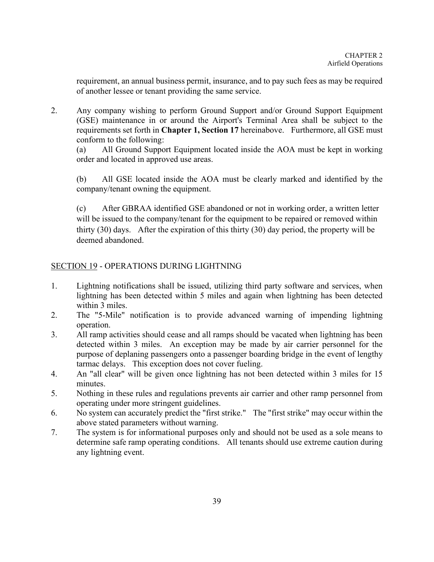requirement, an annual business permit, insurance, and to pay such fees as may be required of another lessee or tenant providing the same service.

2. Any company wishing to perform Ground Support and/or Ground Support Equipment (GSE) maintenance in or around the Airport's Terminal Area shall be subject to the requirements set forth in **Chapter 1, Section 17** hereinabove. Furthermore, all GSE must conform to the following:

(a) All Ground Support Equipment located inside the AOA must be kept in working order and located in approved use areas.

(b) All GSE located inside the AOA must be clearly marked and identified by the company/tenant owning the equipment.

(c) After GBRAA identified GSE abandoned or not in working order, a written letter will be issued to the company/tenant for the equipment to be repaired or removed within thirty (30) days. After the expiration of this thirty (30) day period, the property will be deemed abandoned.

# SECTION 19 - OPERATIONS DURING LIGHTNING

- 1. Lightning notifications shall be issued, utilizing third party software and services, when lightning has been detected within 5 miles and again when lightning has been detected within 3 miles.
- 2. The "5-Mile" notification is to provide advanced warning of impending lightning operation.
- 3. All ramp activities should cease and all ramps should be vacated when lightning has been detected within 3 miles. An exception may be made by air carrier personnel for the purpose of deplaning passengers onto a passenger boarding bridge in the event of lengthy tarmac delays. This exception does not cover fueling.
- 4. An "all clear" will be given once lightning has not been detected within 3 miles for 15 minutes.
- 5. Nothing in these rules and regulations prevents air carrier and other ramp personnel from operating under more stringent guidelines.
- 6. No system can accurately predict the "first strike." The "first strike" may occur within the above stated parameters without warning.
- 7. The system is for informational purposes only and should not be used as a sole means to determine safe ramp operating conditions. All tenants should use extreme caution during any lightning event.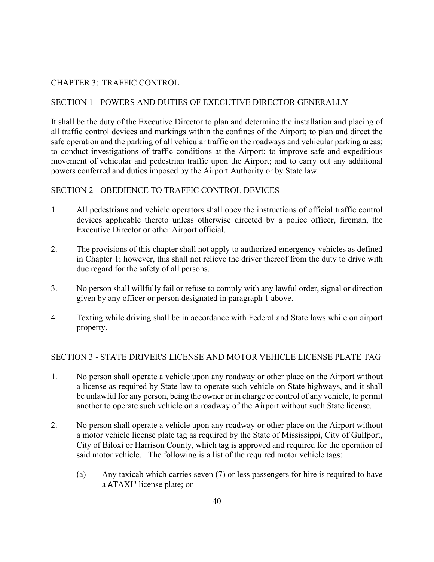# CHAPTER 3: TRAFFIC CONTROL

# SECTION 1 - POWERS AND DUTIES OF EXECUTIVE DIRECTOR GENERALLY

It shall be the duty of the Executive Director to plan and determine the installation and placing of all traffic control devices and markings within the confines of the Airport; to plan and direct the safe operation and the parking of all vehicular traffic on the roadways and vehicular parking areas; to conduct investigations of traffic conditions at the Airport; to improve safe and expeditious movement of vehicular and pedestrian traffic upon the Airport; and to carry out any additional powers conferred and duties imposed by the Airport Authority or by State law.

### SECTION 2 - OBEDIENCE TO TRAFFIC CONTROL DEVICES

- 1. All pedestrians and vehicle operators shall obey the instructions of official traffic control devices applicable thereto unless otherwise directed by a police officer, fireman, the Executive Director or other Airport official.
- 2. The provisions of this chapter shall not apply to authorized emergency vehicles as defined in Chapter 1; however, this shall not relieve the driver thereof from the duty to drive with due regard for the safety of all persons.
- 3. No person shall willfully fail or refuse to comply with any lawful order, signal or direction given by any officer or person designated in paragraph 1 above.
- 4. Texting while driving shall be in accordance with Federal and State laws while on airport property.

# SECTION 3 - STATE DRIVER'S LICENSE AND MOTOR VEHICLE LICENSE PLATE TAG

- 1. No person shall operate a vehicle upon any roadway or other place on the Airport without a license as required by State law to operate such vehicle on State highways, and it shall be unlawful for any person, being the owner or in charge or control of any vehicle, to permit another to operate such vehicle on a roadway of the Airport without such State license.
- 2. No person shall operate a vehicle upon any roadway or other place on the Airport without a motor vehicle license plate tag as required by the State of Mississippi, City of Gulfport, City of Biloxi or Harrison County, which tag is approved and required for the operation of said motor vehicle. The following is a list of the required motor vehicle tags:
	- (a) Any taxicab which carries seven (7) or less passengers for hire is required to have a ATAXI" license plate; or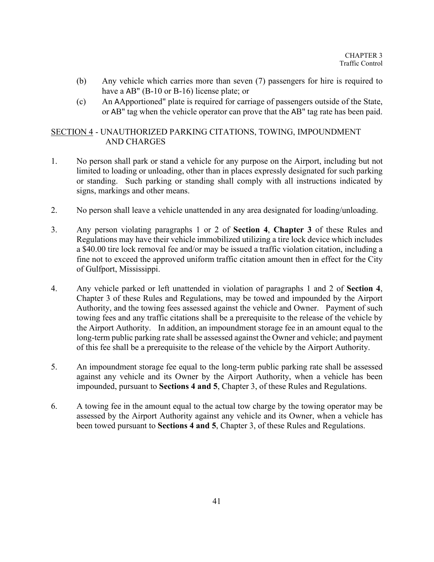- (b) Any vehicle which carries more than seven (7) passengers for hire is required to have a AB" (B-10 or B-16) license plate; or
- (c) An AApportioned" plate is required for carriage of passengers outside of the State, or AB" tag when the vehicle operator can prove that the AB" tag rate has been paid.

### SECTION 4 - UNAUTHORIZED PARKING CITATIONS, TOWING, IMPOUNDMENT AND CHARGES

- 1. No person shall park or stand a vehicle for any purpose on the Airport, including but not limited to loading or unloading, other than in places expressly designated for such parking or standing. Such parking or standing shall comply with all instructions indicated by signs, markings and other means.
- 2. No person shall leave a vehicle unattended in any area designated for loading/unloading.
- 3. Any person violating paragraphs 1 or 2 of **Section 4**, **Chapter 3** of these Rules and Regulations may have their vehicle immobilized utilizing a tire lock device which includes a \$40.00 tire lock removal fee and/or may be issued a traffic violation citation, including a fine not to exceed the approved uniform traffic citation amount then in effect for the City of Gulfport, Mississippi.
- 4. Any vehicle parked or left unattended in violation of paragraphs 1 and 2 of **Section 4**, Chapter 3 of these Rules and Regulations, may be towed and impounded by the Airport Authority, and the towing fees assessed against the vehicle and Owner. Payment of such towing fees and any traffic citations shall be a prerequisite to the release of the vehicle by the Airport Authority. In addition, an impoundment storage fee in an amount equal to the long-term public parking rate shall be assessed against the Owner and vehicle; and payment of this fee shall be a prerequisite to the release of the vehicle by the Airport Authority.
- 5. An impoundment storage fee equal to the long-term public parking rate shall be assessed against any vehicle and its Owner by the Airport Authority, when a vehicle has been impounded, pursuant to **Sections 4 and 5**, Chapter 3, of these Rules and Regulations.
- 6. A towing fee in the amount equal to the actual tow charge by the towing operator may be assessed by the Airport Authority against any vehicle and its Owner, when a vehicle has been towed pursuant to **Sections 4 and 5**, Chapter 3, of these Rules and Regulations.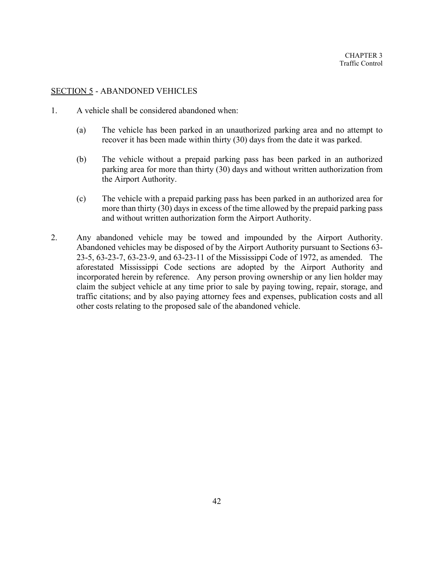#### SECTION 5 - ABANDONED VEHICLES

- 1. A vehicle shall be considered abandoned when:
	- (a) The vehicle has been parked in an unauthorized parking area and no attempt to recover it has been made within thirty (30) days from the date it was parked.
	- (b) The vehicle without a prepaid parking pass has been parked in an authorized parking area for more than thirty (30) days and without written authorization from the Airport Authority.
	- (c) The vehicle with a prepaid parking pass has been parked in an authorized area for more than thirty (30) days in excess of the time allowed by the prepaid parking pass and without written authorization form the Airport Authority.
- 2. Any abandoned vehicle may be towed and impounded by the Airport Authority. Abandoned vehicles may be disposed of by the Airport Authority pursuant to Sections 63- 23-5, 63-23-7, 63-23-9, and 63-23-11 of the Mississippi Code of 1972, as amended. The aforestated Mississippi Code sections are adopted by the Airport Authority and incorporated herein by reference. Any person proving ownership or any lien holder may claim the subject vehicle at any time prior to sale by paying towing, repair, storage, and traffic citations; and by also paying attorney fees and expenses, publication costs and all other costs relating to the proposed sale of the abandoned vehicle.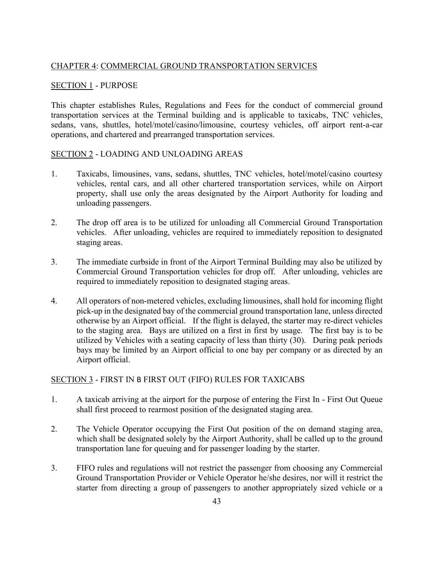## CHAPTER 4: COMMERCIAL GROUND TRANSPORTATION SERVICES

### SECTION 1 - PURPOSE

This chapter establishes Rules, Regulations and Fees for the conduct of commercial ground transportation services at the Terminal building and is applicable to taxicabs, TNC vehicles, sedans, vans, shuttles, hotel/motel/casino/limousine, courtesy vehicles, off airport rent-a-car operations, and chartered and prearranged transportation services.

### SECTION 2 - LOADING AND UNLOADING AREAS

- 1. Taxicabs, limousines, vans, sedans, shuttles, TNC vehicles, hotel/motel/casino courtesy vehicles, rental cars, and all other chartered transportation services, while on Airport property, shall use only the areas designated by the Airport Authority for loading and unloading passengers.
- 2. The drop off area is to be utilized for unloading all Commercial Ground Transportation vehicles. After unloading, vehicles are required to immediately reposition to designated staging areas.
- 3. The immediate curbside in front of the Airport Terminal Building may also be utilized by Commercial Ground Transportation vehicles for drop off. After unloading, vehicles are required to immediately reposition to designated staging areas.
- 4. All operators of non-metered vehicles, excluding limousines, shall hold for incoming flight pick-up in the designated bay of the commercial ground transportation lane, unless directed otherwise by an Airport official. If the flight is delayed, the starter may re-direct vehicles to the staging area. Bays are utilized on a first in first by usage. The first bay is to be utilized by Vehicles with a seating capacity of less than thirty (30). During peak periods bays may be limited by an Airport official to one bay per company or as directed by an Airport official.

### SECTION 3 - FIRST IN B FIRST OUT (FIFO) RULES FOR TAXICABS

- 1. A taxicab arriving at the airport for the purpose of entering the First In First Out Queue shall first proceed to rearmost position of the designated staging area.
- 2. The Vehicle Operator occupying the First Out position of the on demand staging area, which shall be designated solely by the Airport Authority, shall be called up to the ground transportation lane for queuing and for passenger loading by the starter.
- 3. FIFO rules and regulations will not restrict the passenger from choosing any Commercial Ground Transportation Provider or Vehicle Operator he/she desires, nor will it restrict the starter from directing a group of passengers to another appropriately sized vehicle or a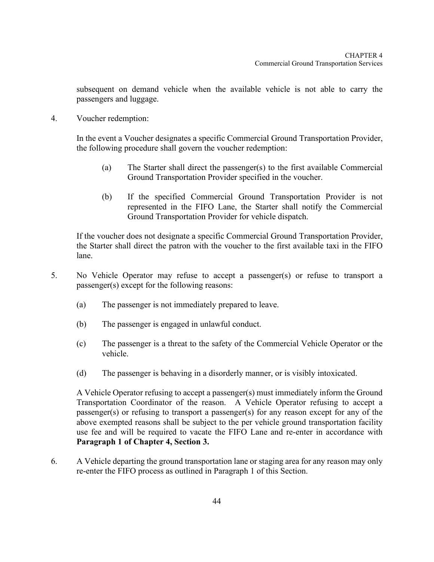subsequent on demand vehicle when the available vehicle is not able to carry the passengers and luggage.

4. Voucher redemption:

In the event a Voucher designates a specific Commercial Ground Transportation Provider, the following procedure shall govern the voucher redemption:

- (a) The Starter shall direct the passenger(s) to the first available Commercial Ground Transportation Provider specified in the voucher.
- (b) If the specified Commercial Ground Transportation Provider is not represented in the FIFO Lane, the Starter shall notify the Commercial Ground Transportation Provider for vehicle dispatch.

If the voucher does not designate a specific Commercial Ground Transportation Provider, the Starter shall direct the patron with the voucher to the first available taxi in the FIFO lane.

- 5. No Vehicle Operator may refuse to accept a passenger(s) or refuse to transport a passenger(s) except for the following reasons:
	- (a) The passenger is not immediately prepared to leave.
	- (b) The passenger is engaged in unlawful conduct.
	- (c) The passenger is a threat to the safety of the Commercial Vehicle Operator or the vehicle.
	- (d) The passenger is behaving in a disorderly manner, or is visibly intoxicated.

A Vehicle Operator refusing to accept a passenger(s) must immediately inform the Ground Transportation Coordinator of the reason. A Vehicle Operator refusing to accept a passenger(s) or refusing to transport a passenger(s) for any reason except for any of the above exempted reasons shall be subject to the per vehicle ground transportation facility use fee and will be required to vacate the FIFO Lane and re-enter in accordance with **Paragraph 1 of Chapter 4, Section 3.**

6. A Vehicle departing the ground transportation lane or staging area for any reason may only re-enter the FIFO process as outlined in Paragraph 1 of this Section.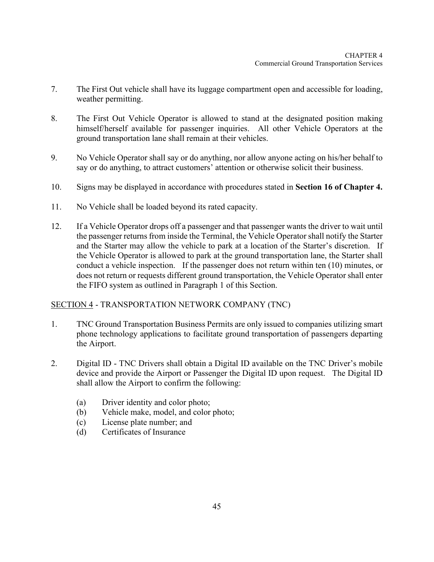- 7. The First Out vehicle shall have its luggage compartment open and accessible for loading, weather permitting.
- 8. The First Out Vehicle Operator is allowed to stand at the designated position making himself/herself available for passenger inquiries. All other Vehicle Operators at the ground transportation lane shall remain at their vehicles.
- 9. No Vehicle Operator shall say or do anything, nor allow anyone acting on his/her behalf to say or do anything, to attract customers' attention or otherwise solicit their business.
- 10. Signs may be displayed in accordance with procedures stated in **Section 16 of Chapter 4.**
- 11. No Vehicle shall be loaded beyond its rated capacity.
- 12. If a Vehicle Operator drops off a passenger and that passenger wants the driver to wait until the passenger returns from inside the Terminal, the Vehicle Operator shall notify the Starter and the Starter may allow the vehicle to park at a location of the Starter's discretion. If the Vehicle Operator is allowed to park at the ground transportation lane, the Starter shall conduct a vehicle inspection. If the passenger does not return within ten (10) minutes, or does not return or requests different ground transportation, the Vehicle Operator shall enter the FIFO system as outlined in Paragraph 1 of this Section.

### SECTION 4 - TRANSPORTATION NETWORK COMPANY (TNC)

- 1. TNC Ground Transportation Business Permits are only issued to companies utilizing smart phone technology applications to facilitate ground transportation of passengers departing the Airport.
- 2. Digital ID TNC Drivers shall obtain a Digital ID available on the TNC Driver's mobile device and provide the Airport or Passenger the Digital ID upon request. The Digital ID shall allow the Airport to confirm the following:
	- (a) Driver identity and color photo;
	- (b) Vehicle make, model, and color photo;
	- (c) License plate number; and
	- (d) Certificates of Insurance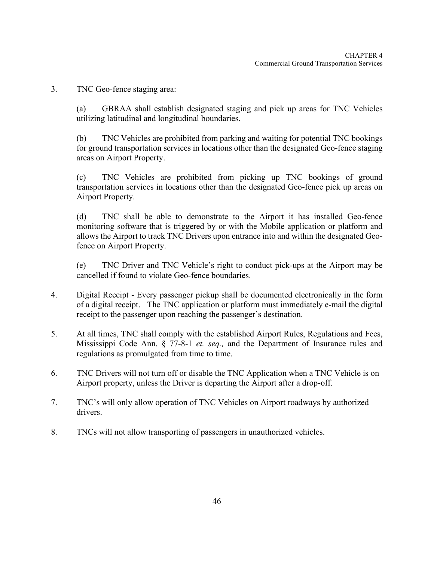3. TNC Geo-fence staging area:

(a) GBRAA shall establish designated staging and pick up areas for TNC Vehicles utilizing latitudinal and longitudinal boundaries.

(b) TNC Vehicles are prohibited from parking and waiting for potential TNC bookings for ground transportation services in locations other than the designated Geo-fence staging areas on Airport Property.

(c) TNC Vehicles are prohibited from picking up TNC bookings of ground transportation services in locations other than the designated Geo-fence pick up areas on Airport Property.

(d) TNC shall be able to demonstrate to the Airport it has installed Geo-fence monitoring software that is triggered by or with the Mobile application or platform and allows the Airport to track TNC Drivers upon entrance into and within the designated Geofence on Airport Property.

(e) TNC Driver and TNC Vehicle's right to conduct pick-ups at the Airport may be cancelled if found to violate Geo-fence boundaries.

- 4. Digital Receipt Every passenger pickup shall be documented electronically in the form of a digital receipt. The TNC application or platform must immediately e-mail the digital receipt to the passenger upon reaching the passenger's destination.
- 5. At all times, TNC shall comply with the established Airport Rules, Regulations and Fees, Mississippi Code Ann. § 77-8-1 *et. seq.,* and the Department of Insurance rules and regulations as promulgated from time to time.
- 6. TNC Drivers will not turn off or disable the TNC Application when a TNC Vehicle is on Airport property, unless the Driver is departing the Airport after a drop-off.
- 7. TNC's will only allow operation of TNC Vehicles on Airport roadways by authorized drivers.
- 8. TNCs will not allow transporting of passengers in unauthorized vehicles.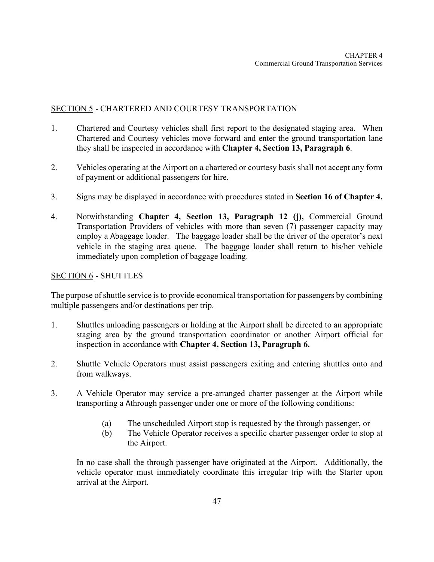# SECTION 5 - CHARTERED AND COURTESY TRANSPORTATION

- 1. Chartered and Courtesy vehicles shall first report to the designated staging area. When Chartered and Courtesy vehicles move forward and enter the ground transportation lane they shall be inspected in accordance with **Chapter 4, Section 13, Paragraph 6**.
- 2. Vehicles operating at the Airport on a chartered or courtesy basis shall not accept any form of payment or additional passengers for hire.
- 3. Signs may be displayed in accordance with procedures stated in **Section 16 of Chapter 4.**
- 4. Notwithstanding **Chapter 4, Section 13, Paragraph 12 (j),** Commercial Ground Transportation Providers of vehicles with more than seven (7) passenger capacity may employ a Abaggage loader. The baggage loader shall be the driver of the operator's next vehicle in the staging area queue. The baggage loader shall return to his/her vehicle immediately upon completion of baggage loading.

# SECTION 6 - SHUTTLES

The purpose of shuttle service is to provide economical transportation for passengers by combining multiple passengers and/or destinations per trip.

- 1. Shuttles unloading passengers or holding at the Airport shall be directed to an appropriate staging area by the ground transportation coordinator or another Airport official for inspection in accordance with **Chapter 4, Section 13, Paragraph 6.**
- 2. Shuttle Vehicle Operators must assist passengers exiting and entering shuttles onto and from walkways.
- 3. A Vehicle Operator may service a pre-arranged charter passenger at the Airport while transporting a Athrough passenger under one or more of the following conditions:
	- (a) The unscheduled Airport stop is requested by the through passenger, or
	- (b) The Vehicle Operator receives a specific charter passenger order to stop at the Airport.

In no case shall the through passenger have originated at the Airport. Additionally, the vehicle operator must immediately coordinate this irregular trip with the Starter upon arrival at the Airport.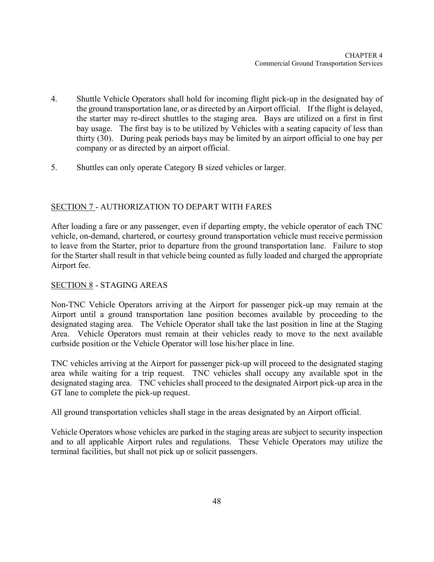- 4. Shuttle Vehicle Operators shall hold for incoming flight pick-up in the designated bay of the ground transportation lane, or as directed by an Airport official. If the flight is delayed, the starter may re-direct shuttles to the staging area. Bays are utilized on a first in first bay usage. The first bay is to be utilized by Vehicles with a seating capacity of less than thirty (30). During peak periods bays may be limited by an airport official to one bay per company or as directed by an airport official.
- 5. Shuttles can only operate Category B sized vehicles or larger.

# SECTION 7 - AUTHORIZATION TO DEPART WITH FARES

After loading a fare or any passenger, even if departing empty, the vehicle operator of each TNC vehicle, on-demand, chartered, or courtesy ground transportation vehicle must receive permission to leave from the Starter, prior to departure from the ground transportation lane. Failure to stop for the Starter shall result in that vehicle being counted as fully loaded and charged the appropriate Airport fee.

### SECTION 8 - STAGING AREAS

Non-TNC Vehicle Operators arriving at the Airport for passenger pick-up may remain at the Airport until a ground transportation lane position becomes available by proceeding to the designated staging area. The Vehicle Operator shall take the last position in line at the Staging Area. Vehicle Operators must remain at their vehicles ready to move to the next available curbside position or the Vehicle Operator will lose his/her place in line.

TNC vehicles arriving at the Airport for passenger pick-up will proceed to the designated staging area while waiting for a trip request. TNC vehicles shall occupy any available spot in the designated staging area. TNC vehicles shall proceed to the designated Airport pick-up area in the GT lane to complete the pick-up request.

All ground transportation vehicles shall stage in the areas designated by an Airport official.

Vehicle Operators whose vehicles are parked in the staging areas are subject to security inspection and to all applicable Airport rules and regulations. These Vehicle Operators may utilize the terminal facilities, but shall not pick up or solicit passengers.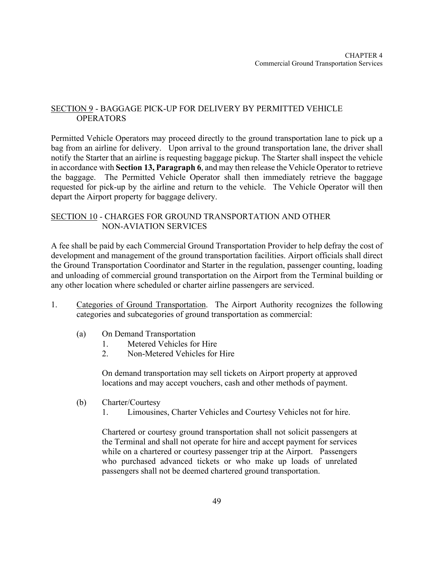# SECTION 9 - BAGGAGE PICK-UP FOR DELIVERY BY PERMITTED VEHICLE **OPERATORS**

Permitted Vehicle Operators may proceed directly to the ground transportation lane to pick up a bag from an airline for delivery. Upon arrival to the ground transportation lane, the driver shall notify the Starter that an airline is requesting baggage pickup. The Starter shall inspect the vehicle in accordance with **Section 13, Paragraph 6**, and may then release the Vehicle Operator to retrieve the baggage. The Permitted Vehicle Operator shall then immediately retrieve the baggage requested for pick-up by the airline and return to the vehicle. The Vehicle Operator will then depart the Airport property for baggage delivery.

### SECTION 10 - CHARGES FOR GROUND TRANSPORTATION AND OTHER NON-AVIATION SERVICES

A fee shall be paid by each Commercial Ground Transportation Provider to help defray the cost of development and management of the ground transportation facilities. Airport officials shall direct the Ground Transportation Coordinator and Starter in the regulation, passenger counting, loading and unloading of commercial ground transportation on the Airport from the Terminal building or any other location where scheduled or charter airline passengers are serviced.

- 1. Categories of Ground Transportation. The Airport Authority recognizes the following categories and subcategories of ground transportation as commercial:
	- (a) On Demand Transportation
		- 1. Metered Vehicles for Hire
		- 2. Non-Metered Vehicles for Hire

On demand transportation may sell tickets on Airport property at approved locations and may accept vouchers, cash and other methods of payment.

- (b) Charter/Courtesy
	- 1. Limousines, Charter Vehicles and Courtesy Vehicles not for hire.

Chartered or courtesy ground transportation shall not solicit passengers at the Terminal and shall not operate for hire and accept payment for services while on a chartered or courtesy passenger trip at the Airport. Passengers who purchased advanced tickets or who make up loads of unrelated passengers shall not be deemed chartered ground transportation.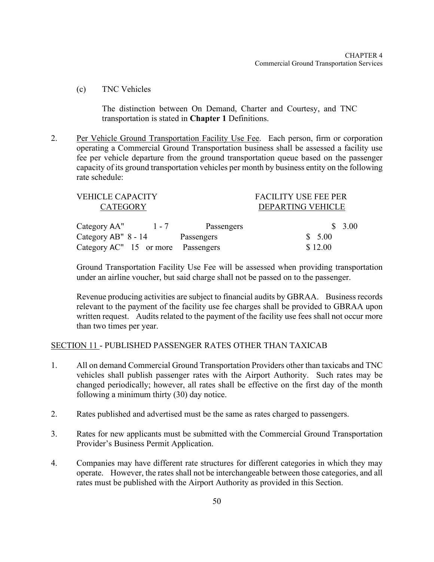(c) TNC Vehicles

The distinction between On Demand, Charter and Courtesy, and TNC transportation is stated in **Chapter 1** Definitions.

2. Per Vehicle Ground Transportation Facility Use Fee. Each person, firm or corporation operating a Commercial Ground Transportation business shall be assessed a facility use fee per vehicle departure from the ground transportation queue based on the passenger capacity of its ground transportation vehicles per month by business entity on the following rate schedule:

| <b>VEHICLE CAPACITY</b>            |  |            | <b>FACILITY USE FEE PER</b><br><b>DEPARTING VEHICLE</b> |        |
|------------------------------------|--|------------|---------------------------------------------------------|--------|
| <b>CATEGORY</b>                    |  |            |                                                         |        |
| Category $AA''$ 1 - 7              |  | Passengers |                                                         | \$3.00 |
| Category AB" 8 - 14                |  | Passengers | \$5.00                                                  |        |
| Category AC" 15 or more Passengers |  |            | \$12.00                                                 |        |

Ground Transportation Facility Use Fee will be assessed when providing transportation under an airline voucher, but said charge shall not be passed on to the passenger.

Revenue producing activities are subject to financial audits by GBRAA. Business records relevant to the payment of the facility use fee charges shall be provided to GBRAA upon written request. Audits related to the payment of the facility use fees shall not occur more than two times per year.

### SECTION 11 - PUBLISHED PASSENGER RATES OTHER THAN TAXICAB

- 1. All on demand Commercial Ground Transportation Providers other than taxicabs and TNC vehicles shall publish passenger rates with the Airport Authority. Such rates may be changed periodically; however, all rates shall be effective on the first day of the month following a minimum thirty (30) day notice.
- 2. Rates published and advertised must be the same as rates charged to passengers.
- 3. Rates for new applicants must be submitted with the Commercial Ground Transportation Provider's Business Permit Application.
- 4. Companies may have different rate structures for different categories in which they may operate. However, the rates shall not be interchangeable between those categories, and all rates must be published with the Airport Authority as provided in this Section.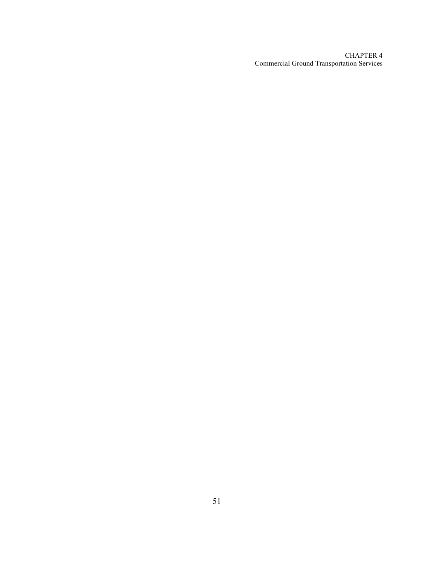CHAPTER 4 Commercial Ground Transportation Services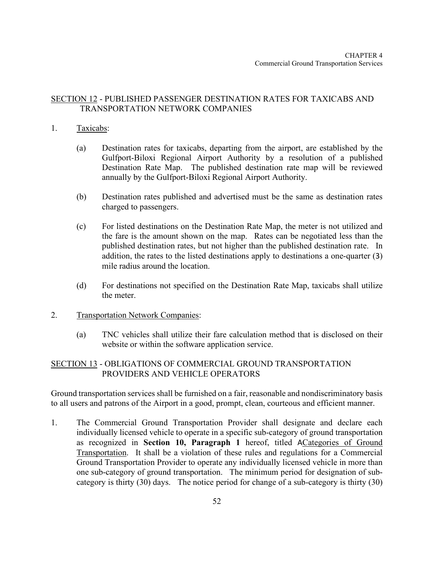# SECTION 12 - PUBLISHED PASSENGER DESTINATION RATES FOR TAXICABS AND TRANSPORTATION NETWORK COMPANIES

### 1. Taxicabs:

- (a) Destination rates for taxicabs, departing from the airport, are established by the Gulfport-Biloxi Regional Airport Authority by a resolution of a published Destination Rate Map. The published destination rate map will be reviewed annually by the Gulfport-Biloxi Regional Airport Authority.
- (b) Destination rates published and advertised must be the same as destination rates charged to passengers.
- (c) For listed destinations on the Destination Rate Map, the meter is not utilized and the fare is the amount shown on the map. Rates can be negotiated less than the published destination rates, but not higher than the published destination rate. In addition, the rates to the listed destinations apply to destinations a one-quarter (3) mile radius around the location.
- (d) For destinations not specified on the Destination Rate Map, taxicabs shall utilize the meter.
- 2. Transportation Network Companies:
	- (a) TNC vehicles shall utilize their fare calculation method that is disclosed on their website or within the software application service.

# SECTION 13 - OBLIGATIONS OF COMMERCIAL GROUND TRANSPORTATION PROVIDERS AND VEHICLE OPERATORS

Ground transportation services shall be furnished on a fair, reasonable and nondiscriminatory basis to all users and patrons of the Airport in a good, prompt, clean, courteous and efficient manner.

1. The Commercial Ground Transportation Provider shall designate and declare each individually licensed vehicle to operate in a specific sub-category of ground transportation as recognized in **Section 10, Paragraph 1** hereof, titled ACategories of Ground Transportation. It shall be a violation of these rules and regulations for a Commercial Ground Transportation Provider to operate any individually licensed vehicle in more than one sub-category of ground transportation. The minimum period for designation of subcategory is thirty (30) days. The notice period for change of a sub-category is thirty (30)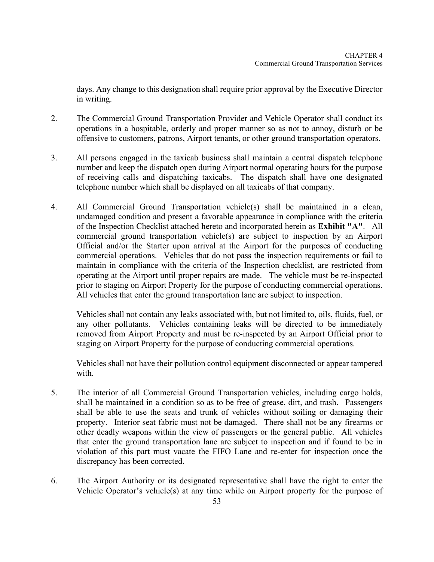days. Any change to this designation shall require prior approval by the Executive Director in writing.

- 2. The Commercial Ground Transportation Provider and Vehicle Operator shall conduct its operations in a hospitable, orderly and proper manner so as not to annoy, disturb or be offensive to customers, patrons, Airport tenants, or other ground transportation operators.
- 3. All persons engaged in the taxicab business shall maintain a central dispatch telephone number and keep the dispatch open during Airport normal operating hours for the purpose of receiving calls and dispatching taxicabs. The dispatch shall have one designated telephone number which shall be displayed on all taxicabs of that company.
- 4. All Commercial Ground Transportation vehicle(s) shall be maintained in a clean, undamaged condition and present a favorable appearance in compliance with the criteria of the Inspection Checklist attached hereto and incorporated herein as **Exhibit "A"**. All commercial ground transportation vehicle(s) are subject to inspection by an Airport Official and/or the Starter upon arrival at the Airport for the purposes of conducting commercial operations. Vehicles that do not pass the inspection requirements or fail to maintain in compliance with the criteria of the Inspection checklist, are restricted from operating at the Airport until proper repairs are made. The vehicle must be re-inspected prior to staging on Airport Property for the purpose of conducting commercial operations. All vehicles that enter the ground transportation lane are subject to inspection.

Vehicles shall not contain any leaks associated with, but not limited to, oils, fluids, fuel, or any other pollutants. Vehicles containing leaks will be directed to be immediately removed from Airport Property and must be re-inspected by an Airport Official prior to staging on Airport Property for the purpose of conducting commercial operations.

Vehicles shall not have their pollution control equipment disconnected or appear tampered with.

- 5. The interior of all Commercial Ground Transportation vehicles, including cargo holds, shall be maintained in a condition so as to be free of grease, dirt, and trash. Passengers shall be able to use the seats and trunk of vehicles without soiling or damaging their property. Interior seat fabric must not be damaged. There shall not be any firearms or other deadly weapons within the view of passengers or the general public. All vehicles that enter the ground transportation lane are subject to inspection and if found to be in violation of this part must vacate the FIFO Lane and re-enter for inspection once the discrepancy has been corrected.
- 6. The Airport Authority or its designated representative shall have the right to enter the Vehicle Operator's vehicle(s) at any time while on Airport property for the purpose of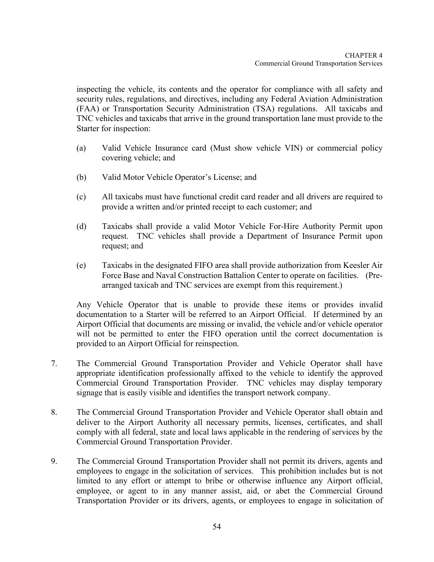inspecting the vehicle, its contents and the operator for compliance with all safety and security rules, regulations, and directives, including any Federal Aviation Administration (FAA) or Transportation Security Administration (TSA) regulations. All taxicabs and TNC vehicles and taxicabs that arrive in the ground transportation lane must provide to the Starter for inspection:

- (a) Valid Vehicle Insurance card (Must show vehicle VIN) or commercial policy covering vehicle; and
- (b) Valid Motor Vehicle Operator's License; and
- (c) All taxicabs must have functional credit card reader and all drivers are required to provide a written and/or printed receipt to each customer; and
- (d) Taxicabs shall provide a valid Motor Vehicle For-Hire Authority Permit upon request. TNC vehicles shall provide a Department of Insurance Permit upon request; and
- (e) Taxicabs in the designated FIFO area shall provide authorization from Keesler Air Force Base and Naval Construction Battalion Center to operate on facilities. (Prearranged taxicab and TNC services are exempt from this requirement.)

Any Vehicle Operator that is unable to provide these items or provides invalid documentation to a Starter will be referred to an Airport Official. If determined by an Airport Official that documents are missing or invalid, the vehicle and/or vehicle operator will not be permitted to enter the FIFO operation until the correct documentation is provided to an Airport Official for reinspection.

- 7. The Commercial Ground Transportation Provider and Vehicle Operator shall have appropriate identification professionally affixed to the vehicle to identify the approved Commercial Ground Transportation Provider. TNC vehicles may display temporary signage that is easily visible and identifies the transport network company.
- 8. The Commercial Ground Transportation Provider and Vehicle Operator shall obtain and deliver to the Airport Authority all necessary permits, licenses, certificates, and shall comply with all federal, state and local laws applicable in the rendering of services by the Commercial Ground Transportation Provider.
- 9. The Commercial Ground Transportation Provider shall not permit its drivers, agents and employees to engage in the solicitation of services. This prohibition includes but is not limited to any effort or attempt to bribe or otherwise influence any Airport official, employee, or agent to in any manner assist, aid, or abet the Commercial Ground Transportation Provider or its drivers, agents, or employees to engage in solicitation of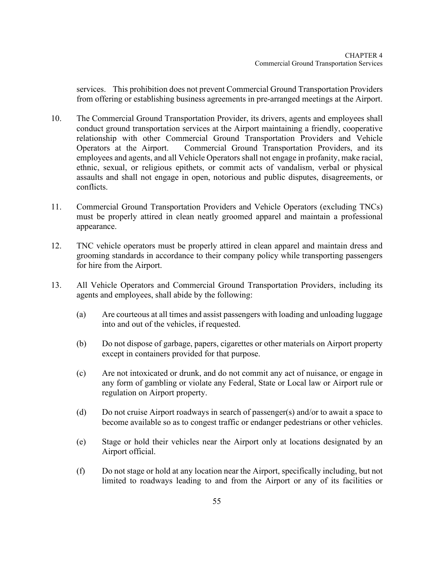services. This prohibition does not prevent Commercial Ground Transportation Providers from offering or establishing business agreements in pre-arranged meetings at the Airport.

- 10. The Commercial Ground Transportation Provider, its drivers, agents and employees shall conduct ground transportation services at the Airport maintaining a friendly, cooperative relationship with other Commercial Ground Transportation Providers and Vehicle Operators at the Airport. Commercial Ground Transportation Providers, and its employees and agents, and all Vehicle Operators shall not engage in profanity, make racial, ethnic, sexual, or religious epithets, or commit acts of vandalism, verbal or physical assaults and shall not engage in open, notorious and public disputes, disagreements, or conflicts.
- 11. Commercial Ground Transportation Providers and Vehicle Operators (excluding TNCs) must be properly attired in clean neatly groomed apparel and maintain a professional appearance.
- 12. TNC vehicle operators must be properly attired in clean apparel and maintain dress and grooming standards in accordance to their company policy while transporting passengers for hire from the Airport.
- 13. All Vehicle Operators and Commercial Ground Transportation Providers, including its agents and employees, shall abide by the following:
	- (a) Are courteous at all times and assist passengers with loading and unloading luggage into and out of the vehicles, if requested.
	- (b) Do not dispose of garbage, papers, cigarettes or other materials on Airport property except in containers provided for that purpose.
	- (c) Are not intoxicated or drunk, and do not commit any act of nuisance, or engage in any form of gambling or violate any Federal, State or Local law or Airport rule or regulation on Airport property.
	- (d) Do not cruise Airport roadways in search of passenger(s) and/or to await a space to become available so as to congest traffic or endanger pedestrians or other vehicles.
	- (e) Stage or hold their vehicles near the Airport only at locations designated by an Airport official.
	- (f) Do not stage or hold at any location near the Airport, specifically including, but not limited to roadways leading to and from the Airport or any of its facilities or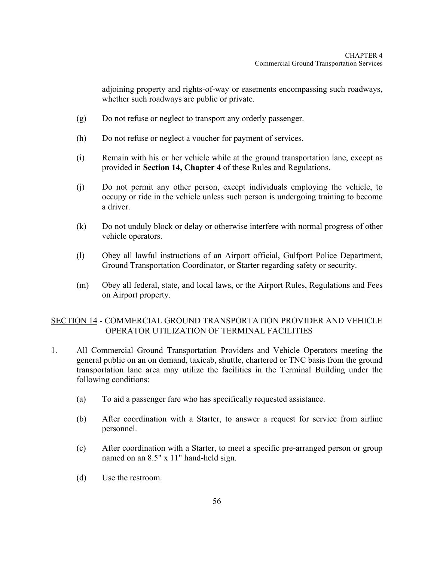adjoining property and rights-of-way or easements encompassing such roadways, whether such roadways are public or private.

- (g) Do not refuse or neglect to transport any orderly passenger.
- (h) Do not refuse or neglect a voucher for payment of services.
- (i) Remain with his or her vehicle while at the ground transportation lane, except as provided in **Section 14, Chapter 4** of these Rules and Regulations.
- (j) Do not permit any other person, except individuals employing the vehicle, to occupy or ride in the vehicle unless such person is undergoing training to become a driver.
- (k) Do not unduly block or delay or otherwise interfere with normal progress of other vehicle operators.
- (l) Obey all lawful instructions of an Airport official, Gulfport Police Department, Ground Transportation Coordinator, or Starter regarding safety or security.
- (m) Obey all federal, state, and local laws, or the Airport Rules, Regulations and Fees on Airport property.

### SECTION 14 - COMMERCIAL GROUND TRANSPORTATION PROVIDER AND VEHICLE OPERATOR UTILIZATION OF TERMINAL FACILITIES

- 1. All Commercial Ground Transportation Providers and Vehicle Operators meeting the general public on an on demand, taxicab, shuttle, chartered or TNC basis from the ground transportation lane area may utilize the facilities in the Terminal Building under the following conditions:
	- (a) To aid a passenger fare who has specifically requested assistance.
	- (b) After coordination with a Starter, to answer a request for service from airline personnel.
	- (c) After coordination with a Starter, to meet a specific pre-arranged person or group named on an 8.5" x 11" hand-held sign.
	- (d) Use the restroom.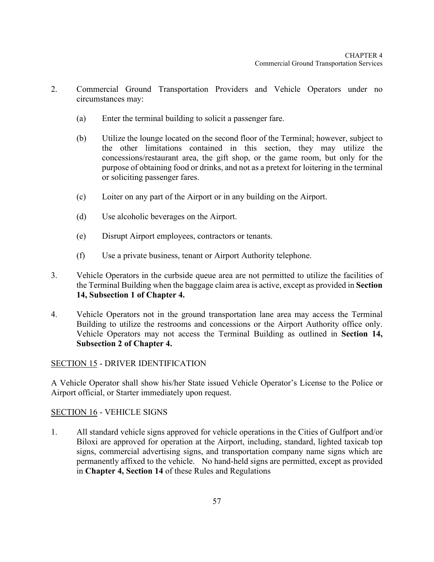- 2. Commercial Ground Transportation Providers and Vehicle Operators under no circumstances may:
	- (a) Enter the terminal building to solicit a passenger fare.
	- (b) Utilize the lounge located on the second floor of the Terminal; however, subject to the other limitations contained in this section, they may utilize the concessions/restaurant area, the gift shop, or the game room, but only for the purpose of obtaining food or drinks, and not as a pretext for loitering in the terminal or soliciting passenger fares.
	- (c) Loiter on any part of the Airport or in any building on the Airport.
	- (d) Use alcoholic beverages on the Airport.
	- (e) Disrupt Airport employees, contractors or tenants.
	- (f) Use a private business, tenant or Airport Authority telephone.
- 3. Vehicle Operators in the curbside queue area are not permitted to utilize the facilities of the Terminal Building when the baggage claim area is active, except as provided in **Section 14, Subsection 1 of Chapter 4.**
- 4. Vehicle Operators not in the ground transportation lane area may access the Terminal Building to utilize the restrooms and concessions or the Airport Authority office only. Vehicle Operators may not access the Terminal Building as outlined in **Section 14, Subsection 2 of Chapter 4.**

### SECTION 15 - DRIVER IDENTIFICATION

A Vehicle Operator shall show his/her State issued Vehicle Operator's License to the Police or Airport official, or Starter immediately upon request.

### SECTION 16 - VEHICLE SIGNS

1. All standard vehicle signs approved for vehicle operations in the Cities of Gulfport and/or Biloxi are approved for operation at the Airport, including, standard, lighted taxicab top signs, commercial advertising signs, and transportation company name signs which are permanently affixed to the vehicle. No hand-held signs are permitted, except as provided in **Chapter 4, Section 14** of these Rules and Regulations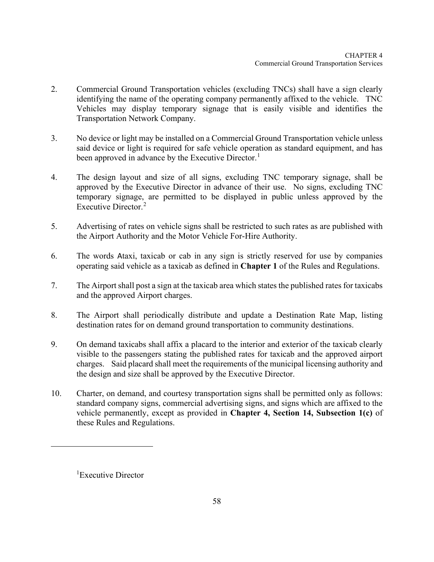- 2. Commercial Ground Transportation vehicles (excluding TNCs) shall have a sign clearly identifying the name of the operating company permanently affixed to the vehicle. TNC Vehicles may display temporary signage that is easily visible and identifies the Transportation Network Company.
- 3. No device or light may be installed on a Commercial Ground Transportation vehicle unless said device or light is required for safe vehicle operation as standard equipment, and has been approved in advance by the Executive Director.<sup>[1](#page-71-0)</sup>
- 4. The design layout and size of all signs, excluding TNC temporary signage, shall be approved by the Executive Director in advance of their use. No signs, excluding TNC temporary signage, are permitted to be displayed in public unless approved by the Executive Director.<sup>[2](#page-71-1)</sup>
- 5. Advertising of rates on vehicle signs shall be restricted to such rates as are published with the Airport Authority and the Motor Vehicle For-Hire Authority.
- 6. The words Ataxi, taxicab or cab in any sign is strictly reserved for use by companies operating said vehicle as a taxicab as defined in **Chapter 1** of the Rules and Regulations.
- 7. The Airport shall post a sign at the taxicab area which states the published rates for taxicabs and the approved Airport charges.
- 8. The Airport shall periodically distribute and update a Destination Rate Map, listing destination rates for on demand ground transportation to community destinations.
- 9. On demand taxicabs shall affix a placard to the interior and exterior of the taxicab clearly visible to the passengers stating the published rates for taxicab and the approved airport charges. Said placard shall meet the requirements of the municipal licensing authority and the design and size shall be approved by the Executive Director.
- 10. Charter, on demand, and courtesy transportation signs shall be permitted only as follows: standard company signs, commercial advertising signs, and signs which are affixed to the vehicle permanently, except as provided in **Chapter 4, Section 14, Subsection 1(c)** of these Rules and Regulations.

<span id="page-71-1"></span><span id="page-71-0"></span><sup>1</sup> Executive Director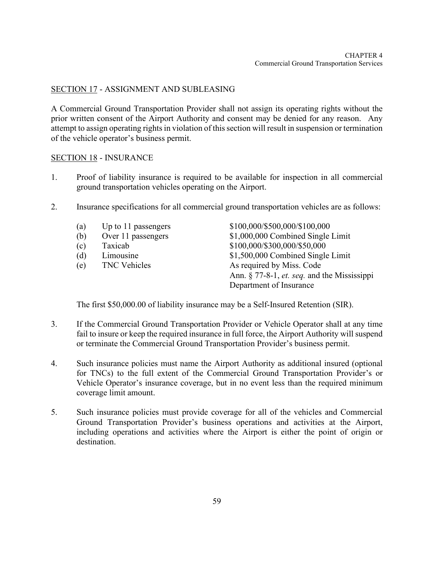# SECTION 17 - ASSIGNMENT AND SUBLEASING

A Commercial Ground Transportation Provider shall not assign its operating rights without the prior written consent of the Airport Authority and consent may be denied for any reason. Any attempt to assign operating rights in violation of this section will result in suspension or termination of the vehicle operator's business permit.

### SECTION 18 - INSURANCE

- 1. Proof of liability insurance is required to be available for inspection in all commercial ground transportation vehicles operating on the Airport.
- 2. Insurance specifications for all commercial ground transportation vehicles are as follows:

| (a) | Up to 11 passengers | \$100,000/\$500,000/\$100,000               |
|-----|---------------------|---------------------------------------------|
| (b) | Over 11 passengers  | \$1,000,000 Combined Single Limit           |
| (c) | Taxicab             | \$100,000/\$300,000/\$50,000                |
| (d) | Limousine           | \$1,500,000 Combined Single Limit           |
| (e) | <b>TNC Vehicles</b> | As required by Miss. Code                   |
|     |                     | Ann. § 77-8-1, et. seq. and the Mississippi |
|     |                     | Department of Insurance                     |

The first \$50,000.00 of liability insurance may be a Self-Insured Retention (SIR).

- 3. If the Commercial Ground Transportation Provider or Vehicle Operator shall at any time fail to insure or keep the required insurance in full force, the Airport Authority will suspend or terminate the Commercial Ground Transportation Provider's business permit.
- 4. Such insurance policies must name the Airport Authority as additional insured (optional for TNCs) to the full extent of the Commercial Ground Transportation Provider's or Vehicle Operator's insurance coverage, but in no event less than the required minimum coverage limit amount.
- 5. Such insurance policies must provide coverage for all of the vehicles and Commercial Ground Transportation Provider's business operations and activities at the Airport, including operations and activities where the Airport is either the point of origin or destination.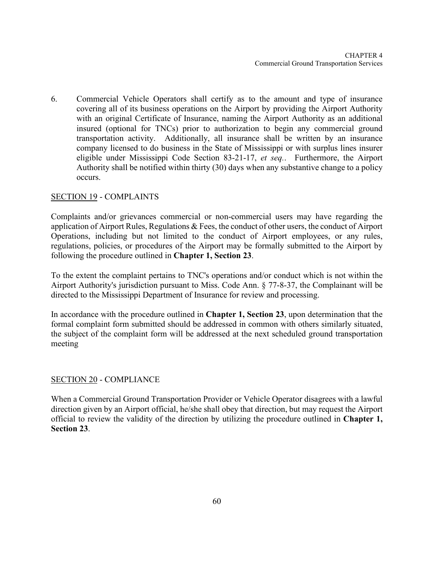6. Commercial Vehicle Operators shall certify as to the amount and type of insurance covering all of its business operations on the Airport by providing the Airport Authority with an original Certificate of Insurance, naming the Airport Authority as an additional insured (optional for TNCs) prior to authorization to begin any commercial ground transportation activity. Additionally, all insurance shall be written by an insurance company licensed to do business in the State of Mississippi or with surplus lines insurer eligible under Mississippi Code Section 83-21-17, *et seq.*. Furthermore, the Airport Authority shall be notified within thirty (30) days when any substantive change to a policy occurs.

#### SECTION 19 - COMPLAINTS

Complaints and/or grievances commercial or non-commercial users may have regarding the application of Airport Rules, Regulations & Fees, the conduct of other users, the conduct of Airport Operations, including but not limited to the conduct of Airport employees, or any rules, regulations, policies, or procedures of the Airport may be formally submitted to the Airport by following the procedure outlined in **Chapter 1, Section 23**.

To the extent the complaint pertains to TNC's operations and/or conduct which is not within the Airport Authority's jurisdiction pursuant to Miss. Code Ann. § 77-8-37, the Complainant will be directed to the Mississippi Department of Insurance for review and processing.

In accordance with the procedure outlined in **Chapter 1, Section 23**, upon determination that the formal complaint form submitted should be addressed in common with others similarly situated, the subject of the complaint form will be addressed at the next scheduled ground transportation meeting

#### SECTION 20 - COMPLIANCE

When a Commercial Ground Transportation Provider or Vehicle Operator disagrees with a lawful direction given by an Airport official, he/she shall obey that direction, but may request the Airport official to review the validity of the direction by utilizing the procedure outlined in **Chapter 1, Section 23**.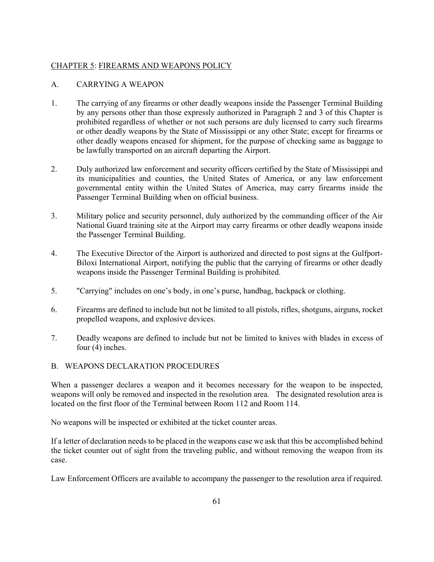#### CHAPTER 5: FIREARMS AND WEAPONS POLICY

#### A. CARRYING A WEAPON

- 1. The carrying of any firearms or other deadly weapons inside the Passenger Terminal Building by any persons other than those expressly authorized in Paragraph 2 and 3 of this Chapter is prohibited regardless of whether or not such persons are duly licensed to carry such firearms or other deadly weapons by the State of Mississippi or any other State; except for firearms or other deadly weapons encased for shipment, for the purpose of checking same as baggage to be lawfully transported on an aircraft departing the Airport.
- 2. Duly authorized law enforcement and security officers certified by the State of Mississippi and its municipalities and counties, the United States of America, or any law enforcement governmental entity within the United States of America, may carry firearms inside the Passenger Terminal Building when on official business.
- 3. Military police and security personnel, duly authorized by the commanding officer of the Air National Guard training site at the Airport may carry firearms or other deadly weapons inside the Passenger Terminal Building.
- 4. The Executive Director of the Airport is authorized and directed to post signs at the Gulfport-Biloxi International Airport, notifying the public that the carrying of firearms or other deadly weapons inside the Passenger Terminal Building is prohibited.
- 5. "Carrying" includes on one's body, in one's purse, handbag, backpack or clothing.
- 6. Firearms are defined to include but not be limited to all pistols, rifles, shotguns, airguns, rocket propelled weapons, and explosive devices.
- 7. Deadly weapons are defined to include but not be limited to knives with blades in excess of four (4) inches.
- B. WEAPONS DECLARATION PROCEDURES

When a passenger declares a weapon and it becomes necessary for the weapon to be inspected, weapons will only be removed and inspected in the resolution area. The designated resolution area is located on the first floor of the Terminal between Room 112 and Room 114.

No weapons will be inspected or exhibited at the ticket counter areas.

If a letter of declaration needs to be placed in the weapons case we ask that this be accomplished behind the ticket counter out of sight from the traveling public, and without removing the weapon from its case.

Law Enforcement Officers are available to accompany the passenger to the resolution area if required.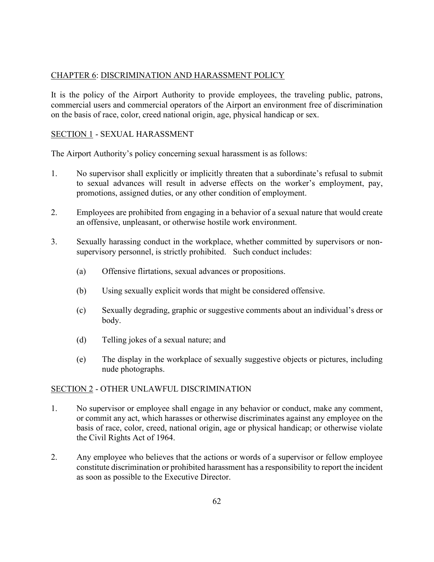### CHAPTER 6: DISCRIMINATION AND HARASSMENT POLICY

It is the policy of the Airport Authority to provide employees, the traveling public, patrons, commercial users and commercial operators of the Airport an environment free of discrimination on the basis of race, color, creed national origin, age, physical handicap or sex.

### SECTION 1 - SEXUAL HARASSMENT

The Airport Authority's policy concerning sexual harassment is as follows:

- 1. No supervisor shall explicitly or implicitly threaten that a subordinate's refusal to submit to sexual advances will result in adverse effects on the worker's employment, pay, promotions, assigned duties, or any other condition of employment.
- 2. Employees are prohibited from engaging in a behavior of a sexual nature that would create an offensive, unpleasant, or otherwise hostile work environment.
- 3. Sexually harassing conduct in the workplace, whether committed by supervisors or nonsupervisory personnel, is strictly prohibited. Such conduct includes:
	- (a) Offensive flirtations, sexual advances or propositions.
	- (b) Using sexually explicit words that might be considered offensive.
	- (c) Sexually degrading, graphic or suggestive comments about an individual's dress or body.
	- (d) Telling jokes of a sexual nature; and
	- (e) The display in the workplace of sexually suggestive objects or pictures, including nude photographs.

#### SECTION 2 - OTHER UNLAWFUL DISCRIMINATION

- 1. No supervisor or employee shall engage in any behavior or conduct, make any comment, or commit any act, which harasses or otherwise discriminates against any employee on the basis of race, color, creed, national origin, age or physical handicap; or otherwise violate the Civil Rights Act of 1964.
- 2. Any employee who believes that the actions or words of a supervisor or fellow employee constitute discrimination or prohibited harassment has a responsibility to report the incident as soon as possible to the Executive Director.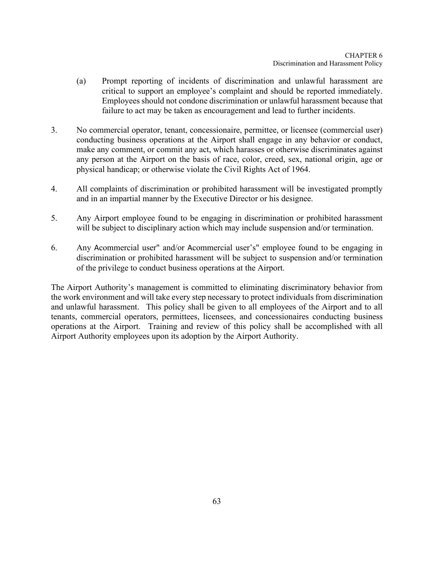- (a) Prompt reporting of incidents of discrimination and unlawful harassment are critical to support an employee's complaint and should be reported immediately. Employees should not condone discrimination or unlawful harassment because that failure to act may be taken as encouragement and lead to further incidents.
- 3. No commercial operator, tenant, concessionaire, permittee, or licensee (commercial user) conducting business operations at the Airport shall engage in any behavior or conduct, make any comment, or commit any act, which harasses or otherwise discriminates against any person at the Airport on the basis of race, color, creed, sex, national origin, age or physical handicap; or otherwise violate the Civil Rights Act of 1964.
- 4. All complaints of discrimination or prohibited harassment will be investigated promptly and in an impartial manner by the Executive Director or his designee.
- 5. Any Airport employee found to be engaging in discrimination or prohibited harassment will be subject to disciplinary action which may include suspension and/or termination.
- 6. Any Acommercial user" and/or Acommercial user's" employee found to be engaging in discrimination or prohibited harassment will be subject to suspension and/or termination of the privilege to conduct business operations at the Airport.

The Airport Authority's management is committed to eliminating discriminatory behavior from the work environment and will take every step necessary to protect individuals from discrimination and unlawful harassment. This policy shall be given to all employees of the Airport and to all tenants, commercial operators, permittees, licensees, and concessionaires conducting business operations at the Airport. Training and review of this policy shall be accomplished with all Airport Authority employees upon its adoption by the Airport Authority.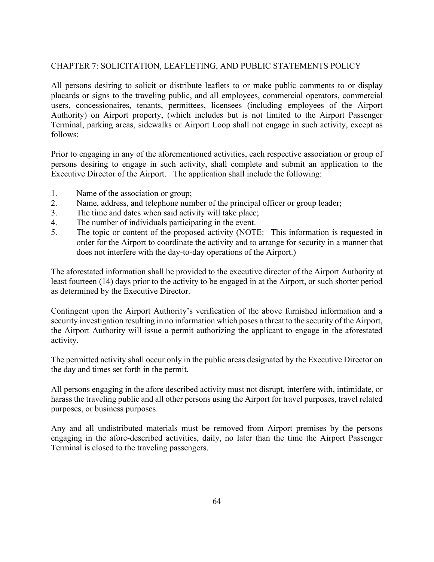## CHAPTER 7: SOLICITATION, LEAFLETING, AND PUBLIC STATEMENTS POLICY

All persons desiring to solicit or distribute leaflets to or make public comments to or display placards or signs to the traveling public, and all employees, commercial operators, commercial users, concessionaires, tenants, permittees, licensees (including employees of the Airport Authority) on Airport property, (which includes but is not limited to the Airport Passenger Terminal, parking areas, sidewalks or Airport Loop shall not engage in such activity, except as follows:

Prior to engaging in any of the aforementioned activities, each respective association or group of persons desiring to engage in such activity, shall complete and submit an application to the Executive Director of the Airport. The application shall include the following:

- 1. Name of the association or group;
- 2. Name, address, and telephone number of the principal officer or group leader;
- 3. The time and dates when said activity will take place;
- 4. The number of individuals participating in the event.
- 5. The topic or content of the proposed activity (NOTE: This information is requested in order for the Airport to coordinate the activity and to arrange for security in a manner that does not interfere with the day-to-day operations of the Airport.)

The aforestated information shall be provided to the executive director of the Airport Authority at least fourteen (14) days prior to the activity to be engaged in at the Airport, or such shorter period as determined by the Executive Director.

Contingent upon the Airport Authority's verification of the above furnished information and a security investigation resulting in no information which poses a threat to the security of the Airport, the Airport Authority will issue a permit authorizing the applicant to engage in the aforestated activity.

The permitted activity shall occur only in the public areas designated by the Executive Director on the day and times set forth in the permit.

All persons engaging in the afore described activity must not disrupt, interfere with, intimidate, or harass the traveling public and all other persons using the Airport for travel purposes, travel related purposes, or business purposes.

Any and all undistributed materials must be removed from Airport premises by the persons engaging in the afore-described activities, daily, no later than the time the Airport Passenger Terminal is closed to the traveling passengers.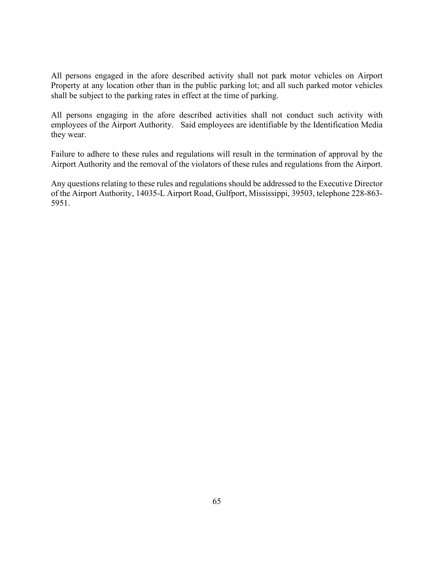All persons engaged in the afore described activity shall not park motor vehicles on Airport Property at any location other than in the public parking lot; and all such parked motor vehicles shall be subject to the parking rates in effect at the time of parking.

All persons engaging in the afore described activities shall not conduct such activity with employees of the Airport Authority. Said employees are identifiable by the Identification Media they wear.

Failure to adhere to these rules and regulations will result in the termination of approval by the Airport Authority and the removal of the violators of these rules and regulations from the Airport.

Any questions relating to these rules and regulations should be addressed to the Executive Director of the Airport Authority, 14035-L Airport Road, Gulfport, Mississippi, 39503, telephone 228-863- 5951.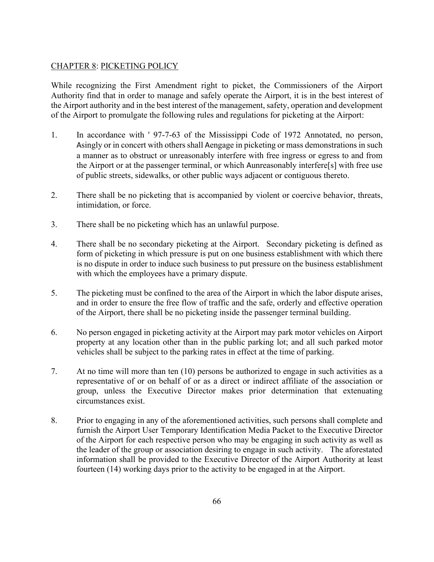### CHAPTER 8: PICKETING POLICY

While recognizing the First Amendment right to picket, the Commissioners of the Airport Authority find that in order to manage and safely operate the Airport, it is in the best interest of the Airport authority and in the best interest of the management, safety, operation and development of the Airport to promulgate the following rules and regulations for picketing at the Airport:

- 1. In accordance with ' 97-7-63 of the Mississippi Code of 1972 Annotated, no person, Asingly or in concert with others shall Aengage in picketing or mass demonstrations in such a manner as to obstruct or unreasonably interfere with free ingress or egress to and from the Airport or at the passenger terminal, or which Aunreasonably interfere[s] with free use of public streets, sidewalks, or other public ways adjacent or contiguous thereto.
- 2. There shall be no picketing that is accompanied by violent or coercive behavior, threats, intimidation, or force.
- 3. There shall be no picketing which has an unlawful purpose.
- 4. There shall be no secondary picketing at the Airport. Secondary picketing is defined as form of picketing in which pressure is put on one business establishment with which there is no dispute in order to induce such business to put pressure on the business establishment with which the employees have a primary dispute.
- 5. The picketing must be confined to the area of the Airport in which the labor dispute arises, and in order to ensure the free flow of traffic and the safe, orderly and effective operation of the Airport, there shall be no picketing inside the passenger terminal building.
- 6. No person engaged in picketing activity at the Airport may park motor vehicles on Airport property at any location other than in the public parking lot; and all such parked motor vehicles shall be subject to the parking rates in effect at the time of parking.
- 7. At no time will more than ten (10) persons be authorized to engage in such activities as a representative of or on behalf of or as a direct or indirect affiliate of the association or group, unless the Executive Director makes prior determination that extenuating circumstances exist.
- 8. Prior to engaging in any of the aforementioned activities, such persons shall complete and furnish the Airport User Temporary Identification Media Packet to the Executive Director of the Airport for each respective person who may be engaging in such activity as well as the leader of the group or association desiring to engage in such activity. The aforestated information shall be provided to the Executive Director of the Airport Authority at least fourteen (14) working days prior to the activity to be engaged in at the Airport.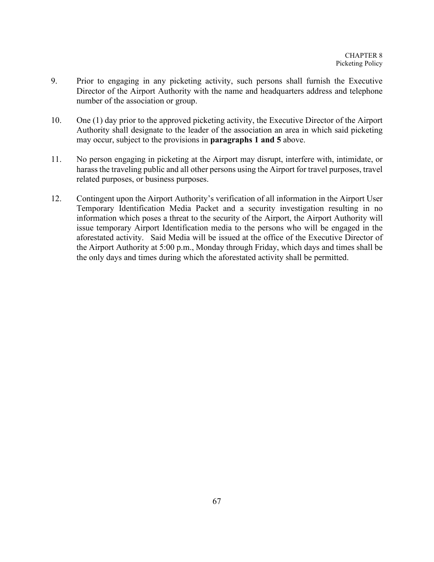- 9. Prior to engaging in any picketing activity, such persons shall furnish the Executive Director of the Airport Authority with the name and headquarters address and telephone number of the association or group.
- 10. One (1) day prior to the approved picketing activity, the Executive Director of the Airport Authority shall designate to the leader of the association an area in which said picketing may occur, subject to the provisions in **paragraphs 1 and 5** above.
- 11. No person engaging in picketing at the Airport may disrupt, interfere with, intimidate, or harass the traveling public and all other persons using the Airport for travel purposes, travel related purposes, or business purposes.
- 12. Contingent upon the Airport Authority's verification of all information in the Airport User Temporary Identification Media Packet and a security investigation resulting in no information which poses a threat to the security of the Airport, the Airport Authority will issue temporary Airport Identification media to the persons who will be engaged in the aforestated activity. Said Media will be issued at the office of the Executive Director of the Airport Authority at 5:00 p.m., Monday through Friday, which days and times shall be the only days and times during which the aforestated activity shall be permitted.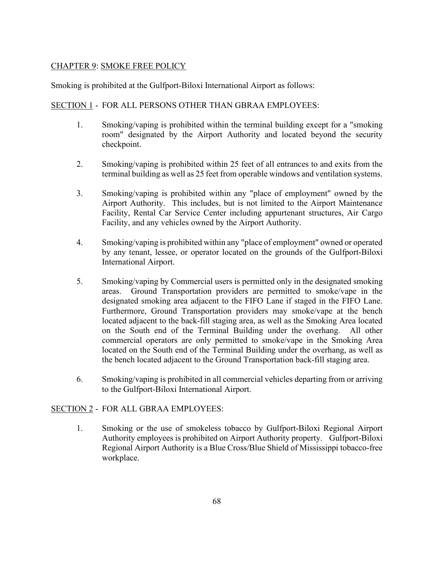### CHAPTER 9: SMOKE FREE POLICY

Smoking is prohibited at the Gulfport-Biloxi International Airport as follows:

SECTION 1 - FOR ALL PERSONS OTHER THAN GBRAA EMPLOYEES:

- 1. Smoking/vaping is prohibited within the terminal building except for a "smoking room" designated by the Airport Authority and located beyond the security checkpoint.
- 2. Smoking/vaping is prohibited within 25 feet of all entrances to and exits from the terminal building as well as 25 feet from operable windows and ventilation systems.
- 3. Smoking/vaping is prohibited within any "place of employment" owned by the Airport Authority. This includes, but is not limited to the Airport Maintenance Facility, Rental Car Service Center including appurtenant structures, Air Cargo Facility, and any vehicles owned by the Airport Authority.
- 4. Smoking/vaping is prohibited within any "place of employment" owned or operated by any tenant, lessee, or operator located on the grounds of the Gulfport-Biloxi International Airport.
- 5. Smoking/vaping by Commercial users is permitted only in the designated smoking areas. Ground Transportation providers are permitted to smoke/vape in the designated smoking area adjacent to the FIFO Lane if staged in the FIFO Lane. Furthermore, Ground Transportation providers may smoke/vape at the bench located adjacent to the back-fill staging area, as well as the Smoking Area located on the South end of the Terminal Building under the overhang. All other commercial operators are only permitted to smoke/vape in the Smoking Area located on the South end of the Terminal Building under the overhang, as well as the bench located adjacent to the Ground Transportation back-fill staging area.
- 6. Smoking/vaping is prohibited in all commercial vehicles departing from or arriving to the Gulfport-Biloxi International Airport.

#### SECTION 2 - FOR ALL GBRAA EMPLOYEES:

1. Smoking or the use of smokeless tobacco by Gulfport-Biloxi Regional Airport Authority employees is prohibited on Airport Authority property. Gulfport-Biloxi Regional Airport Authority is a Blue Cross/Blue Shield of Mississippi tobacco-free workplace.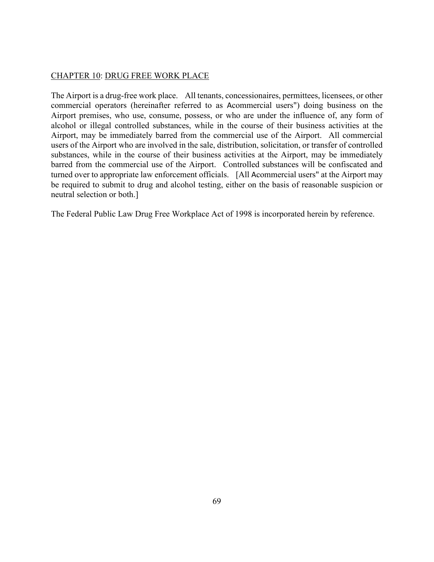### CHAPTER 10: DRUG FREE WORK PLACE

The Airport is a drug-free work place. All tenants, concessionaires, permittees, licensees, or other commercial operators (hereinafter referred to as Acommercial users") doing business on the Airport premises, who use, consume, possess, or who are under the influence of, any form of alcohol or illegal controlled substances, while in the course of their business activities at the Airport, may be immediately barred from the commercial use of the Airport. All commercial users of the Airport who are involved in the sale, distribution, solicitation, or transfer of controlled substances, while in the course of their business activities at the Airport, may be immediately barred from the commercial use of the Airport. Controlled substances will be confiscated and turned over to appropriate law enforcement officials. [All Acommercial users" at the Airport may be required to submit to drug and alcohol testing, either on the basis of reasonable suspicion or neutral selection or both.]

The Federal Public Law Drug Free Workplace Act of 1998 is incorporated herein by reference.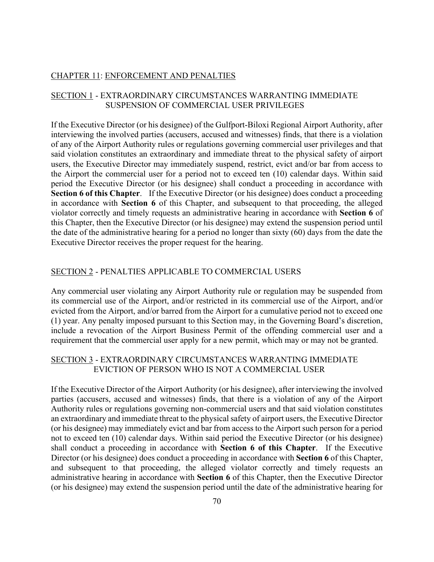#### CHAPTER 11: ENFORCEMENT AND PENALTIES

## SECTION 1 - EXTRAORDINARY CIRCUMSTANCES WARRANTING IMMEDIATE SUSPENSION OF COMMERCIAL USER PRIVILEGES

If the Executive Director (or his designee) of the Gulfport-Biloxi Regional Airport Authority, after interviewing the involved parties (accusers, accused and witnesses) finds, that there is a violation of any of the Airport Authority rules or regulations governing commercial user privileges and that said violation constitutes an extraordinary and immediate threat to the physical safety of airport users, the Executive Director may immediately suspend, restrict, evict and/or bar from access to the Airport the commercial user for a period not to exceed ten (10) calendar days. Within said period the Executive Director (or his designee) shall conduct a proceeding in accordance with **Section 6 of this Chapter**. If the Executive Director (or his designee) does conduct a proceeding in accordance with **Section 6** of this Chapter, and subsequent to that proceeding, the alleged violator correctly and timely requests an administrative hearing in accordance with **Section 6** of this Chapter, then the Executive Director (or his designee) may extend the suspension period until the date of the administrative hearing for a period no longer than sixty (60) days from the date the Executive Director receives the proper request for the hearing.

#### SECTION 2 - PENALTIES APPLICABLE TO COMMERCIAL USERS

Any commercial user violating any Airport Authority rule or regulation may be suspended from its commercial use of the Airport, and/or restricted in its commercial use of the Airport, and/or evicted from the Airport, and/or barred from the Airport for a cumulative period not to exceed one (1) year. Any penalty imposed pursuant to this Section may, in the Governing Board's discretion, include a revocation of the Airport Business Permit of the offending commercial user and a requirement that the commercial user apply for a new permit, which may or may not be granted.

### SECTION 3 - EXTRAORDINARY CIRCUMSTANCES WARRANTING IMMEDIATE EVICTION OF PERSON WHO IS NOT A COMMERCIAL USER

If the Executive Director of the Airport Authority (or his designee), after interviewing the involved parties (accusers, accused and witnesses) finds, that there is a violation of any of the Airport Authority rules or regulations governing non-commercial users and that said violation constitutes an extraordinary and immediate threat to the physical safety of airport users, the Executive Director (or his designee) may immediately evict and bar from access to the Airport such person for a period not to exceed ten (10) calendar days. Within said period the Executive Director (or his designee) shall conduct a proceeding in accordance with **Section 6 of this Chapter**. If the Executive Director (or his designee) does conduct a proceeding in accordance with **Section 6** of this Chapter, and subsequent to that proceeding, the alleged violator correctly and timely requests an administrative hearing in accordance with **Section 6** of this Chapter, then the Executive Director (or his designee) may extend the suspension period until the date of the administrative hearing for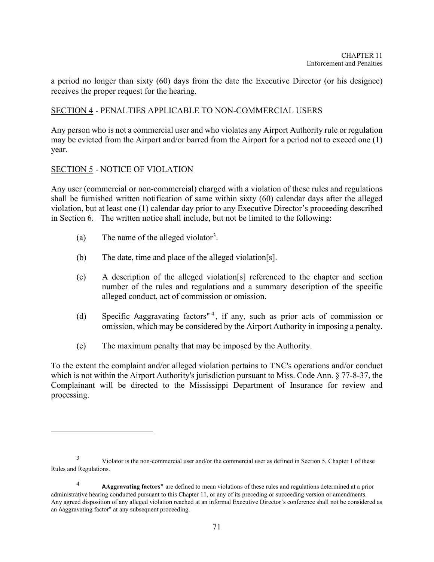a period no longer than sixty (60) days from the date the Executive Director (or his designee) receives the proper request for the hearing.

### SECTION 4 - PENALTIES APPLICABLE TO NON-COMMERCIAL USERS

Any person who is not a commercial user and who violates any Airport Authority rule or regulation may be evicted from the Airport and/or barred from the Airport for a period not to exceed one (1) year.

### SECTION 5 - NOTICE OF VIOLATION

Any user (commercial or non-commercial) charged with a violation of these rules and regulations shall be furnished written notification of same within sixty (60) calendar days after the alleged violation, but at least one (1) calendar day prior to any Executive Director's proceeding described in Section 6. The written notice shall include, but not be limited to the following:

- (a) The name of the alleged violator<sup>[3](#page-84-0)</sup>.
- (b) The date, time and place of the alleged violation[s].
- (c) A description of the alleged violation[s] referenced to the chapter and section number of the rules and regulations and a summary description of the specific alleged conduct, act of commission or omission.
- (d) Specific Aaggravating factors" [4](#page-84-1) , if any, such as prior acts of commission or omission, which may be considered by the Airport Authority in imposing a penalty.
- (e) The maximum penalty that may be imposed by the Authority.

To the extent the complaint and/or alleged violation pertains to TNC's operations and/or conduct which is not within the Airport Authority's jurisdiction pursuant to Miss. Code Ann. § 77-8-37, the Complainant will be directed to the Mississippi Department of Insurance for review and processing.

<span id="page-84-0"></span><sup>3</sup> Violator is the non-commercial user and/or the commercial user as defined in Section 5, Chapter 1 of these Rules and Regulations.

<span id="page-84-1"></span><sup>4</sup> **<sup>A</sup>Aggravating factors"** are defined to mean violations of these rules and regulations determined at a prior administrative hearing conducted pursuant to this Chapter 11, or any of its preceding or succeeding version or amendments. Any agreed disposition of any alleged violation reached at an informal Executive Director's conference shall not be considered as an Aaggravating factor" at any subsequent proceeding.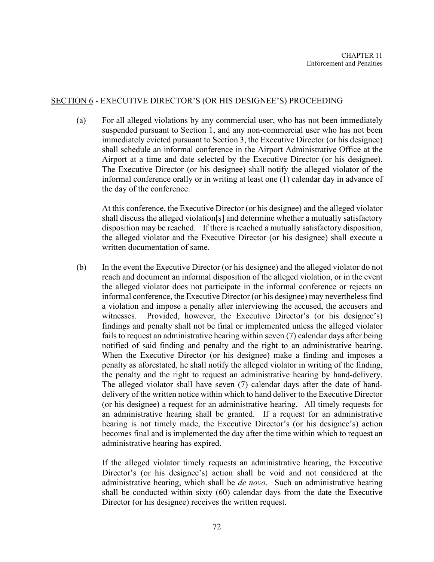#### SECTION 6 - EXECUTIVE DIRECTOR'S (OR HIS DESIGNEE'S) PROCEEDING

(a) For all alleged violations by any commercial user, who has not been immediately suspended pursuant to Section 1, and any non-commercial user who has not been immediately evicted pursuant to Section 3, the Executive Director (or his designee) shall schedule an informal conference in the Airport Administrative Office at the Airport at a time and date selected by the Executive Director (or his designee). The Executive Director (or his designee) shall notify the alleged violator of the informal conference orally or in writing at least one (1) calendar day in advance of the day of the conference.

At this conference, the Executive Director (or his designee) and the alleged violator shall discuss the alleged violation[s] and determine whether a mutually satisfactory disposition may be reached. If there is reached a mutually satisfactory disposition, the alleged violator and the Executive Director (or his designee) shall execute a written documentation of same.

(b) In the event the Executive Director (or his designee) and the alleged violator do not reach and document an informal disposition of the alleged violation, or in the event the alleged violator does not participate in the informal conference or rejects an informal conference, the Executive Director (or his designee) may nevertheless find a violation and impose a penalty after interviewing the accused, the accusers and witnesses. Provided, however, the Executive Director's (or his designee's) findings and penalty shall not be final or implemented unless the alleged violator fails to request an administrative hearing within seven (7) calendar days after being notified of said finding and penalty and the right to an administrative hearing. When the Executive Director (or his designee) make a finding and imposes a penalty as aforestated, he shall notify the alleged violator in writing of the finding, the penalty and the right to request an administrative hearing by hand-delivery. The alleged violator shall have seven (7) calendar days after the date of handdelivery of the written notice within which to hand deliver to the Executive Director (or his designee) a request for an administrative hearing. All timely requests for an administrative hearing shall be granted. If a request for an administrative hearing is not timely made, the Executive Director's (or his designee's) action becomes final and is implemented the day after the time within which to request an administrative hearing has expired.

If the alleged violator timely requests an administrative hearing, the Executive Director's (or his designee's) action shall be void and not considered at the administrative hearing, which shall be *de novo*. Such an administrative hearing shall be conducted within sixty (60) calendar days from the date the Executive Director (or his designee) receives the written request.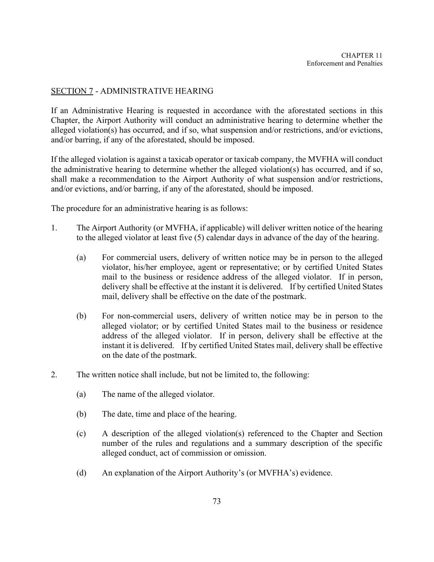## SECTION 7 - ADMINISTRATIVE HEARING

If an Administrative Hearing is requested in accordance with the aforestated sections in this Chapter, the Airport Authority will conduct an administrative hearing to determine whether the alleged violation(s) has occurred, and if so, what suspension and/or restrictions, and/or evictions, and/or barring, if any of the aforestated, should be imposed.

If the alleged violation is against a taxicab operator or taxicab company, the MVFHA will conduct the administrative hearing to determine whether the alleged violation(s) has occurred, and if so, shall make a recommendation to the Airport Authority of what suspension and/or restrictions, and/or evictions, and/or barring, if any of the aforestated, should be imposed.

The procedure for an administrative hearing is as follows:

- 1. The Airport Authority (or MVFHA, if applicable) will deliver written notice of the hearing to the alleged violator at least five (5) calendar days in advance of the day of the hearing.
	- (a) For commercial users, delivery of written notice may be in person to the alleged violator, his/her employee, agent or representative; or by certified United States mail to the business or residence address of the alleged violator. If in person, delivery shall be effective at the instant it is delivered. If by certified United States mail, delivery shall be effective on the date of the postmark.
	- (b) For non-commercial users, delivery of written notice may be in person to the alleged violator; or by certified United States mail to the business or residence address of the alleged violator. If in person, delivery shall be effective at the instant it is delivered. If by certified United States mail, delivery shall be effective on the date of the postmark.
- 2. The written notice shall include, but not be limited to, the following:
	- (a) The name of the alleged violator.
	- (b) The date, time and place of the hearing.
	- (c) A description of the alleged violation(s) referenced to the Chapter and Section number of the rules and regulations and a summary description of the specific alleged conduct, act of commission or omission.
	- (d) An explanation of the Airport Authority's (or MVFHA's) evidence.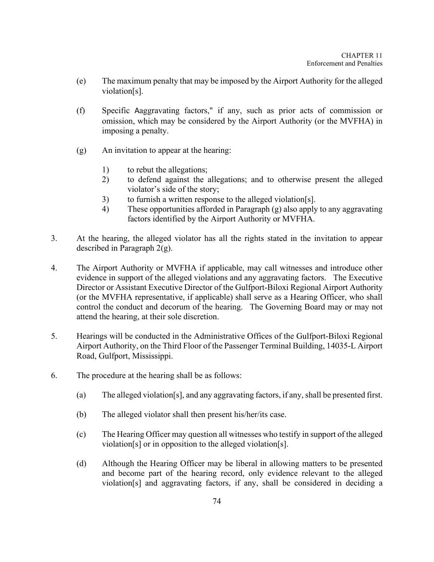- (e) The maximum penalty that may be imposed by the Airport Authority for the alleged violation[s].
- (f) Specific Aaggravating factors," if any, such as prior acts of commission or omission, which may be considered by the Airport Authority (or the MVFHA) in imposing a penalty.
- (g) An invitation to appear at the hearing:
	- 1) to rebut the allegations;
	- 2) to defend against the allegations; and to otherwise present the alleged violator's side of the story;
	- 3) to furnish a written response to the alleged violation[s].
	- 4) These opportunities afforded in Paragraph (g) also apply to any aggravating factors identified by the Airport Authority or MVFHA.
- 3. At the hearing, the alleged violator has all the rights stated in the invitation to appear described in Paragraph 2(g).
- 4. The Airport Authority or MVFHA if applicable, may call witnesses and introduce other evidence in support of the alleged violations and any aggravating factors. The Executive Director or Assistant Executive Director of the Gulfport-Biloxi Regional Airport Authority (or the MVFHA representative, if applicable) shall serve as a Hearing Officer, who shall control the conduct and decorum of the hearing. The Governing Board may or may not attend the hearing, at their sole discretion.
- 5. Hearings will be conducted in the Administrative Offices of the Gulfport-Biloxi Regional Airport Authority, on the Third Floor of the Passenger Terminal Building, 14035-L Airport Road, Gulfport, Mississippi.
- 6. The procedure at the hearing shall be as follows:
	- (a) The alleged violation[s], and any aggravating factors, if any, shall be presented first.
	- (b) The alleged violator shall then present his/her/its case.
	- (c) The Hearing Officer may question all witnesses who testify in support of the alleged violation[s] or in opposition to the alleged violation[s].
	- (d) Although the Hearing Officer may be liberal in allowing matters to be presented and become part of the hearing record, only evidence relevant to the alleged violation[s] and aggravating factors, if any, shall be considered in deciding a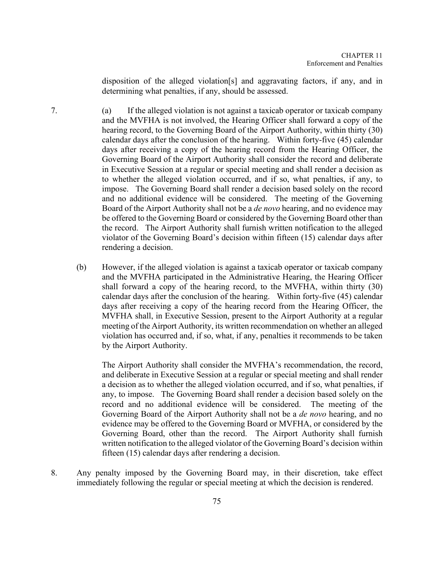disposition of the alleged violation[s] and aggravating factors, if any, and in determining what penalties, if any, should be assessed.

7. (a) If the alleged violation is not against a taxicab operator or taxicab company and the MVFHA is not involved, the Hearing Officer shall forward a copy of the hearing record, to the Governing Board of the Airport Authority, within thirty (30) calendar days after the conclusion of the hearing. Within forty-five (45) calendar days after receiving a copy of the hearing record from the Hearing Officer, the Governing Board of the Airport Authority shall consider the record and deliberate in Executive Session at a regular or special meeting and shall render a decision as to whether the alleged violation occurred, and if so, what penalties, if any, to impose. The Governing Board shall render a decision based solely on the record and no additional evidence will be considered. The meeting of the Governing Board of the Airport Authority shall not be a *de novo* hearing, and no evidence may be offered to the Governing Board or considered by the Governing Board other than the record. The Airport Authority shall furnish written notification to the alleged violator of the Governing Board's decision within fifteen (15) calendar days after rendering a decision.

(b) However, if the alleged violation is against a taxicab operator or taxicab company and the MVFHA participated in the Administrative Hearing, the Hearing Officer shall forward a copy of the hearing record, to the MVFHA, within thirty (30) calendar days after the conclusion of the hearing. Within forty-five (45) calendar days after receiving a copy of the hearing record from the Hearing Officer, the MVFHA shall, in Executive Session, present to the Airport Authority at a regular meeting of the Airport Authority, its written recommendation on whether an alleged violation has occurred and, if so, what, if any, penalties it recommends to be taken by the Airport Authority.

The Airport Authority shall consider the MVFHA's recommendation, the record, and deliberate in Executive Session at a regular or special meeting and shall render a decision as to whether the alleged violation occurred, and if so, what penalties, if any, to impose. The Governing Board shall render a decision based solely on the record and no additional evidence will be considered. The meeting of the Governing Board of the Airport Authority shall not be a *de novo* hearing, and no evidence may be offered to the Governing Board or MVFHA, or considered by the Governing Board, other than the record. The Airport Authority shall furnish written notification to the alleged violator of the Governing Board's decision within fifteen (15) calendar days after rendering a decision.

8. Any penalty imposed by the Governing Board may, in their discretion, take effect immediately following the regular or special meeting at which the decision is rendered.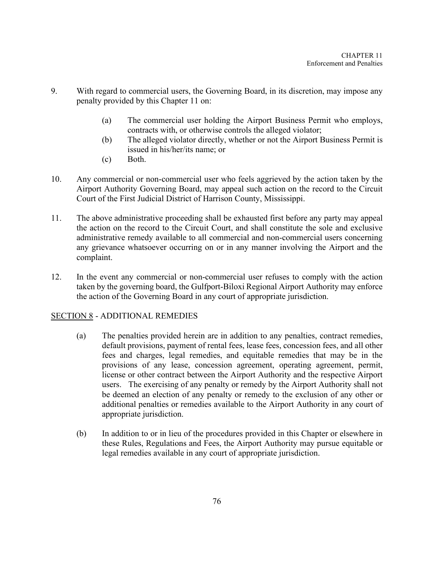- 9. With regard to commercial users, the Governing Board, in its discretion, may impose any penalty provided by this Chapter 11 on:
	- (a) The commercial user holding the Airport Business Permit who employs, contracts with, or otherwise controls the alleged violator;
	- (b) The alleged violator directly, whether or not the Airport Business Permit is issued in his/her/its name; or
	- (c) Both.
- 10. Any commercial or non-commercial user who feels aggrieved by the action taken by the Airport Authority Governing Board, may appeal such action on the record to the Circuit Court of the First Judicial District of Harrison County, Mississippi.
- 11. The above administrative proceeding shall be exhausted first before any party may appeal the action on the record to the Circuit Court, and shall constitute the sole and exclusive administrative remedy available to all commercial and non-commercial users concerning any grievance whatsoever occurring on or in any manner involving the Airport and the complaint.
- 12. In the event any commercial or non-commercial user refuses to comply with the action taken by the governing board, the Gulfport-Biloxi Regional Airport Authority may enforce the action of the Governing Board in any court of appropriate jurisdiction.

## SECTION 8 - ADDITIONAL REMEDIES

- (a) The penalties provided herein are in addition to any penalties, contract remedies, default provisions, payment of rental fees, lease fees, concession fees, and all other fees and charges, legal remedies, and equitable remedies that may be in the provisions of any lease, concession agreement, operating agreement, permit, license or other contract between the Airport Authority and the respective Airport users. The exercising of any penalty or remedy by the Airport Authority shall not be deemed an election of any penalty or remedy to the exclusion of any other or additional penalties or remedies available to the Airport Authority in any court of appropriate jurisdiction.
- (b) In addition to or in lieu of the procedures provided in this Chapter or elsewhere in these Rules, Regulations and Fees, the Airport Authority may pursue equitable or legal remedies available in any court of appropriate jurisdiction.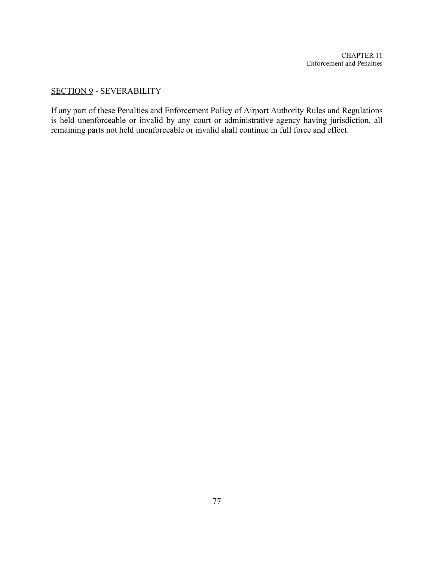# SECTION 9 - SEVERABILITY

If any part of these Penalties and Enforcement Policy of Airport Authority Rules and Regulations is held unenforceable or invalid by any court or administrative agency having jurisdiction, all remaining parts not held unenforceable or invalid shall continue in full force and effect.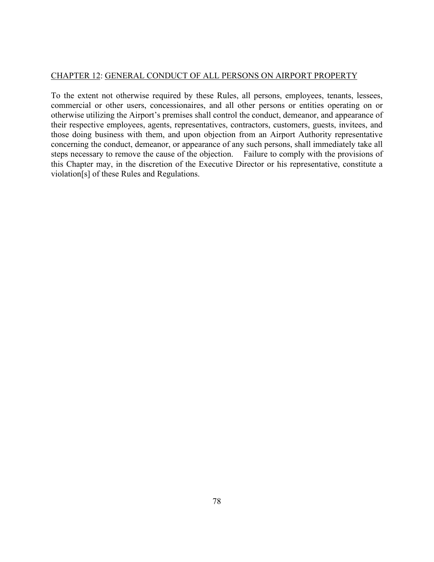### CHAPTER 12: GENERAL CONDUCT OF ALL PERSONS ON AIRPORT PROPERTY

To the extent not otherwise required by these Rules, all persons, employees, tenants, lessees, commercial or other users, concessionaires, and all other persons or entities operating on or otherwise utilizing the Airport's premises shall control the conduct, demeanor, and appearance of their respective employees, agents, representatives, contractors, customers, guests, invitees, and those doing business with them, and upon objection from an Airport Authority representative concerning the conduct, demeanor, or appearance of any such persons, shall immediately take all steps necessary to remove the cause of the objection. Failure to comply with the provisions of this Chapter may, in the discretion of the Executive Director or his representative, constitute a violation[s] of these Rules and Regulations.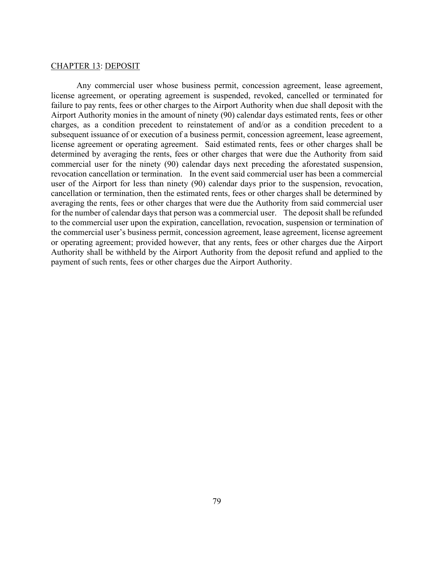#### CHAPTER 13: DEPOSIT

Any commercial user whose business permit, concession agreement, lease agreement, license agreement, or operating agreement is suspended, revoked, cancelled or terminated for failure to pay rents, fees or other charges to the Airport Authority when due shall deposit with the Airport Authority monies in the amount of ninety (90) calendar days estimated rents, fees or other charges, as a condition precedent to reinstatement of and/or as a condition precedent to a subsequent issuance of or execution of a business permit, concession agreement, lease agreement, license agreement or operating agreement. Said estimated rents, fees or other charges shall be determined by averaging the rents, fees or other charges that were due the Authority from said commercial user for the ninety (90) calendar days next preceding the aforestated suspension, revocation cancellation or termination. In the event said commercial user has been a commercial user of the Airport for less than ninety (90) calendar days prior to the suspension, revocation, cancellation or termination, then the estimated rents, fees or other charges shall be determined by averaging the rents, fees or other charges that were due the Authority from said commercial user for the number of calendar days that person was a commercial user. The deposit shall be refunded to the commercial user upon the expiration, cancellation, revocation, suspension or termination of the commercial user's business permit, concession agreement, lease agreement, license agreement or operating agreement; provided however, that any rents, fees or other charges due the Airport Authority shall be withheld by the Airport Authority from the deposit refund and applied to the payment of such rents, fees or other charges due the Airport Authority.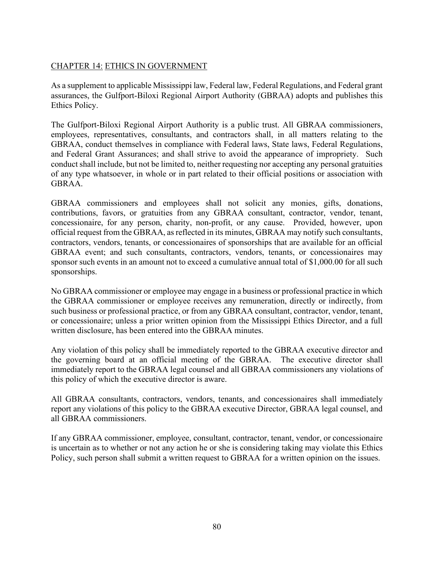## CHAPTER 14: ETHICS IN GOVERNMENT

As a supplement to applicable Mississippi law, Federal law, Federal Regulations, and Federal grant assurances, the Gulfport-Biloxi Regional Airport Authority (GBRAA) adopts and publishes this Ethics Policy.

The Gulfport-Biloxi Regional Airport Authority is a public trust. All GBRAA commissioners, employees, representatives, consultants, and contractors shall, in all matters relating to the GBRAA, conduct themselves in compliance with Federal laws, State laws, Federal Regulations, and Federal Grant Assurances; and shall strive to avoid the appearance of impropriety. Such conduct shall include, but not be limited to, neither requesting nor accepting any personal gratuities of any type whatsoever, in whole or in part related to their official positions or association with GBRAA.

GBRAA commissioners and employees shall not solicit any monies, gifts, donations, contributions, favors, or gratuities from any GBRAA consultant, contractor, vendor, tenant, concessionaire, for any person, charity, non-profit, or any cause. Provided, however, upon official request from the GBRAA, as reflected in its minutes, GBRAA may notify such consultants, contractors, vendors, tenants, or concessionaires of sponsorships that are available for an official GBRAA event; and such consultants, contractors, vendors, tenants, or concessionaires may sponsor such events in an amount not to exceed a cumulative annual total of \$1,000.00 for all such sponsorships.

No GBRAA commissioner or employee may engage in a business or professional practice in which the GBRAA commissioner or employee receives any remuneration, directly or indirectly, from such business or professional practice, or from any GBRAA consultant, contractor, vendor, tenant, or concessionaire; unless a prior written opinion from the Mississippi Ethics Director, and a full written disclosure, has been entered into the GBRAA minutes.

Any violation of this policy shall be immediately reported to the GBRAA executive director and the governing board at an official meeting of the GBRAA. The executive director shall immediately report to the GBRAA legal counsel and all GBRAA commissioners any violations of this policy of which the executive director is aware.

All GBRAA consultants, contractors, vendors, tenants, and concessionaires shall immediately report any violations of this policy to the GBRAA executive Director, GBRAA legal counsel, and all GBRAA commissioners.

If any GBRAA commissioner, employee, consultant, contractor, tenant, vendor, or concessionaire is uncertain as to whether or not any action he or she is considering taking may violate this Ethics Policy, such person shall submit a written request to GBRAA for a written opinion on the issues.